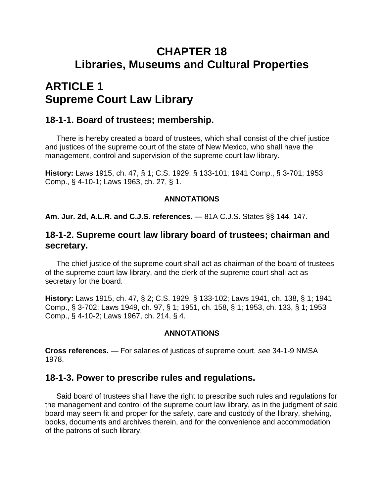# **CHAPTER 18 Libraries, Museums and Cultural Properties**

# **ARTICLE 1 Supreme Court Law Library**

### **18-1-1. Board of trustees; membership.**

There is hereby created a board of trustees, which shall consist of the chief justice and justices of the supreme court of the state of New Mexico, who shall have the management, control and supervision of the supreme court law library.

**History:** Laws 1915, ch. 47, § 1; C.S. 1929, § 133-101; 1941 Comp., § 3-701; 1953 Comp., § 4-10-1; Laws 1963, ch. 27, § 1.

#### **ANNOTATIONS**

**Am. Jur. 2d, A.L.R. and C.J.S. references. —** 81A C.J.S. States §§ 144, 147.

### **18-1-2. Supreme court law library board of trustees; chairman and secretary.**

The chief justice of the supreme court shall act as chairman of the board of trustees of the supreme court law library, and the clerk of the supreme court shall act as secretary for the board.

**History:** Laws 1915, ch. 47, § 2; C.S. 1929, § 133-102; Laws 1941, ch. 138, § 1; 1941 Comp., § 3-702; Laws 1949, ch. 97, § 1; 1951, ch. 158, § 1; 1953, ch. 133, § 1; 1953 Comp., § 4-10-2; Laws 1967, ch. 214, § 4.

#### **ANNOTATIONS**

**Cross references.** — For salaries of justices of supreme court, *see* 34-1-9 NMSA 1978.

### **18-1-3. Power to prescribe rules and regulations.**

Said board of trustees shall have the right to prescribe such rules and regulations for the management and control of the supreme court law library, as in the judgment of said board may seem fit and proper for the safety, care and custody of the library, shelving, books, documents and archives therein, and for the convenience and accommodation of the patrons of such library.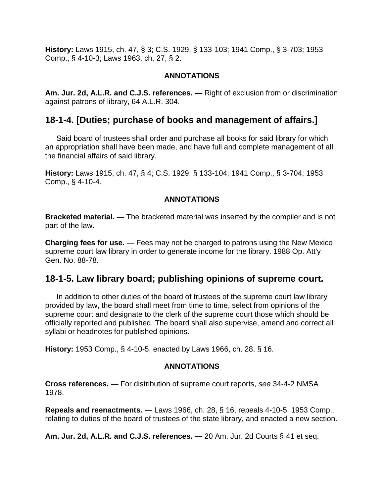**History:** Laws 1915, ch. 47, § 3; C.S. 1929, § 133-103; 1941 Comp., § 3-703; 1953 Comp., § 4-10-3; Laws 1963, ch. 27, § 2.

#### **ANNOTATIONS**

**Am. Jur. 2d, A.L.R. and C.J.S. references. —** Right of exclusion from or discrimination against patrons of library, 64 A.L.R. 304.

### **18-1-4. [Duties; purchase of books and management of affairs.]**

Said board of trustees shall order and purchase all books for said library for which an appropriation shall have been made, and have full and complete management of all the financial affairs of said library.

**History:** Laws 1915, ch. 47, § 4; C.S. 1929, § 133-104; 1941 Comp., § 3-704; 1953 Comp., § 4-10-4.

#### **ANNOTATIONS**

**Bracketed material.** — The bracketed material was inserted by the compiler and is not part of the law.

**Charging fees for use.** — Fees may not be charged to patrons using the New Mexico supreme court law library in order to generate income for the library. 1988 Op. Att'y Gen. No. 88-78.

### **18-1-5. Law library board; publishing opinions of supreme court.**

In addition to other duties of the board of trustees of the supreme court law library provided by law, the board shall meet from time to time, select from opinions of the supreme court and designate to the clerk of the supreme court those which should be officially reported and published. The board shall also supervise, amend and correct all syllabi or headnotes for published opinions.

**History:** 1953 Comp., § 4-10-5, enacted by Laws 1966, ch. 28, § 16.

#### **ANNOTATIONS**

**Cross references.** — For distribution of supreme court reports, *see* 34-4-2 NMSA 1978.

**Repeals and reenactments.** — Laws 1966, ch. 28, § 16, repeals 4-10-5, 1953 Comp., relating to duties of the board of trustees of the state library, and enacted a new section.

**Am. Jur. 2d, A.L.R. and C.J.S. references. —** 20 Am. Jur. 2d Courts § 41 et seq.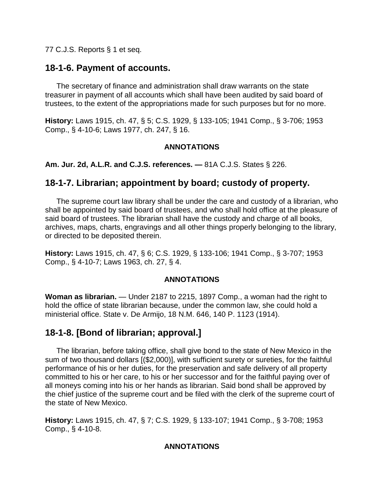77 C.J.S. Reports § 1 et seq.

### **18-1-6. Payment of accounts.**

The secretary of finance and administration shall draw warrants on the state treasurer in payment of all accounts which shall have been audited by said board of trustees, to the extent of the appropriations made for such purposes but for no more.

**History:** Laws 1915, ch. 47, § 5; C.S. 1929, § 133-105; 1941 Comp., § 3-706; 1953 Comp., § 4-10-6; Laws 1977, ch. 247, § 16.

#### **ANNOTATIONS**

**Am. Jur. 2d, A.L.R. and C.J.S. references. —** 81A C.J.S. States § 226.

### **18-1-7. Librarian; appointment by board; custody of property.**

The supreme court law library shall be under the care and custody of a librarian, who shall be appointed by said board of trustees, and who shall hold office at the pleasure of said board of trustees. The librarian shall have the custody and charge of all books, archives, maps, charts, engravings and all other things properly belonging to the library, or directed to be deposited therein.

**History:** Laws 1915, ch. 47, § 6; C.S. 1929, § 133-106; 1941 Comp., § 3-707; 1953 Comp., § 4-10-7; Laws 1963, ch. 27, § 4.

#### **ANNOTATIONS**

**Woman as librarian.** — Under 2187 to 2215, 1897 Comp., a woman had the right to hold the office of state librarian because, under the common law, she could hold a ministerial office. State v. De Armijo, 18 N.M. 646, 140 P. 1123 (1914).

### **18-1-8. [Bond of librarian; approval.]**

The librarian, before taking office, shall give bond to the state of New Mexico in the sum of two thousand dollars [(\$2,000)], with sufficient surety or sureties, for the faithful performance of his or her duties, for the preservation and safe delivery of all property committed to his or her care, to his or her successor and for the faithful paying over of all moneys coming into his or her hands as librarian. Said bond shall be approved by the chief justice of the supreme court and be filed with the clerk of the supreme court of the state of New Mexico.

**History:** Laws 1915, ch. 47, § 7; C.S. 1929, § 133-107; 1941 Comp., § 3-708; 1953 Comp., § 4-10-8.

#### **ANNOTATIONS**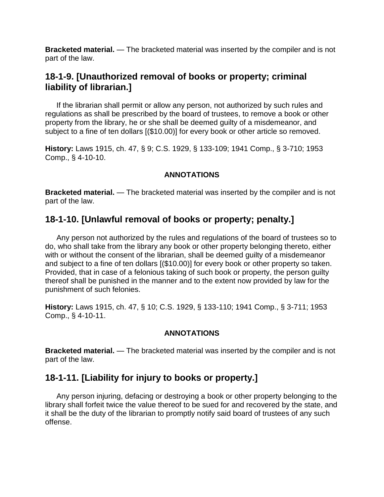**Bracketed material.** — The bracketed material was inserted by the compiler and is not part of the law.

# **18-1-9. [Unauthorized removal of books or property; criminal liability of librarian.]**

If the librarian shall permit or allow any person, not authorized by such rules and regulations as shall be prescribed by the board of trustees, to remove a book or other property from the library, he or she shall be deemed guilty of a misdemeanor, and subject to a fine of ten dollars [(\$10.00)] for every book or other article so removed.

**History:** Laws 1915, ch. 47, § 9; C.S. 1929, § 133-109; 1941 Comp., § 3-710; 1953 Comp., § 4-10-10.

#### **ANNOTATIONS**

**Bracketed material.** — The bracketed material was inserted by the compiler and is not part of the law.

### **18-1-10. [Unlawful removal of books or property; penalty.]**

Any person not authorized by the rules and regulations of the board of trustees so to do, who shall take from the library any book or other property belonging thereto, either with or without the consent of the librarian, shall be deemed guilty of a misdemeanor and subject to a fine of ten dollars [(\$10.00)] for every book or other property so taken. Provided, that in case of a felonious taking of such book or property, the person guilty thereof shall be punished in the manner and to the extent now provided by law for the punishment of such felonies.

**History:** Laws 1915, ch. 47, § 10; C.S. 1929, § 133-110; 1941 Comp., § 3-711; 1953 Comp., § 4-10-11.

#### **ANNOTATIONS**

**Bracketed material.** — The bracketed material was inserted by the compiler and is not part of the law.

### **18-1-11. [Liability for injury to books or property.]**

Any person injuring, defacing or destroying a book or other property belonging to the library shall forfeit twice the value thereof to be sued for and recovered by the state, and it shall be the duty of the librarian to promptly notify said board of trustees of any such offense.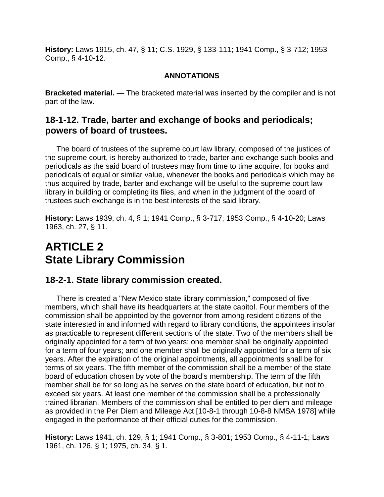**History:** Laws 1915, ch. 47, § 11; C.S. 1929, § 133-111; 1941 Comp., § 3-712; 1953 Comp., § 4-10-12.

#### **ANNOTATIONS**

**Bracketed material.** — The bracketed material was inserted by the compiler and is not part of the law.

### **18-1-12. Trade, barter and exchange of books and periodicals; powers of board of trustees.**

The board of trustees of the supreme court law library, composed of the justices of the supreme court, is hereby authorized to trade, barter and exchange such books and periodicals as the said board of trustees may from time to time acquire, for books and periodicals of equal or similar value, whenever the books and periodicals which may be thus acquired by trade, barter and exchange will be useful to the supreme court law library in building or completing its files, and when in the judgment of the board of trustees such exchange is in the best interests of the said library.

**History:** Laws 1939, ch. 4, § 1; 1941 Comp., § 3-717; 1953 Comp., § 4-10-20; Laws 1963, ch. 27, § 11.

# **ARTICLE 2 State Library Commission**

### **18-2-1. State library commission created.**

There is created a "New Mexico state library commission," composed of five members, which shall have its headquarters at the state capitol. Four members of the commission shall be appointed by the governor from among resident citizens of the state interested in and informed with regard to library conditions, the appointees insofar as practicable to represent different sections of the state. Two of the members shall be originally appointed for a term of two years; one member shall be originally appointed for a term of four years; and one member shall be originally appointed for a term of six years. After the expiration of the original appointments, all appointments shall be for terms of six years. The fifth member of the commission shall be a member of the state board of education chosen by vote of the board's membership. The term of the fifth member shall be for so long as he serves on the state board of education, but not to exceed six years. At least one member of the commission shall be a professionally trained librarian. Members of the commission shall be entitled to per diem and mileage as provided in the Per Diem and Mileage Act [10-8-1 through 10-8-8 NMSA 1978] while engaged in the performance of their official duties for the commission.

**History:** Laws 1941, ch. 129, § 1; 1941 Comp., § 3-801; 1953 Comp., § 4-11-1; Laws 1961, ch. 126, § 1; 1975, ch. 34, § 1.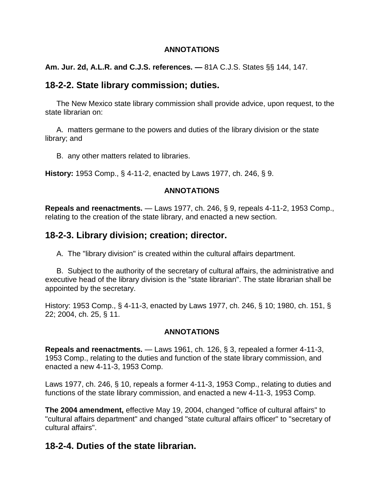#### **ANNOTATIONS**

**Am. Jur. 2d, A.L.R. and C.J.S. references. —** 81A C.J.S. States §§ 144, 147.

### **18-2-2. State library commission; duties.**

The New Mexico state library commission shall provide advice, upon request, to the state librarian on:

A. matters germane to the powers and duties of the library division or the state library; and

B. any other matters related to libraries.

**History:** 1953 Comp., § 4-11-2, enacted by Laws 1977, ch. 246, § 9.

#### **ANNOTATIONS**

**Repeals and reenactments.** — Laws 1977, ch. 246, § 9, repeals 4-11-2, 1953 Comp., relating to the creation of the state library, and enacted a new section.

### **18-2-3. Library division; creation; director.**

A. The "library division" is created within the cultural affairs department.

B. Subject to the authority of the secretary of cultural affairs, the administrative and executive head of the library division is the "state librarian". The state librarian shall be appointed by the secretary.

History: 1953 Comp., § 4-11-3, enacted by Laws 1977, ch. 246, § 10; 1980, ch. 151, § 22; 2004, ch. 25, § 11.

#### **ANNOTATIONS**

**Repeals and reenactments.** — Laws 1961, ch. 126, § 3, repealed a former 4-11-3, 1953 Comp., relating to the duties and function of the state library commission, and enacted a new 4-11-3, 1953 Comp.

Laws 1977, ch. 246, § 10, repeals a former 4-11-3, 1953 Comp., relating to duties and functions of the state library commission, and enacted a new 4-11-3, 1953 Comp.

**The 2004 amendment,** effective May 19, 2004, changed "office of cultural affairs" to "cultural affairs department" and changed "state cultural affairs officer" to "secretary of cultural affairs".

### **18-2-4. Duties of the state librarian.**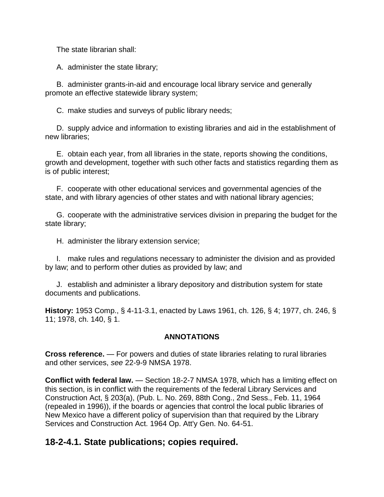The state librarian shall:

A. administer the state library;

B. administer grants-in-aid and encourage local library service and generally promote an effective statewide library system;

C. make studies and surveys of public library needs;

D. supply advice and information to existing libraries and aid in the establishment of new libraries;

E. obtain each year, from all libraries in the state, reports showing the conditions, growth and development, together with such other facts and statistics regarding them as is of public interest;

F. cooperate with other educational services and governmental agencies of the state, and with library agencies of other states and with national library agencies;

G. cooperate with the administrative services division in preparing the budget for the state library;

H. administer the library extension service;

I. make rules and regulations necessary to administer the division and as provided by law; and to perform other duties as provided by law; and

J. establish and administer a library depository and distribution system for state documents and publications.

**History:** 1953 Comp., § 4-11-3.1, enacted by Laws 1961, ch. 126, § 4; 1977, ch. 246, § 11; 1978, ch. 140, § 1.

#### **ANNOTATIONS**

**Cross reference.** — For powers and duties of state libraries relating to rural libraries and other services, *see* 22-9-9 NMSA 1978.

**Conflict with federal law.** — Section 18-2-7 NMSA 1978, which has a limiting effect on this section, is in conflict with the requirements of the federal Library Services and Construction Act, § 203(a), (Pub. L. No. 269, 88th Cong., 2nd Sess., Feb. 11, 1964 (repealed in 1996)), if the boards or agencies that control the local public libraries of New Mexico have a different policy of supervision than that required by the Library Services and Construction Act. 1964 Op. Att'y Gen. No. 64-51.

# **18-2-4.1. State publications; copies required.**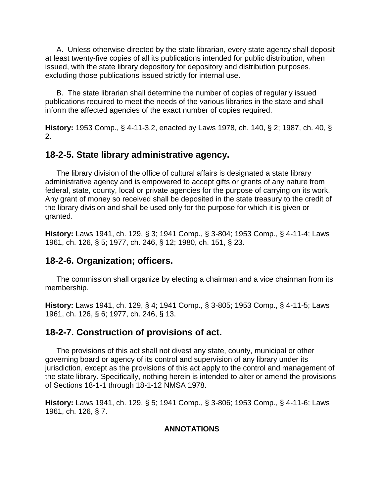A. Unless otherwise directed by the state librarian, every state agency shall deposit at least twenty-five copies of all its publications intended for public distribution, when issued, with the state library depository for depository and distribution purposes, excluding those publications issued strictly for internal use.

B. The state librarian shall determine the number of copies of regularly issued publications required to meet the needs of the various libraries in the state and shall inform the affected agencies of the exact number of copies required.

**History:** 1953 Comp., § 4-11-3.2, enacted by Laws 1978, ch. 140, § 2; 1987, ch. 40, § 2.

### **18-2-5. State library administrative agency.**

The library division of the office of cultural affairs is designated a state library administrative agency and is empowered to accept gifts or grants of any nature from federal, state, county, local or private agencies for the purpose of carrying on its work. Any grant of money so received shall be deposited in the state treasury to the credit of the library division and shall be used only for the purpose for which it is given or granted.

**History:** Laws 1941, ch. 129, § 3; 1941 Comp., § 3-804; 1953 Comp., § 4-11-4; Laws 1961, ch. 126, § 5; 1977, ch. 246, § 12; 1980, ch. 151, § 23.

### **18-2-6. Organization; officers.**

The commission shall organize by electing a chairman and a vice chairman from its membership.

**History:** Laws 1941, ch. 129, § 4; 1941 Comp., § 3-805; 1953 Comp., § 4-11-5; Laws 1961, ch. 126, § 6; 1977, ch. 246, § 13.

### **18-2-7. Construction of provisions of act.**

The provisions of this act shall not divest any state, county, municipal or other governing board or agency of its control and supervision of any library under its jurisdiction, except as the provisions of this act apply to the control and management of the state library. Specifically, nothing herein is intended to alter or amend the provisions of Sections 18-1-1 through 18-1-12 NMSA 1978.

**History:** Laws 1941, ch. 129, § 5; 1941 Comp., § 3-806; 1953 Comp., § 4-11-6; Laws 1961, ch. 126, § 7.

#### **ANNOTATIONS**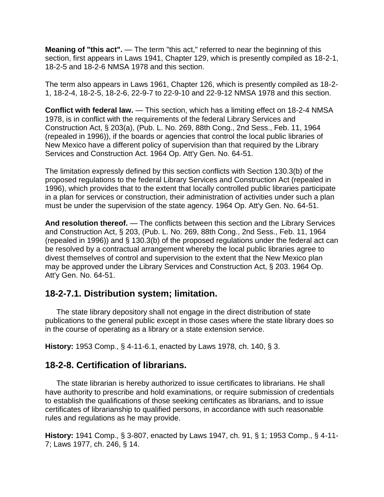**Meaning of "this act".** — The term "this act," referred to near the beginning of this section, first appears in Laws 1941, Chapter 129, which is presently compiled as 18-2-1, 18-2-5 and 18-2-6 NMSA 1978 and this section.

The term also appears in Laws 1961, Chapter 126, which is presently compiled as 18-2- 1, 18-2-4, 18-2-5, 18-2-6, 22-9-7 to 22-9-10 and 22-9-12 NMSA 1978 and this section.

**Conflict with federal law.** — This section, which has a limiting effect on 18-2-4 NMSA 1978, is in conflict with the requirements of the federal Library Services and Construction Act, § 203(a), (Pub. L. No. 269, 88th Cong., 2nd Sess., Feb. 11, 1964 (repealed in 1996)), if the boards or agencies that control the local public libraries of New Mexico have a different policy of supervision than that required by the Library Services and Construction Act. 1964 Op. Att'y Gen. No. 64-51.

The limitation expressly defined by this section conflicts with Section 130.3(b) of the proposed regulations to the federal Library Services and Construction Act (repealed in 1996), which provides that to the extent that locally controlled public libraries participate in a plan for services or construction, their administration of activities under such a plan must be under the supervision of the state agency. 1964 Op. Att'y Gen. No. 64-51.

**And resolution thereof.** — The conflicts between this section and the Library Services and Construction Act, § 203, (Pub. L. No. 269, 88th Cong., 2nd Sess., Feb. 11, 1964 (repealed in 1996)) and § 130.3(b) of the proposed regulations under the federal act can be resolved by a contractual arrangement whereby the local public libraries agree to divest themselves of control and supervision to the extent that the New Mexico plan may be approved under the Library Services and Construction Act, § 203. 1964 Op. Att'y Gen. No. 64-51.

### **18-2-7.1. Distribution system; limitation.**

The state library depository shall not engage in the direct distribution of state publications to the general public except in those cases where the state library does so in the course of operating as a library or a state extension service.

**History:** 1953 Comp., § 4-11-6.1, enacted by Laws 1978, ch. 140, § 3.

### **18-2-8. Certification of librarians.**

The state librarian is hereby authorized to issue certificates to librarians. He shall have authority to prescribe and hold examinations, or require submission of credentials to establish the qualifications of those seeking certificates as librarians, and to issue certificates of librarianship to qualified persons, in accordance with such reasonable rules and regulations as he may provide.

**History:** 1941 Comp., § 3-807, enacted by Laws 1947, ch. 91, § 1; 1953 Comp., § 4-11- 7; Laws 1977, ch. 246, § 14.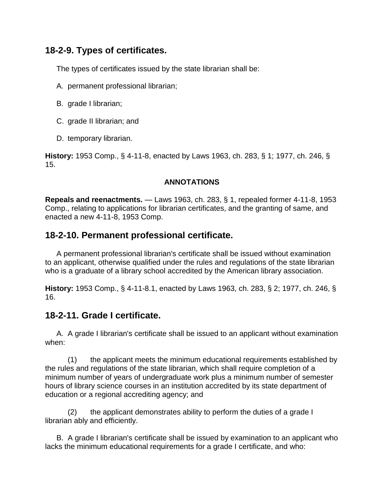### **18-2-9. Types of certificates.**

The types of certificates issued by the state librarian shall be:

- A. permanent professional librarian;
- B. grade I librarian;
- C. grade II librarian; and
- D. temporary librarian.

**History:** 1953 Comp., § 4-11-8, enacted by Laws 1963, ch. 283, § 1; 1977, ch. 246, § 15.

#### **ANNOTATIONS**

**Repeals and reenactments.** — Laws 1963, ch. 283, § 1, repealed former 4-11-8, 1953 Comp., relating to applications for librarian certificates, and the granting of same, and enacted a new 4-11-8, 1953 Comp.

# **18-2-10. Permanent professional certificate.**

A permanent professional librarian's certificate shall be issued without examination to an applicant, otherwise qualified under the rules and regulations of the state librarian who is a graduate of a library school accredited by the American library association.

**History:** 1953 Comp., § 4-11-8.1, enacted by Laws 1963, ch. 283, § 2; 1977, ch. 246, § 16.

# **18-2-11. Grade I certificate.**

A. A grade I librarian's certificate shall be issued to an applicant without examination when:

(1) the applicant meets the minimum educational requirements established by the rules and regulations of the state librarian, which shall require completion of a minimum number of years of undergraduate work plus a minimum number of semester hours of library science courses in an institution accredited by its state department of education or a regional accrediting agency; and

(2) the applicant demonstrates ability to perform the duties of a grade I librarian ably and efficiently.

B. A grade I librarian's certificate shall be issued by examination to an applicant who lacks the minimum educational requirements for a grade I certificate, and who: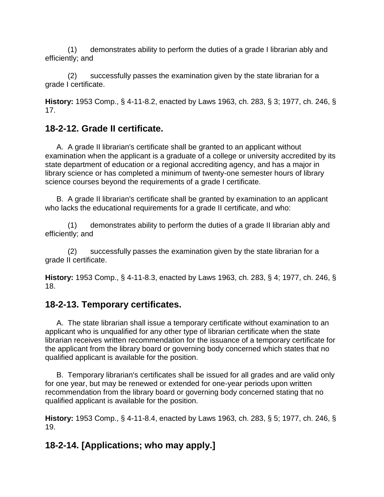(1) demonstrates ability to perform the duties of a grade I librarian ably and efficiently; and

(2) successfully passes the examination given by the state librarian for a grade I certificate.

**History:** 1953 Comp., § 4-11-8.2, enacted by Laws 1963, ch. 283, § 3; 1977, ch. 246, § 17.

# **18-2-12. Grade II certificate.**

A. A grade II librarian's certificate shall be granted to an applicant without examination when the applicant is a graduate of a college or university accredited by its state department of education or a regional accrediting agency, and has a major in library science or has completed a minimum of twenty-one semester hours of library science courses beyond the requirements of a grade I certificate.

B. A grade II librarian's certificate shall be granted by examination to an applicant who lacks the educational requirements for a grade II certificate, and who:

(1) demonstrates ability to perform the duties of a grade II librarian ably and efficiently; and

(2) successfully passes the examination given by the state librarian for a grade II certificate.

**History:** 1953 Comp., § 4-11-8.3, enacted by Laws 1963, ch. 283, § 4; 1977, ch. 246, § 18.

# **18-2-13. Temporary certificates.**

A. The state librarian shall issue a temporary certificate without examination to an applicant who is unqualified for any other type of librarian certificate when the state librarian receives written recommendation for the issuance of a temporary certificate for the applicant from the library board or governing body concerned which states that no qualified applicant is available for the position.

B. Temporary librarian's certificates shall be issued for all grades and are valid only for one year, but may be renewed or extended for one-year periods upon written recommendation from the library board or governing body concerned stating that no qualified applicant is available for the position.

**History:** 1953 Comp., § 4-11-8.4, enacted by Laws 1963, ch. 283, § 5; 1977, ch. 246, § 19.

# **18-2-14. [Applications; who may apply.]**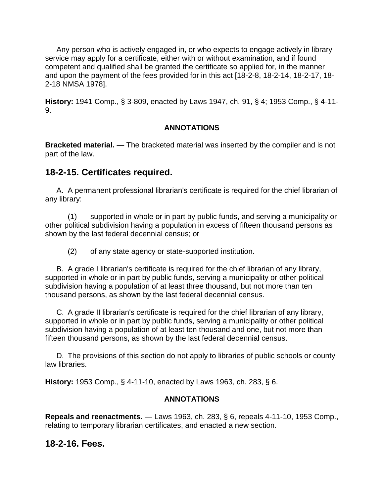Any person who is actively engaged in, or who expects to engage actively in library service may apply for a certificate, either with or without examination, and if found competent and qualified shall be granted the certificate so applied for, in the manner and upon the payment of the fees provided for in this act [18-2-8, 18-2-14, 18-2-17, 18- 2-18 NMSA 1978].

**History:** 1941 Comp., § 3-809, enacted by Laws 1947, ch. 91, § 4; 1953 Comp., § 4-11- 9.

#### **ANNOTATIONS**

**Bracketed material.** — The bracketed material was inserted by the compiler and is not part of the law.

### **18-2-15. Certificates required.**

A. A permanent professional librarian's certificate is required for the chief librarian of any library:

(1) supported in whole or in part by public funds, and serving a municipality or other political subdivision having a population in excess of fifteen thousand persons as shown by the last federal decennial census; or

(2) of any state agency or state-supported institution.

B. A grade I librarian's certificate is required for the chief librarian of any library, supported in whole or in part by public funds, serving a municipality or other political subdivision having a population of at least three thousand, but not more than ten thousand persons, as shown by the last federal decennial census.

C. A grade II librarian's certificate is required for the chief librarian of any library, supported in whole or in part by public funds, serving a municipality or other political subdivision having a population of at least ten thousand and one, but not more than fifteen thousand persons, as shown by the last federal decennial census.

D. The provisions of this section do not apply to libraries of public schools or county law libraries.

**History:** 1953 Comp., § 4-11-10, enacted by Laws 1963, ch. 283, § 6.

#### **ANNOTATIONS**

**Repeals and reenactments.** — Laws 1963, ch. 283, § 6, repeals 4-11-10, 1953 Comp., relating to temporary librarian certificates, and enacted a new section.

### **18-2-16. Fees.**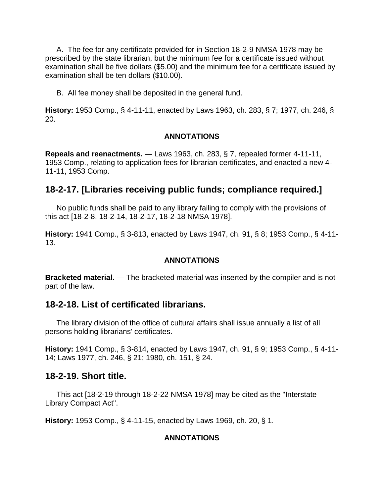A. The fee for any certificate provided for in Section 18-2-9 NMSA 1978 may be prescribed by the state librarian, but the minimum fee for a certificate issued without examination shall be five dollars (\$5.00) and the minimum fee for a certificate issued by examination shall be ten dollars (\$10.00).

B. All fee money shall be deposited in the general fund.

**History:** 1953 Comp., § 4-11-11, enacted by Laws 1963, ch. 283, § 7; 1977, ch. 246, § 20.

#### **ANNOTATIONS**

**Repeals and reenactments.** — Laws 1963, ch. 283, § 7, repealed former 4-11-11, 1953 Comp., relating to application fees for librarian certificates, and enacted a new 4- 11-11, 1953 Comp.

### **18-2-17. [Libraries receiving public funds; compliance required.]**

No public funds shall be paid to any library failing to comply with the provisions of this act [18-2-8, 18-2-14, 18-2-17, 18-2-18 NMSA 1978].

**History:** 1941 Comp., § 3-813, enacted by Laws 1947, ch. 91, § 8; 1953 Comp., § 4-11- 13.

#### **ANNOTATIONS**

**Bracketed material.** — The bracketed material was inserted by the compiler and is not part of the law.

### **18-2-18. List of certificated librarians.**

The library division of the office of cultural affairs shall issue annually a list of all persons holding librarians' certificates.

**History:** 1941 Comp., § 3-814, enacted by Laws 1947, ch. 91, § 9; 1953 Comp., § 4-11- 14; Laws 1977, ch. 246, § 21; 1980, ch. 151, § 24.

### **18-2-19. Short title.**

This act [18-2-19 through 18-2-22 NMSA 1978] may be cited as the "Interstate Library Compact Act".

**History:** 1953 Comp., § 4-11-15, enacted by Laws 1969, ch. 20, § 1.

#### **ANNOTATIONS**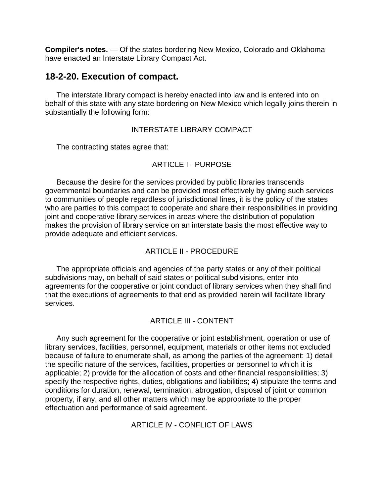**Compiler's notes.** — Of the states bordering New Mexico, Colorado and Oklahoma have enacted an Interstate Library Compact Act.

### **18-2-20. Execution of compact.**

The interstate library compact is hereby enacted into law and is entered into on behalf of this state with any state bordering on New Mexico which legally joins therein in substantially the following form:

#### INTERSTATE LIBRARY COMPACT

The contracting states agree that:

#### ARTICLE I - PURPOSE

Because the desire for the services provided by public libraries transcends governmental boundaries and can be provided most effectively by giving such services to communities of people regardless of jurisdictional lines, it is the policy of the states who are parties to this compact to cooperate and share their responsibilities in providing joint and cooperative library services in areas where the distribution of population makes the provision of library service on an interstate basis the most effective way to provide adequate and efficient services.

#### ARTICLE II - PROCEDURE

The appropriate officials and agencies of the party states or any of their political subdivisions may, on behalf of said states or political subdivisions, enter into agreements for the cooperative or joint conduct of library services when they shall find that the executions of agreements to that end as provided herein will facilitate library services.

#### ARTICLE III - CONTENT

Any such agreement for the cooperative or joint establishment, operation or use of library services, facilities, personnel, equipment, materials or other items not excluded because of failure to enumerate shall, as among the parties of the agreement: 1) detail the specific nature of the services, facilities, properties or personnel to which it is applicable; 2) provide for the allocation of costs and other financial responsibilities; 3) specify the respective rights, duties, obligations and liabilities; 4) stipulate the terms and conditions for duration, renewal, termination, abrogation, disposal of joint or common property, if any, and all other matters which may be appropriate to the proper effectuation and performance of said agreement.

ARTICLE IV - CONFLICT OF LAWS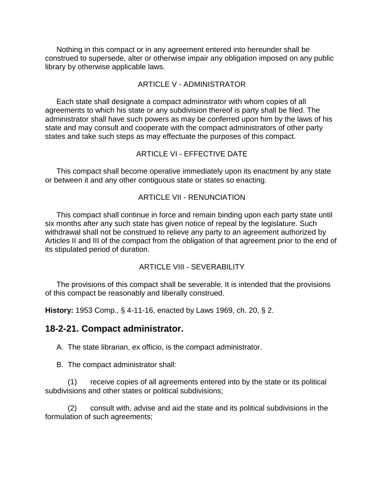Nothing in this compact or in any agreement entered into hereunder shall be construed to supersede, alter or otherwise impair any obligation imposed on any public library by otherwise applicable laws.

#### ARTICLE V - ADMINISTRATOR

Each state shall designate a compact administrator with whom copies of all agreements to which his state or any subdivision thereof is party shall be filed. The administrator shall have such powers as may be conferred upon him by the laws of his state and may consult and cooperate with the compact administrators of other party states and take such steps as may effectuate the purposes of this compact.

#### ARTICLE VI - FFFFCTIVE DATE

This compact shall become operative immediately upon its enactment by any state or between it and any other contiguous state or states so enacting.

#### ARTICLE VII - RENUNCIATION

This compact shall continue in force and remain binding upon each party state until six months after any such state has given notice of repeal by the legislature. Such withdrawal shall not be construed to relieve any party to an agreement authorized by Articles II and III of the compact from the obligation of that agreement prior to the end of its stipulated period of duration.

#### ARTICLE VIII - SEVERABILITY

The provisions of this compact shall be severable. It is intended that the provisions of this compact be reasonably and liberally construed.

**History:** 1953 Comp., § 4-11-16, enacted by Laws 1969, ch. 20, § 2.

### **18-2-21. Compact administrator.**

A. The state librarian, ex officio, is the compact administrator.

B. The compact administrator shall:

(1) receive copies of all agreements entered into by the state or its political subdivisions and other states or political subdivisions;

(2) consult with, advise and aid the state and its political subdivisions in the formulation of such agreements;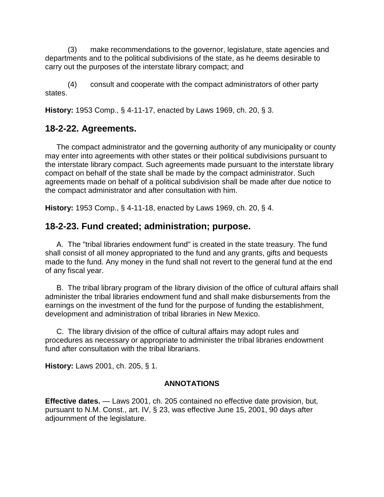(3) make recommendations to the governor, legislature, state agencies and departments and to the political subdivisions of the state, as he deems desirable to carry out the purposes of the interstate library compact; and

(4) consult and cooperate with the compact administrators of other party states.

**History:** 1953 Comp., § 4-11-17, enacted by Laws 1969, ch. 20, § 3.

## **18-2-22. Agreements.**

The compact administrator and the governing authority of any municipality or county may enter into agreements with other states or their political subdivisions pursuant to the interstate library compact. Such agreements made pursuant to the interstate library compact on behalf of the state shall be made by the compact administrator. Such agreements made on behalf of a political subdivision shall be made after due notice to the compact administrator and after consultation with him.

**History:** 1953 Comp., § 4-11-18, enacted by Laws 1969, ch. 20, § 4.

### **18-2-23. Fund created; administration; purpose.**

A. The "tribal libraries endowment fund" is created in the state treasury. The fund shall consist of all money appropriated to the fund and any grants, gifts and bequests made to the fund. Any money in the fund shall not revert to the general fund at the end of any fiscal year.

B. The tribal library program of the library division of the office of cultural affairs shall administer the tribal libraries endowment fund and shall make disbursements from the earnings on the investment of the fund for the purpose of funding the establishment, development and administration of tribal libraries in New Mexico.

C. The library division of the office of cultural affairs may adopt rules and procedures as necessary or appropriate to administer the tribal libraries endowment fund after consultation with the tribal librarians.

**History:** Laws 2001, ch. 205, § 1.

#### **ANNOTATIONS**

**Effective dates.** — Laws 2001, ch. 205 contained no effective date provision, but, pursuant to N.M. Const., art. IV, § 23, was effective June 15, 2001, 90 days after adjournment of the legislature.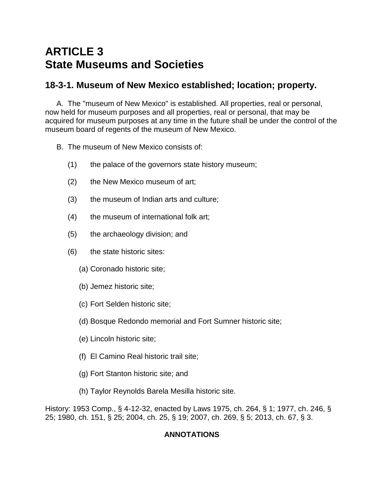# **ARTICLE 3 State Museums and Societies**

# **18-3-1. Museum of New Mexico established; location; property.**

A. The "museum of New Mexico" is established. All properties, real or personal, now held for museum purposes and all properties, real or personal, that may be acquired for museum purposes at any time in the future shall be under the control of the museum board of regents of the museum of New Mexico.

- B. The museum of New Mexico consists of:
	- (1) the palace of the governors state history museum;
	- (2) the New Mexico museum of art;
	- (3) the museum of Indian arts and culture;
	- (4) the museum of international folk art;
	- (5) the archaeology division; and
	- (6) the state historic sites:
		- (a) Coronado historic site;
		- (b) Jemez historic site;
		- (c) Fort Selden historic site;
		- (d) Bosque Redondo memorial and Fort Sumner historic site;
		- (e) Lincoln historic site;
		- (f) El Camino Real historic trail site;
		- (g) Fort Stanton historic site; and
		- (h) Taylor Reynolds Barela Mesilla historic site.

History: 1953 Comp., § 4-12-32, enacted by Laws 1975, ch. 264, § 1; 1977, ch. 246, § 25; 1980, ch. 151, § 25; 2004, ch. 25, § 19; 2007, ch. 269, § 5; 2013, ch. 67, § 3.

#### **ANNOTATIONS**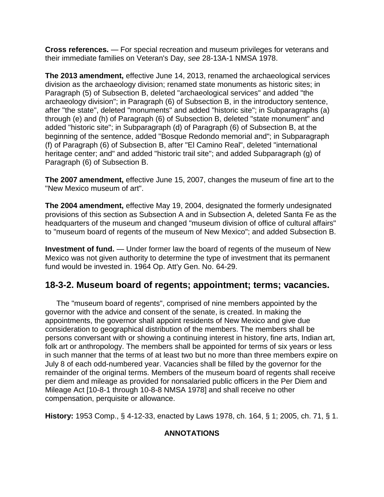**Cross references.** — For special recreation and museum privileges for veterans and their immediate families on Veteran's Day, *see* 28-13A-1 NMSA 1978.

**The 2013 amendment,** effective June 14, 2013, renamed the archaeological services division as the archaeology division; renamed state monuments as historic sites; in Paragraph (5) of Subsection B, deleted "archaeological services" and added "the archaeology division"; in Paragraph (6) of Subsection B, in the introductory sentence, after "the state", deleted "monuments" and added "historic site"; in Subparagraphs (a) through (e) and (h) of Paragraph (6) of Subsection B, deleted "state monument" and added "historic site"; in Subparagraph (d) of Paragraph (6) of Subsection B, at the beginning of the sentence, added "Bosque Redondo memorial and"; in Subparagraph (f) of Paragraph (6) of Subsection B, after "El Camino Real", deleted "international heritage center; and" and added "historic trail site"; and added Subparagraph (g) of Paragraph (6) of Subsection B.

**The 2007 amendment,** effective June 15, 2007, changes the museum of fine art to the "New Mexico museum of art".

**The 2004 amendment,** effective May 19, 2004, designated the formerly undesignated provisions of this section as Subsection A and in Subsection A, deleted Santa Fe as the headquarters of the museum and changed "museum division of office of cultural affairs" to "museum board of regents of the museum of New Mexico"; and added Subsection B.

**Investment of fund.** — Under former law the board of regents of the museum of New Mexico was not given authority to determine the type of investment that its permanent fund would be invested in. 1964 Op. Att'y Gen. No. 64-29.

### **18-3-2. Museum board of regents; appointment; terms; vacancies.**

The "museum board of regents", comprised of nine members appointed by the governor with the advice and consent of the senate, is created. In making the appointments, the governor shall appoint residents of New Mexico and give due consideration to geographical distribution of the members. The members shall be persons conversant with or showing a continuing interest in history, fine arts, Indian art, folk art or anthropology. The members shall be appointed for terms of six years or less in such manner that the terms of at least two but no more than three members expire on July 8 of each odd-numbered year. Vacancies shall be filled by the governor for the remainder of the original terms. Members of the museum board of regents shall receive per diem and mileage as provided for nonsalaried public officers in the Per Diem and Mileage Act [10-8-1 through 10-8-8 NMSA 1978] and shall receive no other compensation, perquisite or allowance.

**History:** 1953 Comp., § 4-12-33, enacted by Laws 1978, ch. 164, § 1; 2005, ch. 71, § 1.

### **ANNOTATIONS**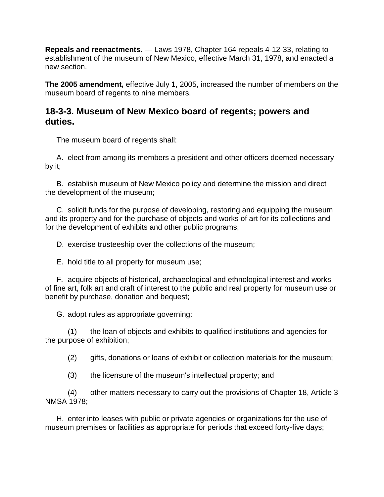**Repeals and reenactments.** — Laws 1978, Chapter 164 repeals 4-12-33, relating to establishment of the museum of New Mexico, effective March 31, 1978, and enacted a new section.

**The 2005 amendment,** effective July 1, 2005, increased the number of members on the museum board of regents to nine members.

### **18-3-3. Museum of New Mexico board of regents; powers and duties.**

The museum board of regents shall:

A. elect from among its members a president and other officers deemed necessary by it;

B. establish museum of New Mexico policy and determine the mission and direct the development of the museum;

C. solicit funds for the purpose of developing, restoring and equipping the museum and its property and for the purchase of objects and works of art for its collections and for the development of exhibits and other public programs;

D. exercise trusteeship over the collections of the museum;

E. hold title to all property for museum use;

F. acquire objects of historical, archaeological and ethnological interest and works of fine art, folk art and craft of interest to the public and real property for museum use or benefit by purchase, donation and bequest;

G. adopt rules as appropriate governing:

(1) the loan of objects and exhibits to qualified institutions and agencies for the purpose of exhibition;

(2) gifts, donations or loans of exhibit or collection materials for the museum;

(3) the licensure of the museum's intellectual property; and

(4) other matters necessary to carry out the provisions of Chapter 18, Article 3 NMSA 1978;

H. enter into leases with public or private agencies or organizations for the use of museum premises or facilities as appropriate for periods that exceed forty-five days;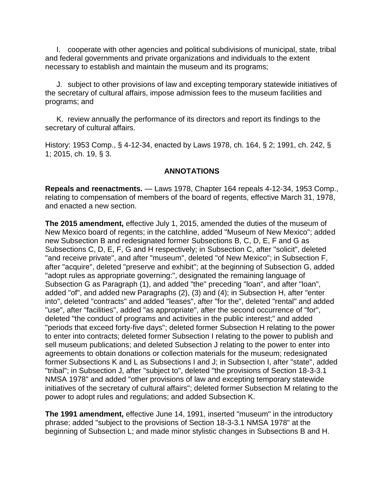I. cooperate with other agencies and political subdivisions of municipal, state, tribal and federal governments and private organizations and individuals to the extent necessary to establish and maintain the museum and its programs;

J. subject to other provisions of law and excepting temporary statewide initiatives of the secretary of cultural affairs, impose admission fees to the museum facilities and programs; and

K. review annually the performance of its directors and report its findings to the secretary of cultural affairs.

History: 1953 Comp., § 4-12-34, enacted by Laws 1978, ch. 164, § 2; 1991, ch. 242, § 1; 2015, ch. 19, § 3.

#### **ANNOTATIONS**

**Repeals and reenactments.** — Laws 1978, Chapter 164 repeals 4-12-34, 1953 Comp., relating to compensation of members of the board of regents, effective March 31, 1978, and enacted a new section.

**The 2015 amendment,** effective July 1, 2015, amended the duties of the museum of New Mexico board of regents; in the catchline, added "Museum of New Mexico"; added new Subsection B and redesignated former Subsections B, C, D, E, F and G as Subsections C, D, E, F, G and H respectively; in Subsection C, after "solicit", deleted "and receive private", and after "museum", deleted "of New Mexico"; in Subsection F, after "acquire", deleted "preserve and exhibit"; at the beginning of Subsection G, added "adopt rules as appropriate governing:", designated the remaining language of Subsection G as Paragraph (1), and added "the" preceding "loan", and after "loan", added "of", and added new Paragraphs (2), (3) and (4); in Subsection H, after "enter into", deleted "contracts" and added "leases", after "for the", deleted "rental" and added "use", after "facilities", added "as appropriate", after the second occurrence of "for", deleted "the conduct of programs and activities in the public interest;" and added "periods that exceed forty-five days"; deleted former Subsection H relating to the power to enter into contracts; deleted former Subsection I relating to the power to publish and sell museum publications; and deleted Subsection J relating to the power to enter into agreements to obtain donations or collection materials for the museum; redesignated former Subsections K and L as Subsections I and J; in Subsection I, after "state", added "tribal"; in Subsection J, after "subject to", deleted "the provisions of Section 18-3-3.1 NMSA 1978" and added "other provisions of law and excepting temporary statewide initiatives of the secretary of cultural affairs"; deleted former Subsection M relating to the power to adopt rules and regulations; and added Subsection K.

**The 1991 amendment,** effective June 14, 1991, inserted "museum" in the introductory phrase; added "subject to the provisions of Section 18-3-3.1 NMSA 1978" at the beginning of Subsection L; and made minor stylistic changes in Subsections B and H.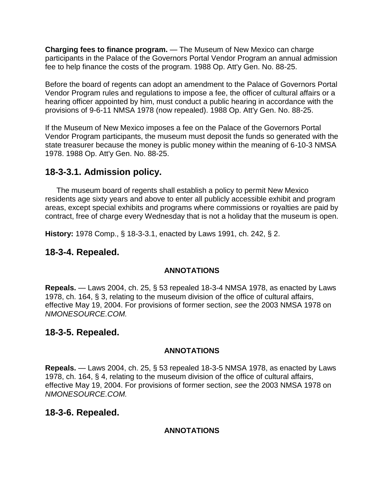**Charging fees to finance program.** — The Museum of New Mexico can charge participants in the Palace of the Governors Portal Vendor Program an annual admission fee to help finance the costs of the program. 1988 Op. Att'y Gen. No. 88-25.

Before the board of regents can adopt an amendment to the Palace of Governors Portal Vendor Program rules and regulations to impose a fee, the officer of cultural affairs or a hearing officer appointed by him, must conduct a public hearing in accordance with the provisions of 9-6-11 NMSA 1978 (now repealed). 1988 Op. Att'y Gen. No. 88-25.

If the Museum of New Mexico imposes a fee on the Palace of the Governors Portal Vendor Program participants, the museum must deposit the funds so generated with the state treasurer because the money is public money within the meaning of 6-10-3 NMSA 1978. 1988 Op. Att'y Gen. No. 88-25.

# **18-3-3.1. Admission policy.**

The museum board of regents shall establish a policy to permit New Mexico residents age sixty years and above to enter all publicly accessible exhibit and program areas, except special exhibits and programs where commissions or royalties are paid by contract, free of charge every Wednesday that is not a holiday that the museum is open.

**History:** 1978 Comp., § 18-3-3.1, enacted by Laws 1991, ch. 242, § 2.

### **18-3-4. Repealed.**

#### **ANNOTATIONS**

**Repeals.** — Laws 2004, ch. 25, § 53 repealed 18-3-4 NMSA 1978, as enacted by Laws 1978, ch. 164, § 3, relating to the museum division of the office of cultural affairs, effective May 19, 2004. For provisions of former section, *see* the 2003 NMSA 1978 on *NMONESOURCE.COM.*

### **18-3-5. Repealed.**

#### **ANNOTATIONS**

**Repeals.** — Laws 2004, ch. 25, § 53 repealed 18-3-5 NMSA 1978, as enacted by Laws 1978, ch. 164, § 4, relating to the museum division of the office of cultural affairs, effective May 19, 2004. For provisions of former section, *see* the 2003 NMSA 1978 on *NMONESOURCE.COM.*

### **18-3-6. Repealed.**

#### **ANNOTATIONS**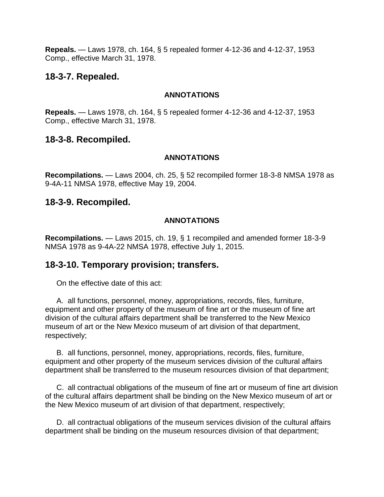**Repeals.** — Laws 1978, ch. 164, § 5 repealed former 4-12-36 and 4-12-37, 1953 Comp., effective March 31, 1978.

### **18-3-7. Repealed.**

#### **ANNOTATIONS**

**Repeals.** — Laws 1978, ch. 164, § 5 repealed former 4-12-36 and 4-12-37, 1953 Comp., effective March 31, 1978.

### **18-3-8. Recompiled.**

#### **ANNOTATIONS**

**Recompilations.** — Laws 2004, ch. 25, § 52 recompiled former 18-3-8 NMSA 1978 as 9-4A-11 NMSA 1978, effective May 19, 2004.

### **18-3-9. Recompiled.**

#### **ANNOTATIONS**

**Recompilations.** — Laws 2015, ch. 19, § 1 recompiled and amended former 18-3-9 NMSA 1978 as 9-4A-22 NMSA 1978, effective July 1, 2015.

### **18-3-10. Temporary provision; transfers.**

On the effective date of this act:

A. all functions, personnel, money, appropriations, records, files, furniture, equipment and other property of the museum of fine art or the museum of fine art division of the cultural affairs department shall be transferred to the New Mexico museum of art or the New Mexico museum of art division of that department, respectively;

B. all functions, personnel, money, appropriations, records, files, furniture, equipment and other property of the museum services division of the cultural affairs department shall be transferred to the museum resources division of that department;

C. all contractual obligations of the museum of fine art or museum of fine art division of the cultural affairs department shall be binding on the New Mexico museum of art or the New Mexico museum of art division of that department, respectively;

D. all contractual obligations of the museum services division of the cultural affairs department shall be binding on the museum resources division of that department;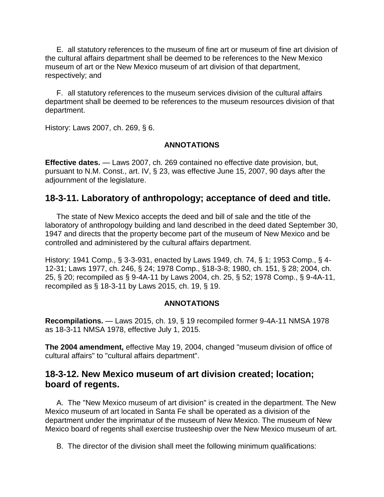E. all statutory references to the museum of fine art or museum of fine art division of the cultural affairs department shall be deemed to be references to the New Mexico museum of art or the New Mexico museum of art division of that department, respectively; and

F. all statutory references to the museum services division of the cultural affairs department shall be deemed to be references to the museum resources division of that department.

History: Laws 2007, ch. 269, § 6.

#### **ANNOTATIONS**

**Effective dates.** — Laws 2007, ch. 269 contained no effective date provision, but, pursuant to N.M. Const., art. IV, § 23, was effective June 15, 2007, 90 days after the adjournment of the legislature.

### **18-3-11. Laboratory of anthropology; acceptance of deed and title.**

The state of New Mexico accepts the deed and bill of sale and the title of the laboratory of anthropology building and land described in the deed dated September 30, 1947 and directs that the property become part of the museum of New Mexico and be controlled and administered by the cultural affairs department.

History: 1941 Comp., § 3-3-931, enacted by Laws 1949, ch. 74, § 1; 1953 Comp., § 4- 12-31; Laws 1977, ch. 246, § 24; 1978 Comp., §18-3-8; 1980, ch. 151, § 28; 2004, ch. 25, § 20; recompiled as § 9-4A-11 by Laws 2004, ch. 25, § 52; 1978 Comp., § 9-4A-11, recompiled as § 18-3-11 by Laws 2015, ch. 19, § 19.

#### **ANNOTATIONS**

**Recompilations.** — Laws 2015, ch. 19, § 19 recompiled former 9-4A-11 NMSA 1978 as 18-3-11 NMSA 1978, effective July 1, 2015.

**The 2004 amendment,** effective May 19, 2004, changed "museum division of office of cultural affairs" to "cultural affairs department".

### **18-3-12. New Mexico museum of art division created; location; board of regents.**

A. The "New Mexico museum of art division" is created in the department. The New Mexico museum of art located in Santa Fe shall be operated as a division of the department under the imprimatur of the museum of New Mexico. The museum of New Mexico board of regents shall exercise trusteeship over the New Mexico museum of art.

B. The director of the division shall meet the following minimum qualifications: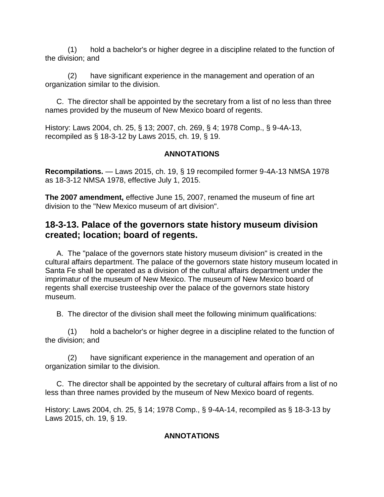(1) hold a bachelor's or higher degree in a discipline related to the function of the division; and

(2) have significant experience in the management and operation of an organization similar to the division.

C. The director shall be appointed by the secretary from a list of no less than three names provided by the museum of New Mexico board of regents.

History: Laws 2004, ch. 25, § 13; 2007, ch. 269, § 4; 1978 Comp., § 9-4A-13, recompiled as § 18-3-12 by Laws 2015, ch. 19, § 19.

#### **ANNOTATIONS**

**Recompilations.** — Laws 2015, ch. 19, § 19 recompiled former 9-4A-13 NMSA 1978 as 18-3-12 NMSA 1978, effective July 1, 2015.

**The 2007 amendment,** effective June 15, 2007, renamed the museum of fine art division to the "New Mexico museum of art division".

### **18-3-13. Palace of the governors state history museum division created; location; board of regents.**

A. The "palace of the governors state history museum division" is created in the cultural affairs department. The palace of the governors state history museum located in Santa Fe shall be operated as a division of the cultural affairs department under the imprimatur of the museum of New Mexico. The museum of New Mexico board of regents shall exercise trusteeship over the palace of the governors state history museum.

B. The director of the division shall meet the following minimum qualifications:

(1) hold a bachelor's or higher degree in a discipline related to the function of the division; and

(2) have significant experience in the management and operation of an organization similar to the division.

C. The director shall be appointed by the secretary of cultural affairs from a list of no less than three names provided by the museum of New Mexico board of regents.

History: Laws 2004, ch. 25, § 14; 1978 Comp., § 9-4A-14, recompiled as § 18-3-13 by Laws 2015, ch. 19, § 19.

#### **ANNOTATIONS**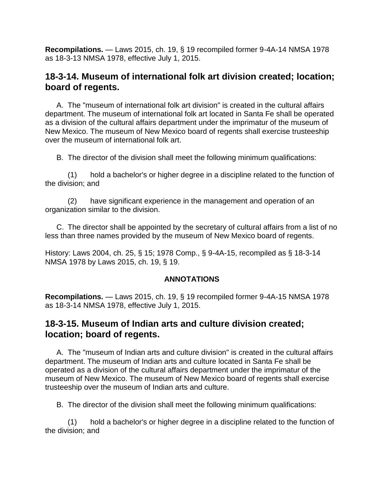**Recompilations.** — Laws 2015, ch. 19, § 19 recompiled former 9-4A-14 NMSA 1978 as 18-3-13 NMSA 1978, effective July 1, 2015.

## **18-3-14. Museum of international folk art division created; location; board of regents.**

A. The "museum of international folk art division" is created in the cultural affairs department. The museum of international folk art located in Santa Fe shall be operated as a division of the cultural affairs department under the imprimatur of the museum of New Mexico. The museum of New Mexico board of regents shall exercise trusteeship over the museum of international folk art.

B. The director of the division shall meet the following minimum qualifications:

(1) hold a bachelor's or higher degree in a discipline related to the function of the division; and

(2) have significant experience in the management and operation of an organization similar to the division.

C. The director shall be appointed by the secretary of cultural affairs from a list of no less than three names provided by the museum of New Mexico board of regents.

History: Laws 2004, ch. 25, § 15; 1978 Comp., § 9-4A-15, recompiled as § 18-3-14 NMSA 1978 by Laws 2015, ch. 19, § 19.

#### **ANNOTATIONS**

**Recompilations.** — Laws 2015, ch. 19, § 19 recompiled former 9-4A-15 NMSA 1978 as 18-3-14 NMSA 1978, effective July 1, 2015.

# **18-3-15. Museum of Indian arts and culture division created; location; board of regents.**

A. The "museum of Indian arts and culture division" is created in the cultural affairs department. The museum of Indian arts and culture located in Santa Fe shall be operated as a division of the cultural affairs department under the imprimatur of the museum of New Mexico. The museum of New Mexico board of regents shall exercise trusteeship over the museum of Indian arts and culture.

B. The director of the division shall meet the following minimum qualifications:

(1) hold a bachelor's or higher degree in a discipline related to the function of the division; and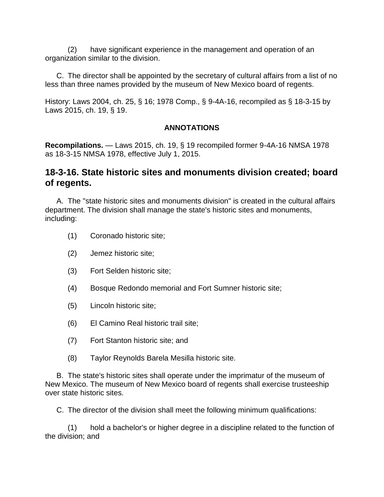(2) have significant experience in the management and operation of an organization similar to the division.

C. The director shall be appointed by the secretary of cultural affairs from a list of no less than three names provided by the museum of New Mexico board of regents.

History: Laws 2004, ch. 25, § 16; 1978 Comp., § 9-4A-16, recompiled as § 18-3-15 by Laws 2015, ch. 19, § 19.

#### **ANNOTATIONS**

**Recompilations.** — Laws 2015, ch. 19, § 19 recompiled former 9-4A-16 NMSA 1978 as 18-3-15 NMSA 1978, effective July 1, 2015.

### **18-3-16. State historic sites and monuments division created; board of regents.**

A. The "state historic sites and monuments division" is created in the cultural affairs department. The division shall manage the state's historic sites and monuments, including:

- (1) Coronado historic site;
- (2) Jemez historic site;
- (3) Fort Selden historic site;
- (4) Bosque Redondo memorial and Fort Sumner historic site;
- (5) Lincoln historic site;
- (6) El Camino Real historic trail site;
- (7) Fort Stanton historic site; and
- (8) Taylor Reynolds Barela Mesilla historic site.

B. The state's historic sites shall operate under the imprimatur of the museum of New Mexico. The museum of New Mexico board of regents shall exercise trusteeship over state historic sites.

C. The director of the division shall meet the following minimum qualifications:

(1) hold a bachelor's or higher degree in a discipline related to the function of the division; and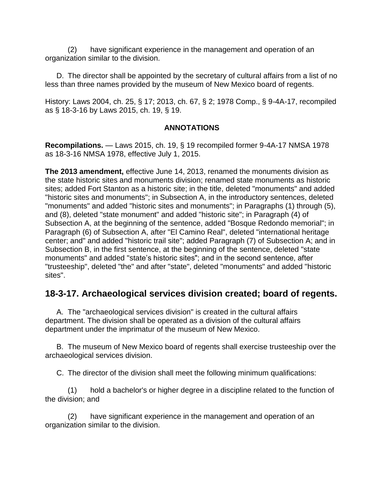(2) have significant experience in the management and operation of an organization similar to the division.

D. The director shall be appointed by the secretary of cultural affairs from a list of no less than three names provided by the museum of New Mexico board of regents.

History: Laws 2004, ch. 25, § 17; 2013, ch. 67, § 2; 1978 Comp., § 9-4A-17, recompiled as § 18-3-16 by Laws 2015, ch. 19, § 19.

#### **ANNOTATIONS**

**Recompilations.** — Laws 2015, ch. 19, § 19 recompiled former 9-4A-17 NMSA 1978 as 18-3-16 NMSA 1978, effective July 1, 2015.

**The 2013 amendment,** effective June 14, 2013, renamed the monuments division as the state historic sites and monuments division; renamed state monuments as historic sites; added Fort Stanton as a historic site; in the title, deleted "monuments" and added "historic sites and monuments"; in Subsection A, in the introductory sentences, deleted "monuments" and added "historic sites and monuments"; in Paragraphs (1) through (5), and (8), deleted "state monument" and added "historic site"; in Paragraph (4) of Subsection A, at the beginning of the sentence, added "Bosque Redondo memorial"; in Paragraph (6) of Subsection A, after "El Camino Real", deleted "international heritage center; and" and added "historic trail site"; added Paragraph (7) of Subsection A; and in Subsection B, in the first sentence, at the beginning of the sentence, deleted "state monuments" and added "state's historic sites"; and in the second sentence, after "trusteeship", deleted "the" and after "state", deleted "monuments" and added "historic sites".

### **18-3-17. Archaeological services division created; board of regents.**

A. The "archaeological services division" is created in the cultural affairs department. The division shall be operated as a division of the cultural affairs department under the imprimatur of the museum of New Mexico.

B. The museum of New Mexico board of regents shall exercise trusteeship over the archaeological services division.

C. The director of the division shall meet the following minimum qualifications:

(1) hold a bachelor's or higher degree in a discipline related to the function of the division; and

(2) have significant experience in the management and operation of an organization similar to the division.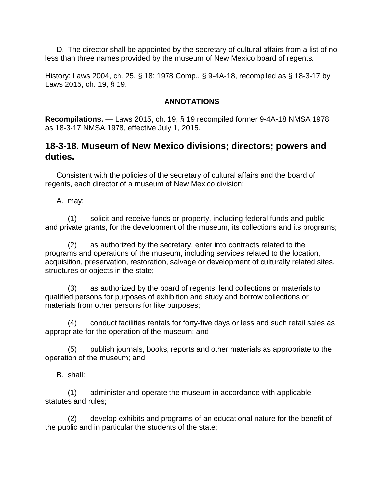D. The director shall be appointed by the secretary of cultural affairs from a list of no less than three names provided by the museum of New Mexico board of regents.

History: Laws 2004, ch. 25, § 18; 1978 Comp., § 9-4A-18, recompiled as § 18-3-17 by Laws 2015, ch. 19, § 19.

#### **ANNOTATIONS**

**Recompilations.** — Laws 2015, ch. 19, § 19 recompiled former 9-4A-18 NMSA 1978 as 18-3-17 NMSA 1978, effective July 1, 2015.

### **18-3-18. Museum of New Mexico divisions; directors; powers and duties.**

Consistent with the policies of the secretary of cultural affairs and the board of regents, each director of a museum of New Mexico division:

A. may:

(1) solicit and receive funds or property, including federal funds and public and private grants, for the development of the museum, its collections and its programs;

(2) as authorized by the secretary, enter into contracts related to the programs and operations of the museum, including services related to the location, acquisition, preservation, restoration, salvage or development of culturally related sites, structures or objects in the state;

(3) as authorized by the board of regents, lend collections or materials to qualified persons for purposes of exhibition and study and borrow collections or materials from other persons for like purposes;

(4) conduct facilities rentals for forty-five days or less and such retail sales as appropriate for the operation of the museum; and

(5) publish journals, books, reports and other materials as appropriate to the operation of the museum; and

B. shall:

(1) administer and operate the museum in accordance with applicable statutes and rules;

(2) develop exhibits and programs of an educational nature for the benefit of the public and in particular the students of the state;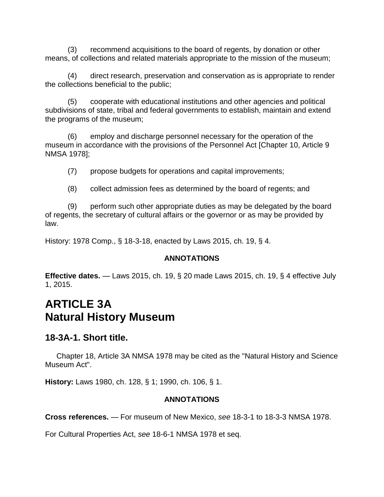(3) recommend acquisitions to the board of regents, by donation or other means, of collections and related materials appropriate to the mission of the museum;

(4) direct research, preservation and conservation as is appropriate to render the collections beneficial to the public;

(5) cooperate with educational institutions and other agencies and political subdivisions of state, tribal and federal governments to establish, maintain and extend the programs of the museum;

(6) employ and discharge personnel necessary for the operation of the museum in accordance with the provisions of the Personnel Act [Chapter 10, Article 9 NMSA 1978];

(7) propose budgets for operations and capital improvements;

(8) collect admission fees as determined by the board of regents; and

(9) perform such other appropriate duties as may be delegated by the board of regents, the secretary of cultural affairs or the governor or as may be provided by law.

History: 1978 Comp., § 18-3-18, enacted by Laws 2015, ch. 19, § 4.

#### **ANNOTATIONS**

**Effective dates.** — Laws 2015, ch. 19, § 20 made Laws 2015, ch. 19, § 4 effective July 1, 2015.

# **ARTICLE 3A Natural History Museum**

### **18-3A-1. Short title.**

Chapter 18, Article 3A NMSA 1978 may be cited as the "Natural History and Science Museum Act".

**History:** Laws 1980, ch. 128, § 1; 1990, ch. 106, § 1.

#### **ANNOTATIONS**

**Cross references.** — For museum of New Mexico, *see* 18-3-1 to 18-3-3 NMSA 1978.

For Cultural Properties Act, *see* 18-6-1 NMSA 1978 et seq.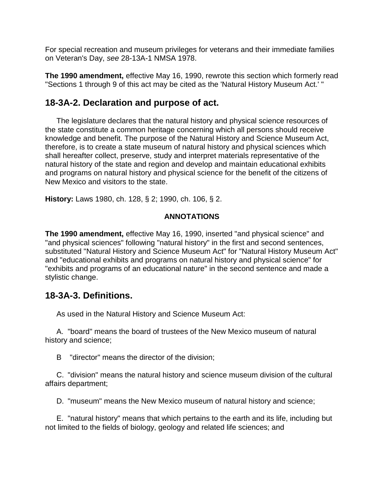For special recreation and museum privileges for veterans and their immediate families on Veteran's Day, *see* 28-13A-1 NMSA 1978.

**The 1990 amendment,** effective May 16, 1990, rewrote this section which formerly read "Sections 1 through 9 of this act may be cited as the 'Natural History Museum Act.' "

## **18-3A-2. Declaration and purpose of act.**

The legislature declares that the natural history and physical science resources of the state constitute a common heritage concerning which all persons should receive knowledge and benefit. The purpose of the Natural History and Science Museum Act, therefore, is to create a state museum of natural history and physical sciences which shall hereafter collect, preserve, study and interpret materials representative of the natural history of the state and region and develop and maintain educational exhibits and programs on natural history and physical science for the benefit of the citizens of New Mexico and visitors to the state.

**History:** Laws 1980, ch. 128, § 2; 1990, ch. 106, § 2.

#### **ANNOTATIONS**

**The 1990 amendment,** effective May 16, 1990, inserted "and physical science" and "and physical sciences" following "natural history" in the first and second sentences, substituted "Natural History and Science Museum Act" for "Natural History Museum Act" and "educational exhibits and programs on natural history and physical science" for "exhibits and programs of an educational nature" in the second sentence and made a stylistic change.

### **18-3A-3. Definitions.**

As used in the Natural History and Science Museum Act:

A. "board" means the board of trustees of the New Mexico museum of natural history and science;

B "director" means the director of the division;

C. "division" means the natural history and science museum division of the cultural affairs department;

D. "museum" means the New Mexico museum of natural history and science;

E. "natural history" means that which pertains to the earth and its life, including but not limited to the fields of biology, geology and related life sciences; and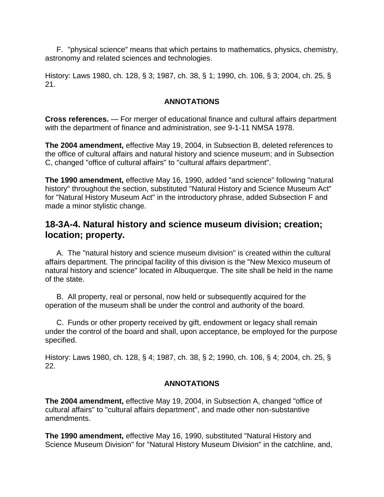F. "physical science" means that which pertains to mathematics, physics, chemistry, astronomy and related sciences and technologies.

History: Laws 1980, ch. 128, § 3; 1987, ch. 38, § 1; 1990, ch. 106, § 3; 2004, ch. 25, § 21.

#### **ANNOTATIONS**

**Cross references.** — For merger of educational finance and cultural affairs department with the department of finance and administration, *see* 9-1-11 NMSA 1978.

**The 2004 amendment,** effective May 19, 2004, in Subsection B, deleted references to the office of cultural affairs and natural history and science museum; and in Subsection C, changed "office of cultural affairs" to "cultural affairs department".

**The 1990 amendment,** effective May 16, 1990, added "and science" following "natural history" throughout the section, substituted "Natural History and Science Museum Act" for "Natural History Museum Act" in the introductory phrase, added Subsection F and made a minor stylistic change.

### **18-3A-4. Natural history and science museum division; creation; location; property.**

A. The "natural history and science museum division" is created within the cultural affairs department. The principal facility of this division is the "New Mexico museum of natural history and science" located in Albuquerque. The site shall be held in the name of the state.

B. All property, real or personal, now held or subsequently acquired for the operation of the museum shall be under the control and authority of the board.

C. Funds or other property received by gift, endowment or legacy shall remain under the control of the board and shall, upon acceptance, be employed for the purpose specified.

History: Laws 1980, ch. 128, § 4; 1987, ch. 38, § 2; 1990, ch. 106, § 4; 2004, ch. 25, § 22.

#### **ANNOTATIONS**

**The 2004 amendment,** effective May 19, 2004, in Subsection A, changed "office of cultural affairs" to "cultural affairs department", and made other non-substantive amendments.

**The 1990 amendment,** effective May 16, 1990, substituted "Natural History and Science Museum Division" for "Natural History Museum Division" in the catchline, and,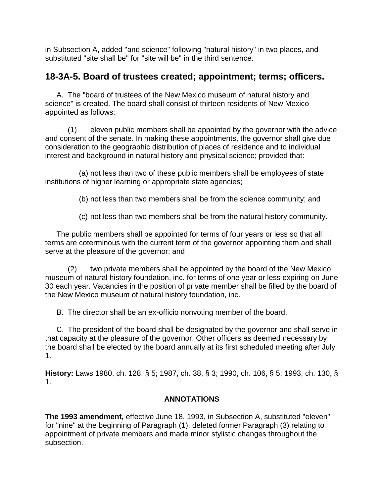in Subsection A, added "and science" following "natural history" in two places, and substituted "site shall be" for "site will be" in the third sentence.

### **18-3A-5. Board of trustees created; appointment; terms; officers.**

A. The "board of trustees of the New Mexico museum of natural history and science" is created. The board shall consist of thirteen residents of New Mexico appointed as follows:

(1) eleven public members shall be appointed by the governor with the advice and consent of the senate. In making these appointments, the governor shall give due consideration to the geographic distribution of places of residence and to individual interest and background in natural history and physical science; provided that:

(a) not less than two of these public members shall be employees of state institutions of higher learning or appropriate state agencies;

(b) not less than two members shall be from the science community; and

(c) not less than two members shall be from the natural history community.

The public members shall be appointed for terms of four years or less so that all terms are coterminous with the current term of the governor appointing them and shall serve at the pleasure of the governor; and

(2) two private members shall be appointed by the board of the New Mexico museum of natural history foundation, inc. for terms of one year or less expiring on June 30 each year. Vacancies in the position of private member shall be filled by the board of the New Mexico museum of natural history foundation, inc.

B. The director shall be an ex-officio nonvoting member of the board.

C. The president of the board shall be designated by the governor and shall serve in that capacity at the pleasure of the governor. Other officers as deemed necessary by the board shall be elected by the board annually at its first scheduled meeting after July 1.

**History:** Laws 1980, ch. 128, § 5; 1987, ch. 38, § 3; 1990, ch. 106, § 5; 1993, ch. 130, § 1.

#### **ANNOTATIONS**

**The 1993 amendment,** effective June 18, 1993, in Subsection A, substituted "eleven" for "nine" at the beginning of Paragraph (1), deleted former Paragraph (3) relating to appointment of private members and made minor stylistic changes throughout the subsection.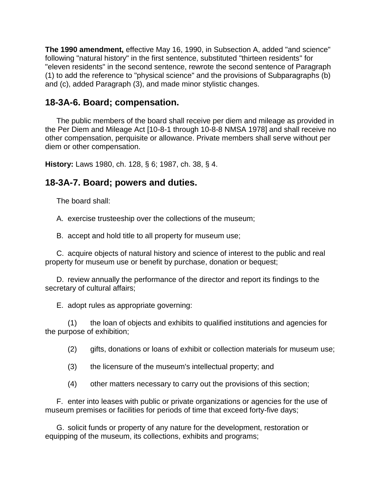**The 1990 amendment,** effective May 16, 1990, in Subsection A, added "and science" following "natural history" in the first sentence, substituted "thirteen residents" for "eleven residents" in the second sentence, rewrote the second sentence of Paragraph (1) to add the reference to "physical science" and the provisions of Subparagraphs (b) and (c), added Paragraph (3), and made minor stylistic changes.

# **18-3A-6. Board; compensation.**

The public members of the board shall receive per diem and mileage as provided in the Per Diem and Mileage Act [10-8-1 through 10-8-8 NMSA 1978] and shall receive no other compensation, perquisite or allowance. Private members shall serve without per diem or other compensation.

**History:** Laws 1980, ch. 128, § 6; 1987, ch. 38, § 4.

# **18-3A-7. Board; powers and duties.**

The board shall:

A. exercise trusteeship over the collections of the museum;

B. accept and hold title to all property for museum use;

C. acquire objects of natural history and science of interest to the public and real property for museum use or benefit by purchase, donation or bequest;

D. review annually the performance of the director and report its findings to the secretary of cultural affairs;

E. adopt rules as appropriate governing:

(1) the loan of objects and exhibits to qualified institutions and agencies for the purpose of exhibition;

(2) gifts, donations or loans of exhibit or collection materials for museum use;

- (3) the licensure of the museum's intellectual property; and
- (4) other matters necessary to carry out the provisions of this section;

F. enter into leases with public or private organizations or agencies for the use of museum premises or facilities for periods of time that exceed forty-five days;

G. solicit funds or property of any nature for the development, restoration or equipping of the museum, its collections, exhibits and programs;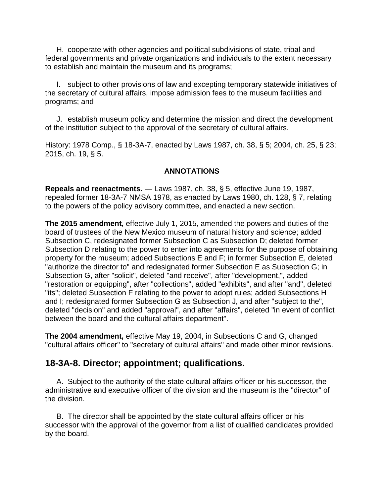H. cooperate with other agencies and political subdivisions of state, tribal and federal governments and private organizations and individuals to the extent necessary to establish and maintain the museum and its programs;

I. subject to other provisions of law and excepting temporary statewide initiatives of the secretary of cultural affairs, impose admission fees to the museum facilities and programs; and

J. establish museum policy and determine the mission and direct the development of the institution subject to the approval of the secretary of cultural affairs.

History: 1978 Comp., § 18-3A-7, enacted by Laws 1987, ch. 38, § 5; 2004, ch. 25, § 23; 2015, ch. 19, § 5.

#### **ANNOTATIONS**

**Repeals and reenactments.** — Laws 1987, ch. 38, § 5, effective June 19, 1987, repealed former 18-3A-7 NMSA 1978, as enacted by Laws 1980, ch. 128, § 7, relating to the powers of the policy advisory committee, and enacted a new section.

**The 2015 amendment,** effective July 1, 2015, amended the powers and duties of the board of trustees of the New Mexico museum of natural history and science; added Subsection C, redesignated former Subsection C as Subsection D; deleted former Subsection D relating to the power to enter into agreements for the purpose of obtaining property for the museum; added Subsections E and F; in former Subsection E, deleted "authorize the director to" and redesignated former Subsection E as Subsection G; in Subsection G, after "solicit", deleted "and receive", after "development,", added "restoration or equipping", after "collections", added "exhibits", and after "and", deleted "its"; deleted Subsection F relating to the power to adopt rules; added Subsections H and I; redesignated former Subsection G as Subsection J, and after "subject to the", deleted "decision" and added "approval", and after "affairs", deleted "in event of conflict between the board and the cultural affairs department".

**The 2004 amendment,** effective May 19, 2004, in Subsections C and G, changed "cultural affairs officer" to "secretary of cultural affairs" and made other minor revisions.

### **18-3A-8. Director; appointment; qualifications.**

A. Subject to the authority of the state cultural affairs officer or his successor, the administrative and executive officer of the division and the museum is the "director" of the division.

B. The director shall be appointed by the state cultural affairs officer or his successor with the approval of the governor from a list of qualified candidates provided by the board.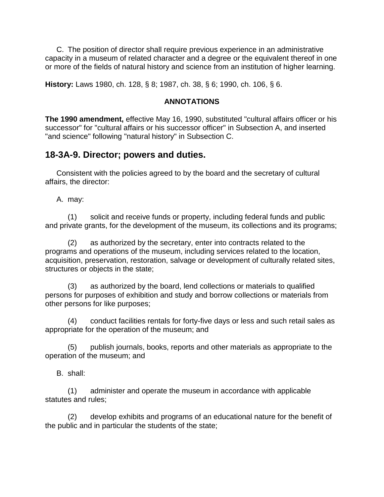C. The position of director shall require previous experience in an administrative capacity in a museum of related character and a degree or the equivalent thereof in one or more of the fields of natural history and science from an institution of higher learning.

**History:** Laws 1980, ch. 128, § 8; 1987, ch. 38, § 6; 1990, ch. 106, § 6.

#### **ANNOTATIONS**

**The 1990 amendment,** effective May 16, 1990, substituted "cultural affairs officer or his successor" for "cultural affairs or his successor officer" in Subsection A, and inserted "and science" following "natural history" in Subsection C.

### **18-3A-9. Director; powers and duties.**

Consistent with the policies agreed to by the board and the secretary of cultural affairs, the director:

A. may:

(1) solicit and receive funds or property, including federal funds and public and private grants, for the development of the museum, its collections and its programs;

(2) as authorized by the secretary, enter into contracts related to the programs and operations of the museum, including services related to the location, acquisition, preservation, restoration, salvage or development of culturally related sites, structures or objects in the state;

(3) as authorized by the board, lend collections or materials to qualified persons for purposes of exhibition and study and borrow collections or materials from other persons for like purposes;

(4) conduct facilities rentals for forty-five days or less and such retail sales as appropriate for the operation of the museum; and

(5) publish journals, books, reports and other materials as appropriate to the operation of the museum; and

B. shall:

(1) administer and operate the museum in accordance with applicable statutes and rules;

(2) develop exhibits and programs of an educational nature for the benefit of the public and in particular the students of the state;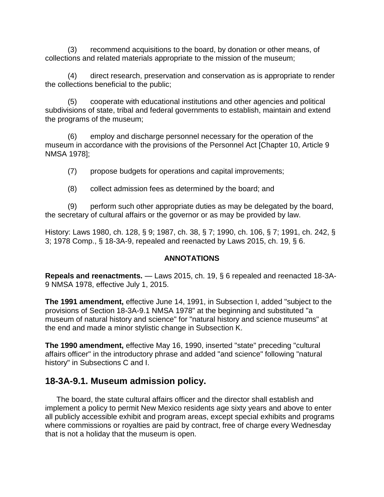(3) recommend acquisitions to the board, by donation or other means, of collections and related materials appropriate to the mission of the museum;

(4) direct research, preservation and conservation as is appropriate to render the collections beneficial to the public;

(5) cooperate with educational institutions and other agencies and political subdivisions of state, tribal and federal governments to establish, maintain and extend the programs of the museum;

(6) employ and discharge personnel necessary for the operation of the museum in accordance with the provisions of the Personnel Act [Chapter 10, Article 9 NMSA 1978];

(7) propose budgets for operations and capital improvements;

(8) collect admission fees as determined by the board; and

(9) perform such other appropriate duties as may be delegated by the board, the secretary of cultural affairs or the governor or as may be provided by law.

History: Laws 1980, ch. 128, § 9; 1987, ch. 38, § 7; 1990, ch. 106, § 7; 1991, ch. 242, § 3; 1978 Comp., § 18-3A-9, repealed and reenacted by Laws 2015, ch. 19, § 6.

#### **ANNOTATIONS**

**Repeals and reenactments.** — Laws 2015, ch. 19, § 6 repealed and reenacted 18-3A-9 NMSA 1978, effective July 1, 2015.

**The 1991 amendment,** effective June 14, 1991, in Subsection I, added "subject to the provisions of Section 18-3A-9.1 NMSA 1978" at the beginning and substituted "a museum of natural history and science" for "natural history and science museums" at the end and made a minor stylistic change in Subsection K.

**The 1990 amendment,** effective May 16, 1990, inserted "state" preceding "cultural affairs officer" in the introductory phrase and added "and science" following "natural history" in Subsections C and I.

# **18-3A-9.1. Museum admission policy.**

The board, the state cultural affairs officer and the director shall establish and implement a policy to permit New Mexico residents age sixty years and above to enter all publicly accessible exhibit and program areas, except special exhibits and programs where commissions or royalties are paid by contract, free of charge every Wednesday that is not a holiday that the museum is open.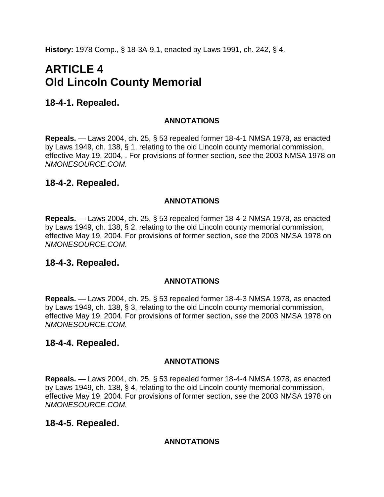**History:** 1978 Comp., § 18-3A-9.1, enacted by Laws 1991, ch. 242, § 4.

# **ARTICLE 4 Old Lincoln County Memorial**

### **18-4-1. Repealed.**

#### **ANNOTATIONS**

**Repeals.** — Laws 2004, ch. 25, § 53 repealed former 18-4-1 NMSA 1978, as enacted by Laws 1949, ch. 138, § 1, relating to the old Lincoln county memorial commission, effective May 19, 2004, . For provisions of former section, *see* the 2003 NMSA 1978 on *NMONESOURCE.COM.*

#### **18-4-2. Repealed.**

#### **ANNOTATIONS**

**Repeals.** — Laws 2004, ch. 25, § 53 repealed former 18-4-2 NMSA 1978, as enacted by Laws 1949, ch. 138, § 2, relating to the old Lincoln county memorial commission, effective May 19, 2004. For provisions of former section, *see* the 2003 NMSA 1978 on *NMONESOURCE.COM.*

#### **18-4-3. Repealed.**

#### **ANNOTATIONS**

**Repeals.** — Laws 2004, ch. 25, § 53 repealed former 18-4-3 NMSA 1978, as enacted by Laws 1949, ch. 138, § 3, relating to the old Lincoln county memorial commission, effective May 19, 2004. For provisions of former section, *see* the 2003 NMSA 1978 on *NMONESOURCE.COM.*

### **18-4-4. Repealed.**

#### **ANNOTATIONS**

**Repeals.** — Laws 2004, ch. 25, § 53 repealed former 18-4-4 NMSA 1978, as enacted by Laws 1949, ch. 138, § 4, relating to the old Lincoln county memorial commission, effective May 19, 2004. For provisions of former section, *see* the 2003 NMSA 1978 on *NMONESOURCE.COM.*

### **18-4-5. Repealed.**

#### **ANNOTATIONS**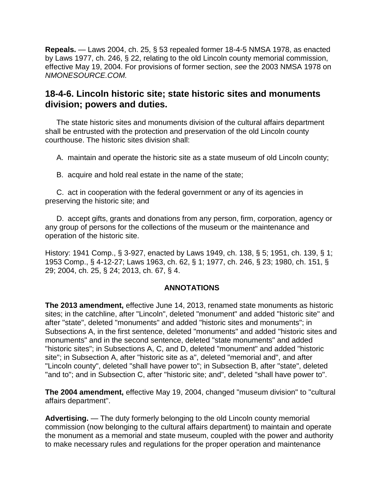**Repeals.** — Laws 2004, ch. 25, § 53 repealed former 18-4-5 NMSA 1978, as enacted by Laws 1977, ch. 246, § 22, relating to the old Lincoln county memorial commission, effective May 19, 2004. For provisions of former section, *see* the 2003 NMSA 1978 on *NMONESOURCE.COM.*

### **18-4-6. Lincoln historic site; state historic sites and monuments division; powers and duties.**

The state historic sites and monuments division of the cultural affairs department shall be entrusted with the protection and preservation of the old Lincoln county courthouse. The historic sites division shall:

A. maintain and operate the historic site as a state museum of old Lincoln county;

B. acquire and hold real estate in the name of the state;

C. act in cooperation with the federal government or any of its agencies in preserving the historic site; and

D. accept gifts, grants and donations from any person, firm, corporation, agency or any group of persons for the collections of the museum or the maintenance and operation of the historic site.

History: 1941 Comp., § 3-927, enacted by Laws 1949, ch. 138, § 5; 1951, ch. 139, § 1; 1953 Comp., § 4-12-27; Laws 1963, ch. 62, § 1; 1977, ch. 246, § 23; 1980, ch. 151, § 29; 2004, ch. 25, § 24; 2013, ch. 67, § 4.

#### **ANNOTATIONS**

**The 2013 amendment,** effective June 14, 2013, renamed state monuments as historic sites; in the catchline, after "Lincoln", deleted "monument" and added "historic site" and after "state", deleted "monuments" and added "historic sites and monuments"; in Subsections A, in the first sentence, deleted "monuments" and added "historic sites and monuments" and in the second sentence, deleted "state monuments" and added "historic sites"; in Subsections A, C, and D, deleted "monument" and added "historic site"; in Subsection A, after "historic site as a", deleted "memorial and", and after "Lincoln county", deleted "shall have power to"; in Subsection B, after "state", deleted "and to"; and in Subsection C, after "historic site; and", deleted "shall have power to".

**The 2004 amendment,** effective May 19, 2004, changed "museum division" to "cultural affairs department".

**Advertising.** — The duty formerly belonging to the old Lincoln county memorial commission (now belonging to the cultural affairs department) to maintain and operate the monument as a memorial and state museum, coupled with the power and authority to make necessary rules and regulations for the proper operation and maintenance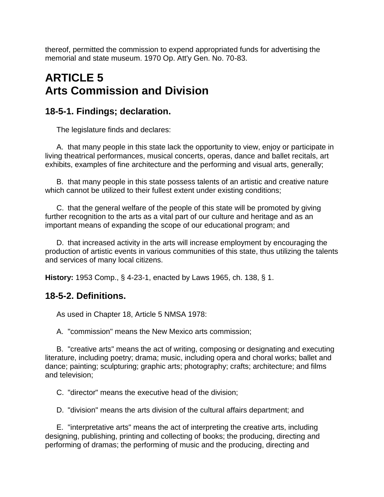thereof, permitted the commission to expend appropriated funds for advertising the memorial and state museum. 1970 Op. Att'y Gen. No. 70-83.

# **ARTICLE 5 Arts Commission and Division**

# **18-5-1. Findings; declaration.**

The legislature finds and declares:

A. that many people in this state lack the opportunity to view, enjoy or participate in living theatrical performances, musical concerts, operas, dance and ballet recitals, art exhibits, examples of fine architecture and the performing and visual arts, generally;

B. that many people in this state possess talents of an artistic and creative nature which cannot be utilized to their fullest extent under existing conditions;

C. that the general welfare of the people of this state will be promoted by giving further recognition to the arts as a vital part of our culture and heritage and as an important means of expanding the scope of our educational program; and

D. that increased activity in the arts will increase employment by encouraging the production of artistic events in various communities of this state, thus utilizing the talents and services of many local citizens.

**History:** 1953 Comp., § 4-23-1, enacted by Laws 1965, ch. 138, § 1.

# **18-5-2. Definitions.**

As used in Chapter 18, Article 5 NMSA 1978:

A. "commission" means the New Mexico arts commission;

B. "creative arts" means the act of writing, composing or designating and executing literature, including poetry; drama; music, including opera and choral works; ballet and dance; painting; sculpturing; graphic arts; photography; crafts; architecture; and films and television;

C. "director" means the executive head of the division;

D. "division" means the arts division of the cultural affairs department; and

E. "interpretative arts" means the act of interpreting the creative arts, including designing, publishing, printing and collecting of books; the producing, directing and performing of dramas; the performing of music and the producing, directing and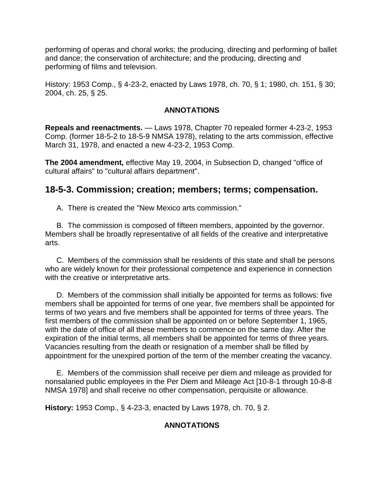performing of operas and choral works; the producing, directing and performing of ballet and dance; the conservation of architecture; and the producing, directing and performing of films and television.

History: 1953 Comp., § 4-23-2, enacted by Laws 1978, ch. 70, § 1; 1980, ch. 151, § 30; 2004, ch. 25, § 25.

#### **ANNOTATIONS**

**Repeals and reenactments.** — Laws 1978, Chapter 70 repealed former 4-23-2, 1953 Comp. (former 18-5-2 to 18-5-9 NMSA 1978), relating to the arts commission, effective March 31, 1978, and enacted a new 4-23-2, 1953 Comp.

**The 2004 amendment,** effective May 19, 2004, in Subsection D, changed "office of cultural affairs" to "cultural affairs department".

### **18-5-3. Commission; creation; members; terms; compensation.**

A. There is created the "New Mexico arts commission."

B. The commission is composed of fifteen members, appointed by the governor. Members shall be broadly representative of all fields of the creative and interpretative arts.

C. Members of the commission shall be residents of this state and shall be persons who are widely known for their professional competence and experience in connection with the creative or interpretative arts.

D. Members of the commission shall initially be appointed for terms as follows: five members shall be appointed for terms of one year, five members shall be appointed for terms of two years and five members shall be appointed for terms of three years. The first members of the commission shall be appointed on or before September 1, 1965, with the date of office of all these members to commence on the same day. After the expiration of the initial terms, all members shall be appointed for terms of three years. Vacancies resulting from the death or resignation of a member shall be filled by appointment for the unexpired portion of the term of the member creating the vacancy.

E. Members of the commission shall receive per diem and mileage as provided for nonsalaried public employees in the Per Diem and Mileage Act [10-8-1 through 10-8-8 NMSA 1978] and shall receive no other compensation, perquisite or allowance.

**History:** 1953 Comp., § 4-23-3, enacted by Laws 1978, ch. 70, § 2.

#### **ANNOTATIONS**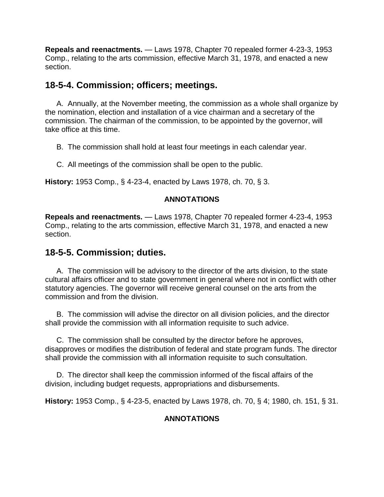**Repeals and reenactments.** — Laws 1978, Chapter 70 repealed former 4-23-3, 1953 Comp., relating to the arts commission, effective March 31, 1978, and enacted a new section.

# **18-5-4. Commission; officers; meetings.**

A. Annually, at the November meeting, the commission as a whole shall organize by the nomination, election and installation of a vice chairman and a secretary of the commission. The chairman of the commission, to be appointed by the governor, will take office at this time.

B. The commission shall hold at least four meetings in each calendar year.

C. All meetings of the commission shall be open to the public.

**History:** 1953 Comp., § 4-23-4, enacted by Laws 1978, ch. 70, § 3.

#### **ANNOTATIONS**

**Repeals and reenactments.** — Laws 1978, Chapter 70 repealed former 4-23-4, 1953 Comp., relating to the arts commission, effective March 31, 1978, and enacted a new section.

# **18-5-5. Commission; duties.**

A. The commission will be advisory to the director of the arts division, to the state cultural affairs officer and to state government in general where not in conflict with other statutory agencies. The governor will receive general counsel on the arts from the commission and from the division.

B. The commission will advise the director on all division policies, and the director shall provide the commission with all information requisite to such advice.

C. The commission shall be consulted by the director before he approves, disapproves or modifies the distribution of federal and state program funds. The director shall provide the commission with all information requisite to such consultation.

D. The director shall keep the commission informed of the fiscal affairs of the division, including budget requests, appropriations and disbursements.

**History:** 1953 Comp., § 4-23-5, enacted by Laws 1978, ch. 70, § 4; 1980, ch. 151, § 31.

#### **ANNOTATIONS**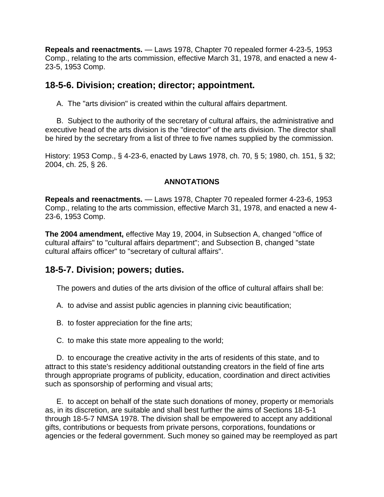**Repeals and reenactments.** — Laws 1978, Chapter 70 repealed former 4-23-5, 1953 Comp., relating to the arts commission, effective March 31, 1978, and enacted a new 4- 23-5, 1953 Comp.

### **18-5-6. Division; creation; director; appointment.**

A. The "arts division" is created within the cultural affairs department.

B. Subject to the authority of the secretary of cultural affairs, the administrative and executive head of the arts division is the "director" of the arts division. The director shall be hired by the secretary from a list of three to five names supplied by the commission.

History: 1953 Comp., § 4-23-6, enacted by Laws 1978, ch. 70, § 5; 1980, ch. 151, § 32; 2004, ch. 25, § 26.

#### **ANNOTATIONS**

**Repeals and reenactments.** — Laws 1978, Chapter 70 repealed former 4-23-6, 1953 Comp., relating to the arts commission, effective March 31, 1978, and enacted a new 4- 23-6, 1953 Comp.

**The 2004 amendment,** effective May 19, 2004, in Subsection A, changed "office of cultural affairs" to "cultural affairs department"; and Subsection B, changed "state cultural affairs officer" to "secretary of cultural affairs".

# **18-5-7. Division; powers; duties.**

The powers and duties of the arts division of the office of cultural affairs shall be:

A. to advise and assist public agencies in planning civic beautification;

B. to foster appreciation for the fine arts;

C. to make this state more appealing to the world;

D. to encourage the creative activity in the arts of residents of this state, and to attract to this state's residency additional outstanding creators in the field of fine arts through appropriate programs of publicity, education, coordination and direct activities such as sponsorship of performing and visual arts;

E. to accept on behalf of the state such donations of money, property or memorials as, in its discretion, are suitable and shall best further the aims of Sections 18-5-1 through 18-5-7 NMSA 1978. The division shall be empowered to accept any additional gifts, contributions or bequests from private persons, corporations, foundations or agencies or the federal government. Such money so gained may be reemployed as part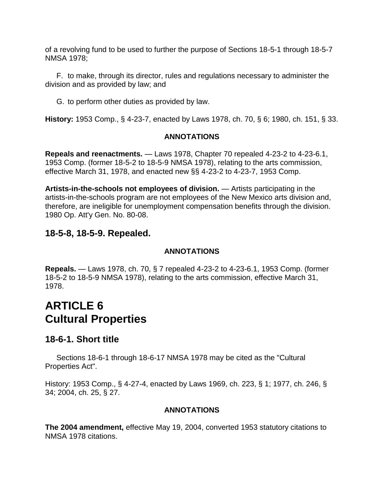of a revolving fund to be used to further the purpose of Sections 18-5-1 through 18-5-7 NMSA 1978;

F. to make, through its director, rules and regulations necessary to administer the division and as provided by law; and

G. to perform other duties as provided by law.

**History:** 1953 Comp., § 4-23-7, enacted by Laws 1978, ch. 70, § 6; 1980, ch. 151, § 33.

#### **ANNOTATIONS**

**Repeals and reenactments.** — Laws 1978, Chapter 70 repealed 4-23-2 to 4-23-6.1, 1953 Comp. (former 18-5-2 to 18-5-9 NMSA 1978), relating to the arts commission, effective March 31, 1978, and enacted new §§ 4-23-2 to 4-23-7, 1953 Comp.

**Artists-in-the-schools not employees of division.** — Artists participating in the artists-in-the-schools program are not employees of the New Mexico arts division and, therefore, are ineligible for unemployment compensation benefits through the division. 1980 Op. Att'y Gen. No. 80-08.

### **18-5-8, 18-5-9. Repealed.**

#### **ANNOTATIONS**

**Repeals.** — Laws 1978, ch. 70, § 7 repealed 4-23-2 to 4-23-6.1, 1953 Comp. (former 18-5-2 to 18-5-9 NMSA 1978), relating to the arts commission, effective March 31, 1978.

# **ARTICLE 6 Cultural Properties**

# **18-6-1. Short title**

Sections 18-6-1 through 18-6-17 NMSA 1978 may be cited as the "Cultural Properties Act".

History: 1953 Comp., § 4-27-4, enacted by Laws 1969, ch. 223, § 1; 1977, ch. 246, § 34; 2004, ch. 25, § 27.

#### **ANNOTATIONS**

**The 2004 amendment,** effective May 19, 2004, converted 1953 statutory citations to NMSA 1978 citations.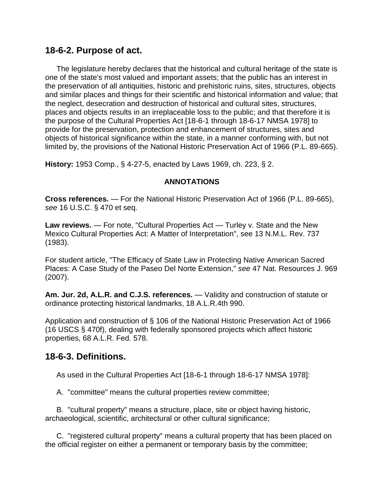### **18-6-2. Purpose of act.**

The legislature hereby declares that the historical and cultural heritage of the state is one of the state's most valued and important assets; that the public has an interest in the preservation of all antiquities, historic and prehistoric ruins, sites, structures, objects and similar places and things for their scientific and historical information and value; that the neglect, desecration and destruction of historical and cultural sites, structures, places and objects results in an irreplaceable loss to the public; and that therefore it is the purpose of the Cultural Properties Act [18-6-1 through 18-6-17 NMSA 1978] to provide for the preservation, protection and enhancement of structures, sites and objects of historical significance within the state, in a manner conforming with, but not limited by, the provisions of the National Historic Preservation Act of 1966 (P.L. 89-665).

**History:** 1953 Comp., § 4-27-5, enacted by Laws 1969, ch. 223, § 2.

#### **ANNOTATIONS**

**Cross references.** — For the National Historic Preservation Act of 1966 (P.L. 89-665), *see* 16 U.S.C. § 470 et seq.

**Law reviews.** — For note, "Cultural Properties Act — Turley v. State and the New Mexico Cultural Properties Act: A Matter of Interpretation", see 13 N.M.L. Rev. 737 (1983).

For student article, "The Efficacy of State Law in Protecting Native American Sacred Places: A Case Study of the Paseo Del Norte Extension," *see* 47 Nat. Resources J. 969 (2007).

**Am. Jur. 2d, A.L.R. and C.J.S. references.** — Validity and construction of statute or ordinance protecting historical landmarks, 18 A.L.R.4th 990.

Application and construction of § 106 of the National Historic Preservation Act of 1966 (16 USCS § 470f), dealing with federally sponsored projects which affect historic properties, 68 A.L.R. Fed. 578.

### **18-6-3. Definitions.**

As used in the Cultural Properties Act [18-6-1 through 18-6-17 NMSA 1978]:

A. "committee" means the cultural properties review committee;

B. "cultural property" means a structure, place, site or object having historic, archaeological, scientific, architectural or other cultural significance;

C. "registered cultural property" means a cultural property that has been placed on the official register on either a permanent or temporary basis by the committee;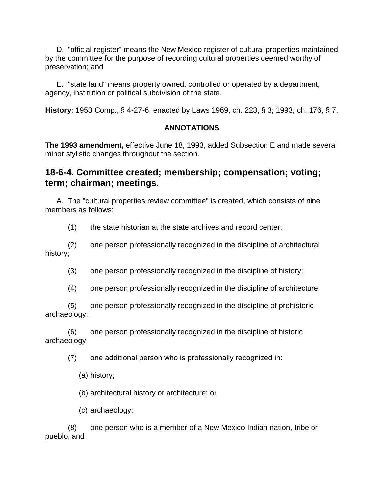D. "official register" means the New Mexico register of cultural properties maintained by the committee for the purpose of recording cultural properties deemed worthy of preservation; and

E. "state land" means property owned, controlled or operated by a department, agency, institution or political subdivision of the state.

**History:** 1953 Comp., § 4-27-6, enacted by Laws 1969, ch. 223, § 3; 1993, ch. 176, § 7.

#### **ANNOTATIONS**

**The 1993 amendment,** effective June 18, 1993, added Subsection E and made several minor stylistic changes throughout the section.

### **18-6-4. Committee created; membership; compensation; voting; term; chairman; meetings.**

A. The "cultural properties review committee" is created, which consists of nine members as follows:

(1) the state historian at the state archives and record center;

(2) one person professionally recognized in the discipline of architectural history;

(3) one person professionally recognized in the discipline of history;

(4) one person professionally recognized in the discipline of architecture;

(5) one person professionally recognized in the discipline of prehistoric archaeology;

(6) one person professionally recognized in the discipline of historic archaeology;

(7) one additional person who is professionally recognized in:

(a) history;

(b) architectural history or architecture; or

(c) archaeology;

(8) one person who is a member of a New Mexico Indian nation, tribe or pueblo; and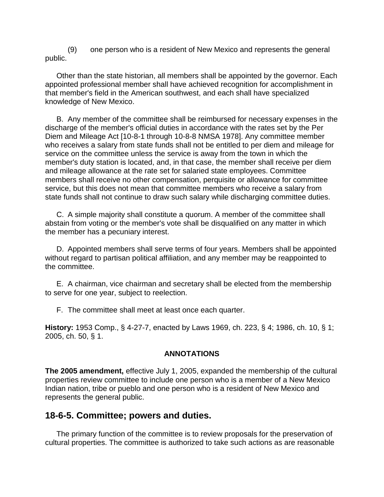(9) one person who is a resident of New Mexico and represents the general public.

Other than the state historian, all members shall be appointed by the governor. Each appointed professional member shall have achieved recognition for accomplishment in that member's field in the American southwest, and each shall have specialized knowledge of New Mexico.

B. Any member of the committee shall be reimbursed for necessary expenses in the discharge of the member's official duties in accordance with the rates set by the Per Diem and Mileage Act [10-8-1 through 10-8-8 NMSA 1978]. Any committee member who receives a salary from state funds shall not be entitled to per diem and mileage for service on the committee unless the service is away from the town in which the member's duty station is located, and, in that case, the member shall receive per diem and mileage allowance at the rate set for salaried state employees. Committee members shall receive no other compensation, perquisite or allowance for committee service, but this does not mean that committee members who receive a salary from state funds shall not continue to draw such salary while discharging committee duties.

C. A simple majority shall constitute a quorum. A member of the committee shall abstain from voting or the member's vote shall be disqualified on any matter in which the member has a pecuniary interest.

D. Appointed members shall serve terms of four years. Members shall be appointed without regard to partisan political affiliation, and any member may be reappointed to the committee.

E. A chairman, vice chairman and secretary shall be elected from the membership to serve for one year, subject to reelection.

F. The committee shall meet at least once each quarter.

**History:** 1953 Comp., § 4-27-7, enacted by Laws 1969, ch. 223, § 4; 1986, ch. 10, § 1; 2005, ch. 50, § 1.

#### **ANNOTATIONS**

**The 2005 amendment,** effective July 1, 2005, expanded the membership of the cultural properties review committee to include one person who is a member of a New Mexico Indian nation, tribe or pueblo and one person who is a resident of New Mexico and represents the general public.

#### **18-6-5. Committee; powers and duties.**

The primary function of the committee is to review proposals for the preservation of cultural properties. The committee is authorized to take such actions as are reasonable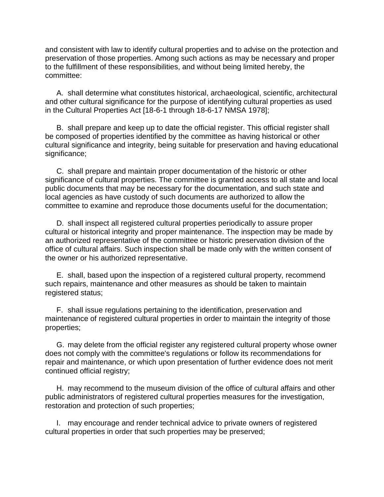and consistent with law to identify cultural properties and to advise on the protection and preservation of those properties. Among such actions as may be necessary and proper to the fulfillment of these responsibilities, and without being limited hereby, the committee:

A. shall determine what constitutes historical, archaeological, scientific, architectural and other cultural significance for the purpose of identifying cultural properties as used in the Cultural Properties Act [18-6-1 through 18-6-17 NMSA 1978];

B. shall prepare and keep up to date the official register. This official register shall be composed of properties identified by the committee as having historical or other cultural significance and integrity, being suitable for preservation and having educational significance;

C. shall prepare and maintain proper documentation of the historic or other significance of cultural properties. The committee is granted access to all state and local public documents that may be necessary for the documentation, and such state and local agencies as have custody of such documents are authorized to allow the committee to examine and reproduce those documents useful for the documentation;

D. shall inspect all registered cultural properties periodically to assure proper cultural or historical integrity and proper maintenance. The inspection may be made by an authorized representative of the committee or historic preservation division of the office of cultural affairs. Such inspection shall be made only with the written consent of the owner or his authorized representative.

E. shall, based upon the inspection of a registered cultural property, recommend such repairs, maintenance and other measures as should be taken to maintain registered status;

F. shall issue regulations pertaining to the identification, preservation and maintenance of registered cultural properties in order to maintain the integrity of those properties;

G. may delete from the official register any registered cultural property whose owner does not comply with the committee's regulations or follow its recommendations for repair and maintenance, or which upon presentation of further evidence does not merit continued official registry;

H. may recommend to the museum division of the office of cultural affairs and other public administrators of registered cultural properties measures for the investigation, restoration and protection of such properties;

I. may encourage and render technical advice to private owners of registered cultural properties in order that such properties may be preserved;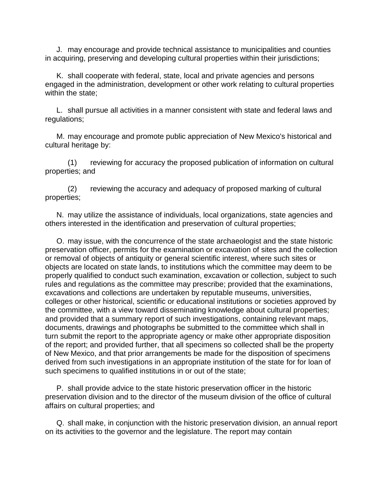J. may encourage and provide technical assistance to municipalities and counties in acquiring, preserving and developing cultural properties within their jurisdictions;

K. shall cooperate with federal, state, local and private agencies and persons engaged in the administration, development or other work relating to cultural properties within the state;

L. shall pursue all activities in a manner consistent with state and federal laws and regulations;

M. may encourage and promote public appreciation of New Mexico's historical and cultural heritage by:

(1) reviewing for accuracy the proposed publication of information on cultural properties; and

(2) reviewing the accuracy and adequacy of proposed marking of cultural properties;

N. may utilize the assistance of individuals, local organizations, state agencies and others interested in the identification and preservation of cultural properties;

O. may issue, with the concurrence of the state archaeologist and the state historic preservation officer, permits for the examination or excavation of sites and the collection or removal of objects of antiquity or general scientific interest, where such sites or objects are located on state lands, to institutions which the committee may deem to be properly qualified to conduct such examination, excavation or collection, subject to such rules and regulations as the committee may prescribe; provided that the examinations, excavations and collections are undertaken by reputable museums, universities, colleges or other historical, scientific or educational institutions or societies approved by the committee, with a view toward disseminating knowledge about cultural properties; and provided that a summary report of such investigations, containing relevant maps, documents, drawings and photographs be submitted to the committee which shall in turn submit the report to the appropriate agency or make other appropriate disposition of the report; and provided further, that all specimens so collected shall be the property of New Mexico, and that prior arrangements be made for the disposition of specimens derived from such investigations in an appropriate institution of the state for for loan of such specimens to qualified institutions in or out of the state;

P. shall provide advice to the state historic preservation officer in the historic preservation division and to the director of the museum division of the office of cultural affairs on cultural properties; and

Q. shall make, in conjunction with the historic preservation division, an annual report on its activities to the governor and the legislature. The report may contain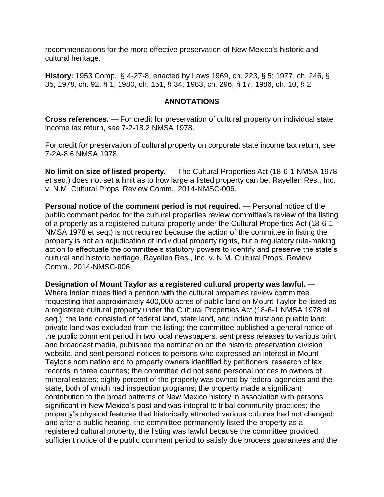recommendations for the more effective preservation of New Mexico's historic and cultural heritage.

**History:** 1953 Comp., § 4-27-8, enacted by Laws 1969, ch. 223, § 5; 1977, ch. 246, § 35; 1978, ch. 92, § 1; 1980, ch. 151, § 34; 1983, ch. 296, § 17; 1986, ch. 10, § 2.

#### **ANNOTATIONS**

**Cross references.** — For credit for preservation of cultural property on individual state income tax return, *see* 7-2-18.2 NMSA 1978.

For credit for preservation of cultural property on corporate state income tax return, *see* 7-2A-8.6 NMSA 1978.

**No limit on size of listed property.** — The Cultural Properties Act (18-6-1 NMSA 1978 et seq.) does not set a limit as to how large a listed property can be. Rayellen Res., Inc. v. N.M. Cultural Props. Review Comm., 2014-NMSC-006.

**Personal notice of the comment period is not required.** — Personal notice of the public comment period for the cultural properties review committee's review of the listing of a property as a registered cultural property under the Cultural Properties Act (18-6-1 NMSA 1978 et seq.) is not required because the action of the committee in listing the property is not an adjudication of individual property rights, but a regulatory rule-making action to effectuate the committee's statutory powers to identify and preserve the state's cultural and historic heritage. Rayellen Res., Inc. v. N.M. Cultural Props. Review Comm., 2014-NMSC-006.

**Designation of Mount Taylor as a registered cultural property was lawful.** —

Where Indian tribes filed a petition with the cultural properties review committee requesting that approximately 400,000 acres of public land on Mount Taylor be listed as a registered cultural property under the Cultural Properties Act (18-6-1 NMSA 1978 et seq.); the land consisted of federal land, state land, and Indian trust and pueblo land; private land was excluded from the listing; the committee published a general notice of the public comment period in two local newspapers, sent press releases to various print and broadcast media, published the nomination on the historic preservation division website, and sent personal notices to persons who expressed an interest in Mount Taylor's nomination and to property owners identified by petitioners' research of tax records in three counties; the committee did not send personal notices to owners of mineral estates; eighty percent of the property was owned by federal agencies and the state, both of which had inspection programs; the property made a significant contribution to the broad patterns of New Mexico history in association with persons significant in New Mexico's past and was integral to tribal community practices; the property's physical features that historically attracted various cultures had not changed; and after a public hearing, the committee permanently listed the property as a registered cultural property, the listing was lawful because the committee provided sufficient notice of the public comment period to satisfy due process guarantees and the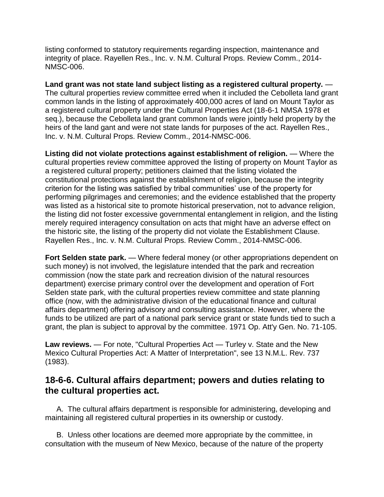listing conformed to statutory requirements regarding inspection, maintenance and integrity of place. Rayellen Res., Inc. v. N.M. Cultural Props. Review Comm., 2014- NMSC-006.

**Land grant was not state land subject listing as a registered cultural property.** — The cultural properties review committee erred when it included the Cebolleta land grant common lands in the listing of approximately 400,000 acres of land on Mount Taylor as a registered cultural property under the Cultural Properties Act (18-6-1 NMSA 1978 et seq.), because the Cebolleta land grant common lands were jointly held property by the heirs of the land gant and were not state lands for purposes of the act. Rayellen Res., Inc. v. N.M. Cultural Props. Review Comm., 2014-NMSC-006.

**Listing did not violate protections against establishment of religion.** — Where the cultural properties review committee approved the listing of property on Mount Taylor as a registered cultural property; petitioners claimed that the listing violated the constitutional protections against the establishment of religion, because the integrity criterion for the listing was satisfied by tribal communities' use of the property for performing pilgrimages and ceremonies; and the evidence established that the property was listed as a historical site to promote historical preservation, not to advance religion, the listing did not foster excessive governmental entanglement in religion, and the listing merely required interagency consultation on acts that might have an adverse effect on the historic site, the listing of the property did not violate the Establishment Clause. Rayellen Res., Inc. v. N.M. Cultural Props. Review Comm., 2014-NMSC-006.

**Fort Selden state park.** — Where federal money (or other appropriations dependent on such money) is not involved, the legislature intended that the park and recreation commission (now the state park and recreation division of the natural resources department) exercise primary control over the development and operation of Fort Selden state park, with the cultural properties review committee and state planning office (now, with the administrative division of the educational finance and cultural affairs department) offering advisory and consulting assistance. However, where the funds to be utilized are part of a national park service grant or state funds tied to such a grant, the plan is subject to approval by the committee. 1971 Op. Att'y Gen. No. 71-105.

**Law reviews.** — For note, "Cultural Properties Act — Turley v. State and the New Mexico Cultural Properties Act: A Matter of Interpretation", see 13 N.M.L. Rev. 737 (1983).

# **18-6-6. Cultural affairs department; powers and duties relating to the cultural properties act.**

A. The cultural affairs department is responsible for administering, developing and maintaining all registered cultural properties in its ownership or custody.

B. Unless other locations are deemed more appropriate by the committee, in consultation with the museum of New Mexico, because of the nature of the property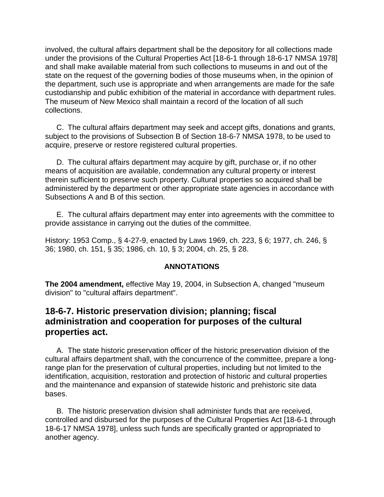involved, the cultural affairs department shall be the depository for all collections made under the provisions of the Cultural Properties Act [18-6-1 through 18-6-17 NMSA 1978] and shall make available material from such collections to museums in and out of the state on the request of the governing bodies of those museums when, in the opinion of the department, such use is appropriate and when arrangements are made for the safe custodianship and public exhibition of the material in accordance with department rules. The museum of New Mexico shall maintain a record of the location of all such collections.

C. The cultural affairs department may seek and accept gifts, donations and grants, subject to the provisions of Subsection B of Section 18-6-7 NMSA 1978, to be used to acquire, preserve or restore registered cultural properties.

D. The cultural affairs department may acquire by gift, purchase or, if no other means of acquisition are available, condemnation any cultural property or interest therein sufficient to preserve such property. Cultural properties so acquired shall be administered by the department or other appropriate state agencies in accordance with Subsections A and B of this section.

E. The cultural affairs department may enter into agreements with the committee to provide assistance in carrying out the duties of the committee.

History: 1953 Comp., § 4-27-9, enacted by Laws 1969, ch. 223, § 6; 1977, ch. 246, § 36; 1980, ch. 151, § 35; 1986, ch. 10, § 3; 2004, ch. 25, § 28.

#### **ANNOTATIONS**

**The 2004 amendment,** effective May 19, 2004, in Subsection A, changed "museum division" to "cultural affairs department".

# **18-6-7. Historic preservation division; planning; fiscal administration and cooperation for purposes of the cultural properties act.**

A. The state historic preservation officer of the historic preservation division of the cultural affairs department shall, with the concurrence of the committee, prepare a longrange plan for the preservation of cultural properties, including but not limited to the identification, acquisition, restoration and protection of historic and cultural properties and the maintenance and expansion of statewide historic and prehistoric site data bases.

B. The historic preservation division shall administer funds that are received, controlled and disbursed for the purposes of the Cultural Properties Act [18-6-1 through 18-6-17 NMSA 1978], unless such funds are specifically granted or appropriated to another agency.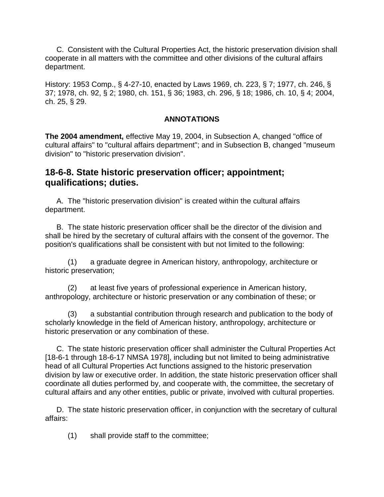C. Consistent with the Cultural Properties Act, the historic preservation division shall cooperate in all matters with the committee and other divisions of the cultural affairs department.

History: 1953 Comp., § 4-27-10, enacted by Laws 1969, ch. 223, § 7; 1977, ch. 246, § 37; 1978, ch. 92, § 2; 1980, ch. 151, § 36; 1983, ch. 296, § 18; 1986, ch. 10, § 4; 2004, ch. 25, § 29.

#### **ANNOTATIONS**

**The 2004 amendment,** effective May 19, 2004, in Subsection A, changed "office of cultural affairs" to "cultural affairs department"; and in Subsection B, changed "museum division" to "historic preservation division".

### **18-6-8. State historic preservation officer; appointment; qualifications; duties.**

A. The "historic preservation division" is created within the cultural affairs department.

B. The state historic preservation officer shall be the director of the division and shall be hired by the secretary of cultural affairs with the consent of the governor. The position's qualifications shall be consistent with but not limited to the following:

(1) a graduate degree in American history, anthropology, architecture or historic preservation;

(2) at least five years of professional experience in American history, anthropology, architecture or historic preservation or any combination of these; or

(3) a substantial contribution through research and publication to the body of scholarly knowledge in the field of American history, anthropology, architecture or historic preservation or any combination of these.

C. The state historic preservation officer shall administer the Cultural Properties Act [18-6-1 through 18-6-17 NMSA 1978], including but not limited to being administrative head of all Cultural Properties Act functions assigned to the historic preservation division by law or executive order. In addition, the state historic preservation officer shall coordinate all duties performed by, and cooperate with, the committee, the secretary of cultural affairs and any other entities, public or private, involved with cultural properties.

D. The state historic preservation officer, in conjunction with the secretary of cultural affairs:

(1) shall provide staff to the committee;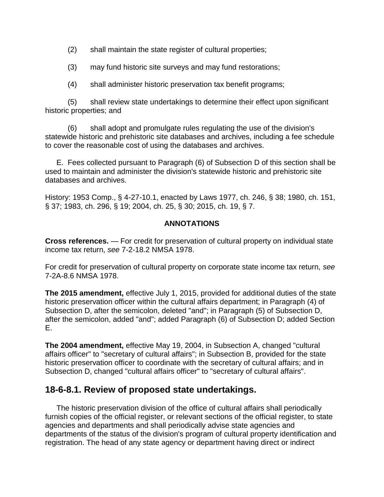(2) shall maintain the state register of cultural properties;

(3) may fund historic site surveys and may fund restorations;

(4) shall administer historic preservation tax benefit programs;

(5) shall review state undertakings to determine their effect upon significant historic properties; and

(6) shall adopt and promulgate rules regulating the use of the division's statewide historic and prehistoric site databases and archives, including a fee schedule to cover the reasonable cost of using the databases and archives.

E. Fees collected pursuant to Paragraph (6) of Subsection D of this section shall be used to maintain and administer the division's statewide historic and prehistoric site databases and archives.

History: 1953 Comp., § 4-27-10.1, enacted by Laws 1977, ch. 246, § 38; 1980, ch. 151, § 37; 1983, ch. 296, § 19; 2004, ch. 25, § 30; 2015, ch. 19, § 7.

#### **ANNOTATIONS**

**Cross references.** — For credit for preservation of cultural property on individual state income tax return, *see* 7-2-18.2 NMSA 1978.

For credit for preservation of cultural property on corporate state income tax return, *see* 7-2A-8.6 NMSA 1978.

**The 2015 amendment,** effective July 1, 2015, provided for additional duties of the state historic preservation officer within the cultural affairs department; in Paragraph (4) of Subsection D, after the semicolon, deleted "and"; in Paragraph (5) of Subsection D, after the semicolon, added "and"; added Paragraph (6) of Subsection D; added Section E.

**The 2004 amendment,** effective May 19, 2004, in Subsection A, changed "cultural affairs officer" to "secretary of cultural affairs"; in Subsection B, provided for the state historic preservation officer to coordinate with the secretary of cultural affairs; and in Subsection D, changed "cultural affairs officer" to "secretary of cultural affairs".

# **18-6-8.1. Review of proposed state undertakings.**

The historic preservation division of the office of cultural affairs shall periodically furnish copies of the official register, or relevant sections of the official register, to state agencies and departments and shall periodically advise state agencies and departments of the status of the division's program of cultural property identification and registration. The head of any state agency or department having direct or indirect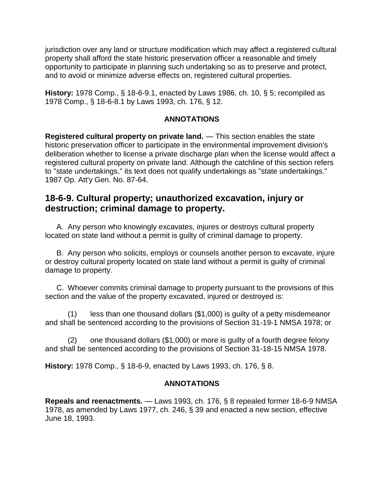jurisdiction over any land or structure modification which may affect a registered cultural property shall afford the state historic preservation officer a reasonable and timely opportunity to participate in planning such undertaking so as to preserve and protect, and to avoid or minimize adverse effects on, registered cultural properties.

**History:** 1978 Comp., § 18-6-9.1, enacted by Laws 1986, ch. 10, § 5; recompiled as 1978 Comp., § 18-6-8.1 by Laws 1993, ch. 176, § 12.

#### **ANNOTATIONS**

**Registered cultural property on private land.** — This section enables the state historic preservation officer to participate in the environmental improvement division's deliberation whether to license a private discharge plan when the license would affect a registered cultural property on private land. Although the catchline of this section refers to "state undertakings," its text does not qualify undertakings as "state undertakings." 1987 Op. Att'y Gen. No. 87-64.

### **18-6-9. Cultural property; unauthorized excavation, injury or destruction; criminal damage to property.**

A. Any person who knowingly excavates, injures or destroys cultural property located on state land without a permit is guilty of criminal damage to property.

B. Any person who solicits, employs or counsels another person to excavate, injure or destroy cultural property located on state land without a permit is guilty of criminal damage to property.

C. Whoever commits criminal damage to property pursuant to the provisions of this section and the value of the property excavated, injured or destroyed is:

 $(1)$  less than one thousand dollars (\$1,000) is guilty of a petty misdemeanor and shall be sentenced according to the provisions of Section 31-19-1 NMSA 1978; or

(2) one thousand dollars (\$1,000) or more is guilty of a fourth degree felony and shall be sentenced according to the provisions of Section 31-18-15 NMSA 1978.

**History:** 1978 Comp., § 18-6-9, enacted by Laws 1993, ch. 176, § 8.

#### **ANNOTATIONS**

**Repeals and reenactments.** — Laws 1993, ch. 176, § 8 repealed former 18-6-9 NMSA 1978, as amended by Laws 1977, ch. 246, § 39 and enacted a new section, effective June 18, 1993.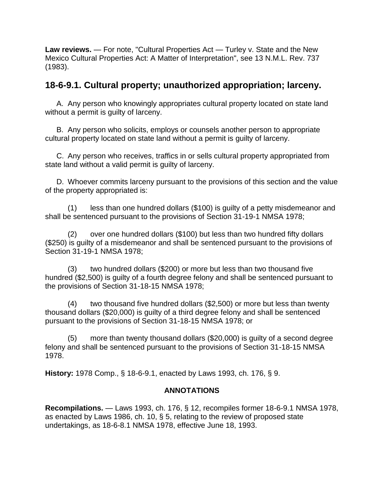**Law reviews.** — For note, "Cultural Properties Act — Turley v. State and the New Mexico Cultural Properties Act: A Matter of Interpretation", see 13 N.M.L. Rev. 737 (1983).

# **18-6-9.1. Cultural property; unauthorized appropriation; larceny.**

A. Any person who knowingly appropriates cultural property located on state land without a permit is guilty of larceny.

B. Any person who solicits, employs or counsels another person to appropriate cultural property located on state land without a permit is guilty of larceny.

C. Any person who receives, traffics in or sells cultural property appropriated from state land without a valid permit is guilty of larceny.

D. Whoever commits larceny pursuant to the provisions of this section and the value of the property appropriated is:

(1) less than one hundred dollars (\$100) is guilty of a petty misdemeanor and shall be sentenced pursuant to the provisions of Section 31-19-1 NMSA 1978;

(2) over one hundred dollars (\$100) but less than two hundred fifty dollars (\$250) is guilty of a misdemeanor and shall be sentenced pursuant to the provisions of Section 31-19-1 NMSA 1978;

(3) two hundred dollars (\$200) or more but less than two thousand five hundred (\$2,500) is guilty of a fourth degree felony and shall be sentenced pursuant to the provisions of Section 31-18-15 NMSA 1978;

(4) two thousand five hundred dollars (\$2,500) or more but less than twenty thousand dollars (\$20,000) is guilty of a third degree felony and shall be sentenced pursuant to the provisions of Section 31-18-15 NMSA 1978; or

(5) more than twenty thousand dollars (\$20,000) is guilty of a second degree felony and shall be sentenced pursuant to the provisions of Section 31-18-15 NMSA 1978.

**History:** 1978 Comp., § 18-6-9.1, enacted by Laws 1993, ch. 176, § 9.

### **ANNOTATIONS**

**Recompilations.** — Laws 1993, ch. 176, § 12, recompiles former 18-6-9.1 NMSA 1978, as enacted by Laws 1986, ch. 10, § 5, relating to the review of proposed state undertakings, as 18-6-8.1 NMSA 1978, effective June 18, 1993.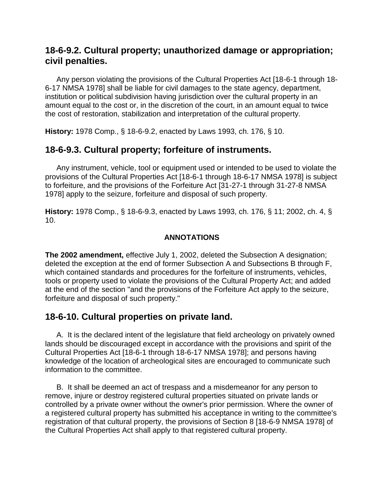# **18-6-9.2. Cultural property; unauthorized damage or appropriation; civil penalties.**

Any person violating the provisions of the Cultural Properties Act [18-6-1 through 18- 6-17 NMSA 1978] shall be liable for civil damages to the state agency, department, institution or political subdivision having jurisdiction over the cultural property in an amount equal to the cost or, in the discretion of the court, in an amount equal to twice the cost of restoration, stabilization and interpretation of the cultural property.

**History:** 1978 Comp., § 18-6-9.2, enacted by Laws 1993, ch. 176, § 10.

# **18-6-9.3. Cultural property; forfeiture of instruments.**

Any instrument, vehicle, tool or equipment used or intended to be used to violate the provisions of the Cultural Properties Act [18-6-1 through 18-6-17 NMSA 1978] is subject to forfeiture, and the provisions of the Forfeiture Act [31-27-1 through 31-27-8 NMSA 1978] apply to the seizure, forfeiture and disposal of such property.

**History:** 1978 Comp., § 18-6-9.3, enacted by Laws 1993, ch. 176, § 11; 2002, ch. 4, § 10.

#### **ANNOTATIONS**

**The 2002 amendment,** effective July 1, 2002, deleted the Subsection A designation; deleted the exception at the end of former Subsection A and Subsections B through F, which contained standards and procedures for the forfeiture of instruments, vehicles, tools or property used to violate the provisions of the Cultural Property Act; and added at the end of the section "and the provisions of the Forfeiture Act apply to the seizure, forfeiture and disposal of such property."

### **18-6-10. Cultural properties on private land.**

A. It is the declared intent of the legislature that field archeology on privately owned lands should be discouraged except in accordance with the provisions and spirit of the Cultural Properties Act [18-6-1 through 18-6-17 NMSA 1978]; and persons having knowledge of the location of archeological sites are encouraged to communicate such information to the committee.

B. It shall be deemed an act of trespass and a misdemeanor for any person to remove, injure or destroy registered cultural properties situated on private lands or controlled by a private owner without the owner's prior permission. Where the owner of a registered cultural property has submitted his acceptance in writing to the committee's registration of that cultural property, the provisions of Section 8 [18-6-9 NMSA 1978] of the Cultural Properties Act shall apply to that registered cultural property.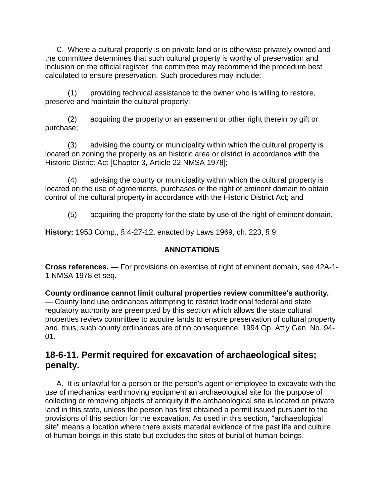C. Where a cultural property is on private land or is otherwise privately owned and the committee determines that such cultural property is worthy of preservation and inclusion on the official register, the committee may recommend the procedure best calculated to ensure preservation. Such procedures may include:

(1) providing technical assistance to the owner who is willing to restore, preserve and maintain the cultural property;

(2) acquiring the property or an easement or other right therein by gift or purchase;

(3) advising the county or municipality within which the cultural property is located on zoning the property as an historic area or district in accordance with the Historic District Act [Chapter 3, Article 22 NMSA 1978];

(4) advising the county or municipality within which the cultural property is located on the use of agreements, purchases or the right of eminent domain to obtain control of the cultural property in accordance with the Historic District Act; and

(5) acquiring the property for the state by use of the right of eminent domain.

**History:** 1953 Comp., § 4-27-12, enacted by Laws 1969, ch. 223, § 9.

#### **ANNOTATIONS**

**Cross references.** — For provisions on exercise of right of eminent domain, *see* 42A-1- 1 NMSA 1978 et seq.

**County ordinance cannot limit cultural properties review committee's authority.** — County land use ordinances attempting to restrict traditional federal and state regulatory authority are preempted by this section which allows the state cultural properties review committee to acquire lands to ensure preservation of cultural property and, thus, such county ordinances are of no consequence. 1994 Op. Att'y Gen. No. 94- 01.

# **18-6-11. Permit required for excavation of archaeological sites; penalty.**

A. It is unlawful for a person or the person's agent or employee to excavate with the use of mechanical earthmoving equipment an archaeological site for the purpose of collecting or removing objects of antiquity if the archaeological site is located on private land in this state, unless the person has first obtained a permit issued pursuant to the provisions of this section for the excavation. As used in this section, "archaeological site" means a location where there exists material evidence of the past life and culture of human beings in this state but excludes the sites of burial of human beings.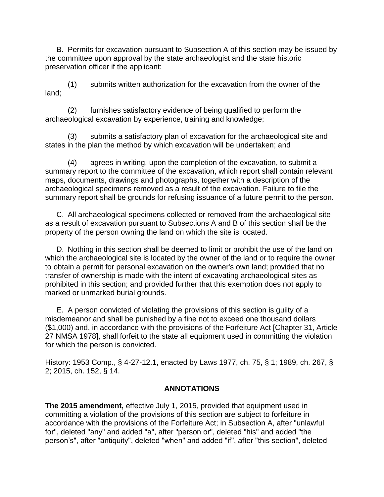B. Permits for excavation pursuant to Subsection A of this section may be issued by the committee upon approval by the state archaeologist and the state historic preservation officer if the applicant:

(1) submits written authorization for the excavation from the owner of the land;

(2) furnishes satisfactory evidence of being qualified to perform the archaeological excavation by experience, training and knowledge;

(3) submits a satisfactory plan of excavation for the archaeological site and states in the plan the method by which excavation will be undertaken; and

(4) agrees in writing, upon the completion of the excavation, to submit a summary report to the committee of the excavation, which report shall contain relevant maps, documents, drawings and photographs, together with a description of the archaeological specimens removed as a result of the excavation. Failure to file the summary report shall be grounds for refusing issuance of a future permit to the person.

C. All archaeological specimens collected or removed from the archaeological site as a result of excavation pursuant to Subsections A and B of this section shall be the property of the person owning the land on which the site is located.

D. Nothing in this section shall be deemed to limit or prohibit the use of the land on which the archaeological site is located by the owner of the land or to require the owner to obtain a permit for personal excavation on the owner's own land; provided that no transfer of ownership is made with the intent of excavating archaeological sites as prohibited in this section; and provided further that this exemption does not apply to marked or unmarked burial grounds.

E. A person convicted of violating the provisions of this section is guilty of a misdemeanor and shall be punished by a fine not to exceed one thousand dollars (\$1,000) and, in accordance with the provisions of the Forfeiture Act [Chapter 31, Article 27 NMSA 1978], shall forfeit to the state all equipment used in committing the violation for which the person is convicted.

History: 1953 Comp., § 4-27-12.1, enacted by Laws 1977, ch. 75, § 1; 1989, ch. 267, § 2; 2015, ch. 152, § 14.

#### **ANNOTATIONS**

**The 2015 amendment,** effective July 1, 2015, provided that equipment used in committing a violation of the provisions of this section are subject to forfeiture in accordance with the provisions of the Forfeiture Act; in Subsection A, after "unlawful for", deleted "any" and added "a", after "person or", deleted "his" and added "the person's", after "antiquity", deleted "when" and added "if", after "this section", deleted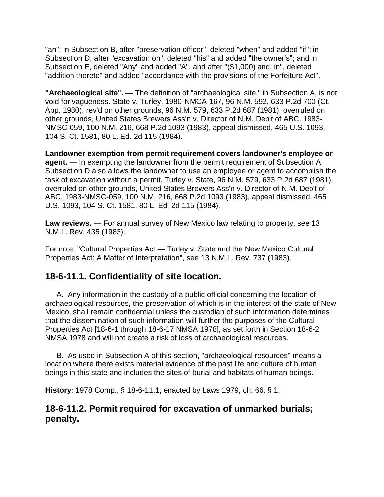"an"; in Subsection B, after "preservation officer", deleted "when" and added "if"; in Subsection D, after "excavation on", deleted "his" and added "the owner's"; and in Subsection E, deleted "Any" and added "A", and after "(\$1,000) and, in", deleted "addition thereto" and added "accordance with the provisions of the Forfeiture Act".

**"Archaeological site".** — The definition of "archaeological site," in Subsection A, is not void for vagueness. State v. Turley, 1980-NMCA-167, 96 N.M. 592, 633 P.2d 700 (Ct. App. 1980), rev'd on other grounds, 96 N.M. 579, 633 P.2d 687 (1981), overruled on other grounds, United States Brewers Ass'n v. Director of N.M. Dep't of ABC, 1983- NMSC-059, 100 N.M. 216, 668 P.2d 1093 (1983), appeal dismissed, 465 U.S. 1093, 104 S. Ct. 1581, 80 L. Ed. 2d 115 (1984).

**Landowner exemption from permit requirement covers landowner's employee or agent.** — In exempting the landowner from the permit requirement of Subsection A, Subsection D also allows the landowner to use an employee or agent to accomplish the task of excavation without a permit. Turley v. State, 96 N.M. 579, 633 P.2d 687 (1981), overruled on other grounds, United States Brewers Ass'n v. Director of N.M. Dep't of ABC, 1983-NMSC-059, 100 N.M. 216, 668 P.2d 1093 (1983), appeal dismissed, 465 U.S. 1093, 104 S. Ct. 1581, 80 L. Ed. 2d 115 (1984).

**Law reviews.** — For annual survey of New Mexico law relating to property, see 13 N.M.L. Rev. 435 (1983).

For note, "Cultural Properties Act — Turley v. State and the New Mexico Cultural Properties Act: A Matter of Interpretation", see 13 N.M.L. Rev. 737 (1983).

# **18-6-11.1. Confidentiality of site location.**

A. Any information in the custody of a public official concerning the location of archaeological resources, the preservation of which is in the interest of the state of New Mexico, shall remain confidential unless the custodian of such information determines that the dissemination of such information will further the purposes of the Cultural Properties Act [18-6-1 through 18-6-17 NMSA 1978], as set forth in Section 18-6-2 NMSA 1978 and will not create a risk of loss of archaeological resources.

B. As used in Subsection A of this section, "archaeological resources" means a location where there exists material evidence of the past life and culture of human beings in this state and includes the sites of burial and habitats of human beings.

**History:** 1978 Comp., § 18-6-11.1, enacted by Laws 1979, ch. 66, § 1.

# **18-6-11.2. Permit required for excavation of unmarked burials; penalty.**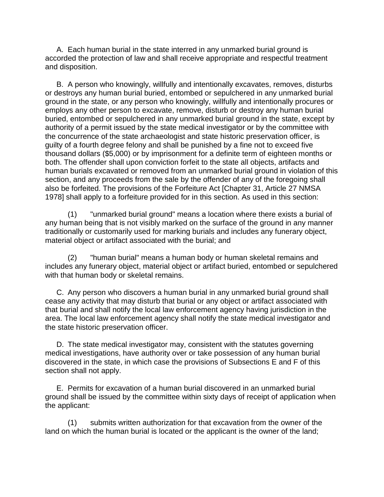A. Each human burial in the state interred in any unmarked burial ground is accorded the protection of law and shall receive appropriate and respectful treatment and disposition.

B. A person who knowingly, willfully and intentionally excavates, removes, disturbs or destroys any human burial buried, entombed or sepulchered in any unmarked burial ground in the state, or any person who knowingly, willfully and intentionally procures or employs any other person to excavate, remove, disturb or destroy any human burial buried, entombed or sepulchered in any unmarked burial ground in the state, except by authority of a permit issued by the state medical investigator or by the committee with the concurrence of the state archaeologist and state historic preservation officer, is guilty of a fourth degree felony and shall be punished by a fine not to exceed five thousand dollars (\$5,000) or by imprisonment for a definite term of eighteen months or both. The offender shall upon conviction forfeit to the state all objects, artifacts and human burials excavated or removed from an unmarked burial ground in violation of this section, and any proceeds from the sale by the offender of any of the foregoing shall also be forfeited. The provisions of the Forfeiture Act [Chapter 31, Article 27 NMSA 1978] shall apply to a forfeiture provided for in this section. As used in this section:

(1) "unmarked burial ground" means a location where there exists a burial of any human being that is not visibly marked on the surface of the ground in any manner traditionally or customarily used for marking burials and includes any funerary object, material object or artifact associated with the burial; and

(2) "human burial" means a human body or human skeletal remains and includes any funerary object, material object or artifact buried, entombed or sepulchered with that human body or skeletal remains.

C. Any person who discovers a human burial in any unmarked burial ground shall cease any activity that may disturb that burial or any object or artifact associated with that burial and shall notify the local law enforcement agency having jurisdiction in the area. The local law enforcement agency shall notify the state medical investigator and the state historic preservation officer.

D. The state medical investigator may, consistent with the statutes governing medical investigations, have authority over or take possession of any human burial discovered in the state, in which case the provisions of Subsections E and F of this section shall not apply.

E. Permits for excavation of a human burial discovered in an unmarked burial ground shall be issued by the committee within sixty days of receipt of application when the applicant:

(1) submits written authorization for that excavation from the owner of the land on which the human burial is located or the applicant is the owner of the land;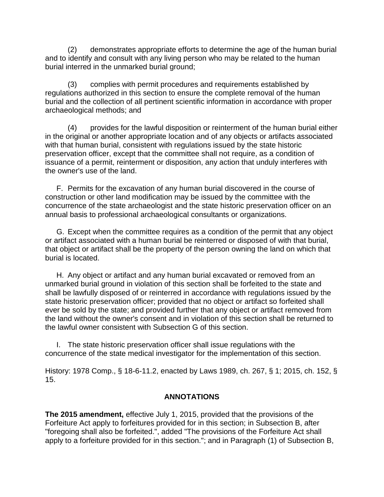(2) demonstrates appropriate efforts to determine the age of the human burial and to identify and consult with any living person who may be related to the human burial interred in the unmarked burial ground;

(3) complies with permit procedures and requirements established by regulations authorized in this section to ensure the complete removal of the human burial and the collection of all pertinent scientific information in accordance with proper archaeological methods; and

(4) provides for the lawful disposition or reinterment of the human burial either in the original or another appropriate location and of any objects or artifacts associated with that human burial, consistent with regulations issued by the state historic preservation officer, except that the committee shall not require, as a condition of issuance of a permit, reinterment or disposition, any action that unduly interferes with the owner's use of the land.

F. Permits for the excavation of any human burial discovered in the course of construction or other land modification may be issued by the committee with the concurrence of the state archaeologist and the state historic preservation officer on an annual basis to professional archaeological consultants or organizations.

G. Except when the committee requires as a condition of the permit that any object or artifact associated with a human burial be reinterred or disposed of with that burial, that object or artifact shall be the property of the person owning the land on which that burial is located.

H. Any object or artifact and any human burial excavated or removed from an unmarked burial ground in violation of this section shall be forfeited to the state and shall be lawfully disposed of or reinterred in accordance with regulations issued by the state historic preservation officer; provided that no object or artifact so forfeited shall ever be sold by the state; and provided further that any object or artifact removed from the land without the owner's consent and in violation of this section shall be returned to the lawful owner consistent with Subsection G of this section.

I. The state historic preservation officer shall issue regulations with the concurrence of the state medical investigator for the implementation of this section.

History: 1978 Comp., § 18-6-11.2, enacted by Laws 1989, ch. 267, § 1; 2015, ch. 152, § 15.

#### **ANNOTATIONS**

**The 2015 amendment,** effective July 1, 2015, provided that the provisions of the Forfeiture Act apply to forfeitures provided for in this section; in Subsection B, after "foregoing shall also be forfeited.", added "The provisions of the Forfeiture Act shall apply to a forfeiture provided for in this section."; and in Paragraph (1) of Subsection B,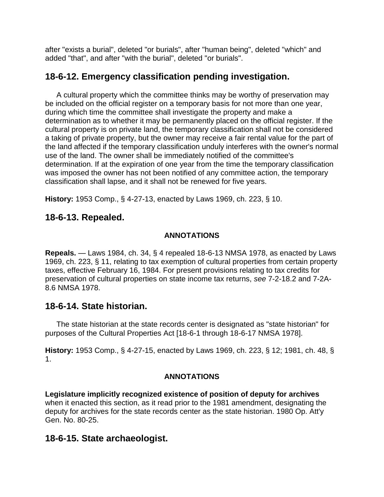after "exists a burial", deleted "or burials", after "human being", deleted "which" and added "that", and after "with the burial", deleted "or burials".

# **18-6-12. Emergency classification pending investigation.**

A cultural property which the committee thinks may be worthy of preservation may be included on the official register on a temporary basis for not more than one year, during which time the committee shall investigate the property and make a determination as to whether it may be permanently placed on the official register. If the cultural property is on private land, the temporary classification shall not be considered a taking of private property, but the owner may receive a fair rental value for the part of the land affected if the temporary classification unduly interferes with the owner's normal use of the land. The owner shall be immediately notified of the committee's determination. If at the expiration of one year from the time the temporary classification was imposed the owner has not been notified of any committee action, the temporary classification shall lapse, and it shall not be renewed for five years.

**History:** 1953 Comp., § 4-27-13, enacted by Laws 1969, ch. 223, § 10.

# **18-6-13. Repealed.**

### **ANNOTATIONS**

**Repeals.** — Laws 1984, ch. 34, § 4 repealed 18-6-13 NMSA 1978, as enacted by Laws 1969, ch. 223, § 11, relating to tax exemption of cultural properties from certain property taxes, effective February 16, 1984. For present provisions relating to tax credits for preservation of cultural properties on state income tax returns, *see* 7-2-18.2 and 7-2A-8.6 NMSA 1978.

# **18-6-14. State historian.**

The state historian at the state records center is designated as "state historian" for purposes of the Cultural Properties Act [18-6-1 through 18-6-17 NMSA 1978].

**History:** 1953 Comp., § 4-27-15, enacted by Laws 1969, ch. 223, § 12; 1981, ch. 48, § 1.

#### **ANNOTATIONS**

**Legislature implicitly recognized existence of position of deputy for archives** when it enacted this section, as it read prior to the 1981 amendment, designating the deputy for archives for the state records center as the state historian. 1980 Op. Att'y Gen. No. 80-25.

# **18-6-15. State archaeologist.**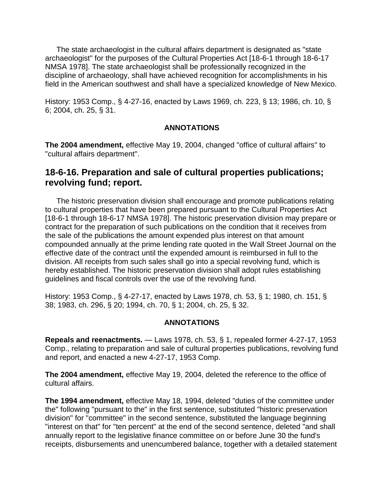The state archaeologist in the cultural affairs department is designated as "state archaeologist" for the purposes of the Cultural Properties Act [18-6-1 through 18-6-17 NMSA 1978]. The state archaeologist shall be professionally recognized in the discipline of archaeology, shall have achieved recognition for accomplishments in his field in the American southwest and shall have a specialized knowledge of New Mexico.

History: 1953 Comp., § 4-27-16, enacted by Laws 1969, ch. 223, § 13; 1986, ch. 10, § 6; 2004, ch. 25, § 31.

#### **ANNOTATIONS**

**The 2004 amendment,** effective May 19, 2004, changed "office of cultural affairs" to "cultural affairs department".

### **18-6-16. Preparation and sale of cultural properties publications; revolving fund; report.**

The historic preservation division shall encourage and promote publications relating to cultural properties that have been prepared pursuant to the Cultural Properties Act [18-6-1 through 18-6-17 NMSA 1978]. The historic preservation division may prepare or contract for the preparation of such publications on the condition that it receives from the sale of the publications the amount expended plus interest on that amount compounded annually at the prime lending rate quoted in the Wall Street Journal on the effective date of the contract until the expended amount is reimbursed in full to the division. All receipts from such sales shall go into a special revolving fund, which is hereby established. The historic preservation division shall adopt rules establishing guidelines and fiscal controls over the use of the revolving fund.

History: 1953 Comp., § 4-27-17, enacted by Laws 1978, ch. 53, § 1; 1980, ch. 151, § 38; 1983, ch. 296, § 20; 1994, ch. 70, § 1; 2004, ch. 25, § 32.

#### **ANNOTATIONS**

**Repeals and reenactments.** — Laws 1978, ch. 53, § 1, repealed former 4-27-17, 1953 Comp., relating to preparation and sale of cultural properties publications, revolving fund and report, and enacted a new 4-27-17, 1953 Comp.

**The 2004 amendment,** effective May 19, 2004, deleted the reference to the office of cultural affairs.

**The 1994 amendment,** effective May 18, 1994, deleted "duties of the committee under the" following "pursuant to the" in the first sentence, substituted "historic preservation division" for "committee" in the second sentence, substituted the language beginning "interest on that" for "ten percent" at the end of the second sentence, deleted "and shall annually report to the legislative finance committee on or before June 30 the fund's receipts, disbursements and unencumbered balance, together with a detailed statement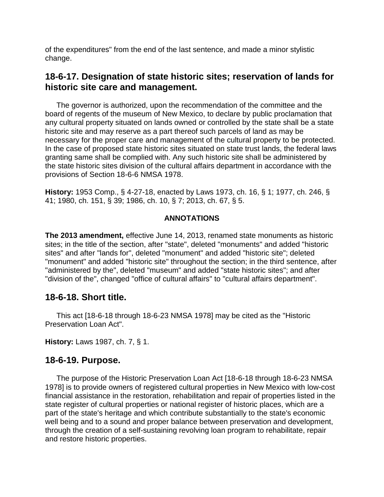of the expenditures" from the end of the last sentence, and made a minor stylistic change.

### **18-6-17. Designation of state historic sites; reservation of lands for historic site care and management.**

The governor is authorized, upon the recommendation of the committee and the board of regents of the museum of New Mexico, to declare by public proclamation that any cultural property situated on lands owned or controlled by the state shall be a state historic site and may reserve as a part thereof such parcels of land as may be necessary for the proper care and management of the cultural property to be protected. In the case of proposed state historic sites situated on state trust lands, the federal laws granting same shall be complied with. Any such historic site shall be administered by the state historic sites division of the cultural affairs department in accordance with the provisions of Section 18-6-6 NMSA 1978.

**History:** 1953 Comp., § 4-27-18, enacted by Laws 1973, ch. 16, § 1; 1977, ch. 246, § 41; 1980, ch. 151, § 39; 1986, ch. 10, § 7; 2013, ch. 67, § 5.

#### **ANNOTATIONS**

**The 2013 amendment,** effective June 14, 2013, renamed state monuments as historic sites; in the title of the section, after "state", deleted "monuments" and added "historic sites" and after "lands for", deleted "monument" and added "historic site"; deleted "monument" and added "historic site" throughout the section; in the third sentence, after "administered by the", deleted "museum" and added "state historic sites"; and after "division of the", changed "office of cultural affairs" to "cultural affairs department".

#### **18-6-18. Short title.**

This act [18-6-18 through 18-6-23 NMSA 1978] may be cited as the "Historic Preservation Loan Act".

**History:** Laws 1987, ch. 7, § 1.

### **18-6-19. Purpose.**

The purpose of the Historic Preservation Loan Act [18-6-18 through 18-6-23 NMSA 1978] is to provide owners of registered cultural properties in New Mexico with low-cost financial assistance in the restoration, rehabilitation and repair of properties listed in the state register of cultural properties or national register of historic places, which are a part of the state's heritage and which contribute substantially to the state's economic well being and to a sound and proper balance between preservation and development, through the creation of a self-sustaining revolving loan program to rehabilitate, repair and restore historic properties.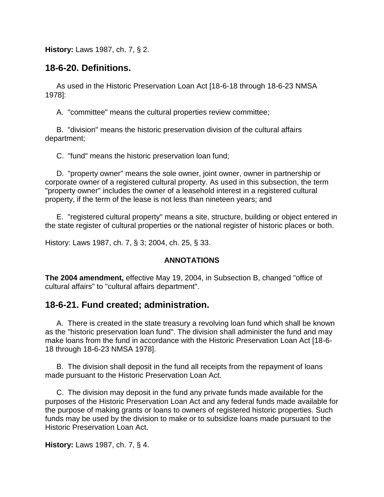**History:** Laws 1987, ch. 7, § 2.

# **18-6-20. Definitions.**

As used in the Historic Preservation Loan Act [18-6-18 through 18-6-23 NMSA 1978]:

A. "committee" means the cultural properties review committee;

B. "division" means the historic preservation division of the cultural affairs department;

C. "fund" means the historic preservation loan fund;

D. "property owner" means the sole owner, joint owner, owner in partnership or corporate owner of a registered cultural property. As used in this subsection, the term "property owner" includes the owner of a leasehold interest in a registered cultural property, if the term of the lease is not less than nineteen years; and

E. "registered cultural property" means a site, structure, building or object entered in the state register of cultural properties or the national register of historic places or both.

History: Laws 1987, ch. 7, § 3; 2004, ch. 25, § 33.

#### **ANNOTATIONS**

**The 2004 amendment,** effective May 19, 2004, in Subsection B, changed "office of cultural affairs" to "cultural affairs department".

# **18-6-21. Fund created; administration.**

A. There is created in the state treasury a revolving loan fund which shall be known as the "historic preservation loan fund". The division shall administer the fund and may make loans from the fund in accordance with the Historic Preservation Loan Act [18-6- 18 through 18-6-23 NMSA 1978].

B. The division shall deposit in the fund all receipts from the repayment of loans made pursuant to the Historic Preservation Loan Act.

C. The division may deposit in the fund any private funds made available for the purposes of the Historic Preservation Loan Act and any federal funds made available for the purpose of making grants or loans to owners of registered historic properties. Such funds may be used by the division to make or to subsidize loans made pursuant to the Historic Preservation Loan Act.

**History:** Laws 1987, ch. 7, § 4.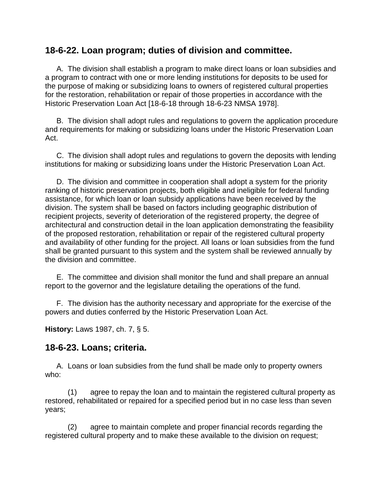# **18-6-22. Loan program; duties of division and committee.**

A. The division shall establish a program to make direct loans or loan subsidies and a program to contract with one or more lending institutions for deposits to be used for the purpose of making or subsidizing loans to owners of registered cultural properties for the restoration, rehabilitation or repair of those properties in accordance with the Historic Preservation Loan Act [18-6-18 through 18-6-23 NMSA 1978].

B. The division shall adopt rules and regulations to govern the application procedure and requirements for making or subsidizing loans under the Historic Preservation Loan Act.

C. The division shall adopt rules and regulations to govern the deposits with lending institutions for making or subsidizing loans under the Historic Preservation Loan Act.

D. The division and committee in cooperation shall adopt a system for the priority ranking of historic preservation projects, both eligible and ineligible for federal funding assistance, for which loan or loan subsidy applications have been received by the division. The system shall be based on factors including geographic distribution of recipient projects, severity of deterioration of the registered property, the degree of architectural and construction detail in the loan application demonstrating the feasibility of the proposed restoration, rehabilitation or repair of the registered cultural property and availability of other funding for the project. All loans or loan subsidies from the fund shall be granted pursuant to this system and the system shall be reviewed annually by the division and committee.

E. The committee and division shall monitor the fund and shall prepare an annual report to the governor and the legislature detailing the operations of the fund.

F. The division has the authority necessary and appropriate for the exercise of the powers and duties conferred by the Historic Preservation Loan Act.

**History:** Laws 1987, ch. 7, § 5.

#### **18-6-23. Loans; criteria.**

A. Loans or loan subsidies from the fund shall be made only to property owners who:

(1) agree to repay the loan and to maintain the registered cultural property as restored, rehabilitated or repaired for a specified period but in no case less than seven years;

(2) agree to maintain complete and proper financial records regarding the registered cultural property and to make these available to the division on request;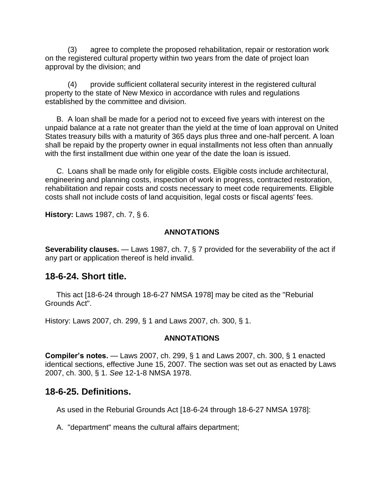(3) agree to complete the proposed rehabilitation, repair or restoration work on the registered cultural property within two years from the date of project loan approval by the division; and

(4) provide sufficient collateral security interest in the registered cultural property to the state of New Mexico in accordance with rules and regulations established by the committee and division.

B. A loan shall be made for a period not to exceed five years with interest on the unpaid balance at a rate not greater than the yield at the time of loan approval on United States treasury bills with a maturity of 365 days plus three and one-half percent. A loan shall be repaid by the property owner in equal installments not less often than annually with the first installment due within one year of the date the loan is issued.

C. Loans shall be made only for eligible costs. Eligible costs include architectural, engineering and planning costs, inspection of work in progress, contracted restoration, rehabilitation and repair costs and costs necessary to meet code requirements. Eligible costs shall not include costs of land acquisition, legal costs or fiscal agents' fees.

**History:** Laws 1987, ch. 7, § 6.

#### **ANNOTATIONS**

**Severability clauses.** — Laws 1987, ch. 7, § 7 provided for the severability of the act if any part or application thereof is held invalid.

### **18-6-24. Short title.**

This act [18-6-24 through 18-6-27 NMSA 1978] may be cited as the "Reburial Grounds Act".

History: Laws 2007, ch. 299, § 1 and Laws 2007, ch. 300, § 1.

#### **ANNOTATIONS**

**Compiler's notes.** — Laws 2007, ch. 299, § 1 and Laws 2007, ch. 300, § 1 enacted identical sections, effective June 15, 2007. The section was set out as enacted by Laws 2007, ch. 300, § 1. *See* 12-1-8 NMSA 1978.

#### **18-6-25. Definitions.**

As used in the Reburial Grounds Act [18-6-24 through 18-6-27 NMSA 1978]:

A. "department" means the cultural affairs department;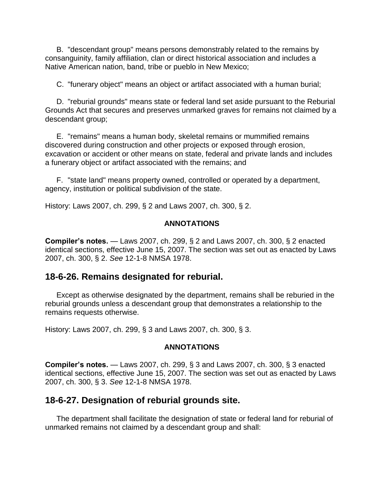B. "descendant group" means persons demonstrably related to the remains by consanguinity, family affiliation, clan or direct historical association and includes a Native American nation, band, tribe or pueblo in New Mexico;

C. "funerary object" means an object or artifact associated with a human burial;

D. "reburial grounds" means state or federal land set aside pursuant to the Reburial Grounds Act that secures and preserves unmarked graves for remains not claimed by a descendant group;

E. "remains" means a human body, skeletal remains or mummified remains discovered during construction and other projects or exposed through erosion, excavation or accident or other means on state, federal and private lands and includes a funerary object or artifact associated with the remains; and

F. "state land" means property owned, controlled or operated by a department, agency, institution or political subdivision of the state.

History: Laws 2007, ch. 299, § 2 and Laws 2007, ch. 300, § 2.

#### **ANNOTATIONS**

**Compiler's notes.** — Laws 2007, ch. 299, § 2 and Laws 2007, ch. 300, § 2 enacted identical sections, effective June 15, 2007. The section was set out as enacted by Laws 2007, ch. 300, § 2. *See* 12-1-8 NMSA 1978.

#### **18-6-26. Remains designated for reburial.**

Except as otherwise designated by the department, remains shall be reburied in the reburial grounds unless a descendant group that demonstrates a relationship to the remains requests otherwise.

History: Laws 2007, ch. 299, § 3 and Laws 2007, ch. 300, § 3.

#### **ANNOTATIONS**

**Compiler's notes.** — Laws 2007, ch. 299, § 3 and Laws 2007, ch. 300, § 3 enacted identical sections, effective June 15, 2007. The section was set out as enacted by Laws 2007, ch. 300, § 3. *See* 12-1-8 NMSA 1978.

### **18-6-27. Designation of reburial grounds site.**

The department shall facilitate the designation of state or federal land for reburial of unmarked remains not claimed by a descendant group and shall: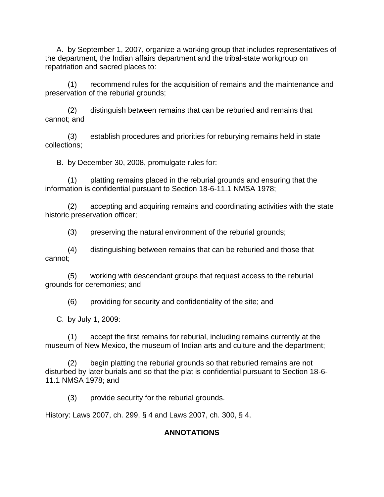A. by September 1, 2007, organize a working group that includes representatives of the department, the Indian affairs department and the tribal-state workgroup on repatriation and sacred places to:

(1) recommend rules for the acquisition of remains and the maintenance and preservation of the reburial grounds;

(2) distinguish between remains that can be reburied and remains that cannot; and

(3) establish procedures and priorities for reburying remains held in state collections;

B. by December 30, 2008, promulgate rules for:

(1) platting remains placed in the reburial grounds and ensuring that the information is confidential pursuant to Section 18-6-11.1 NMSA 1978;

(2) accepting and acquiring remains and coordinating activities with the state historic preservation officer;

(3) preserving the natural environment of the reburial grounds;

(4) distinguishing between remains that can be reburied and those that cannot;

(5) working with descendant groups that request access to the reburial grounds for ceremonies; and

(6) providing for security and confidentiality of the site; and

C. by July 1, 2009:

(1) accept the first remains for reburial, including remains currently at the museum of New Mexico, the museum of Indian arts and culture and the department;

(2) begin platting the reburial grounds so that reburied remains are not disturbed by later burials and so that the plat is confidential pursuant to Section 18-6- 11.1 NMSA 1978; and

(3) provide security for the reburial grounds.

History: Laws 2007, ch. 299, § 4 and Laws 2007, ch. 300, § 4.

### **ANNOTATIONS**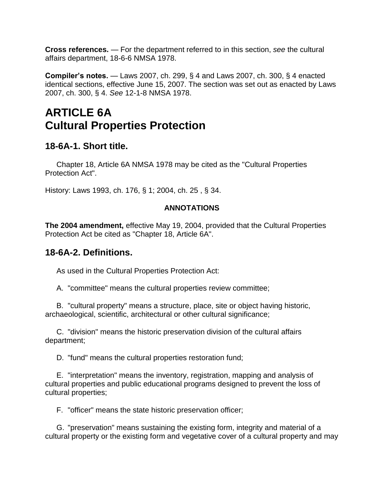**Cross references.** — For the department referred to in this section, *see* the cultural affairs department, 18-6-6 NMSA 1978.

**Compiler's notes.** — Laws 2007, ch. 299, § 4 and Laws 2007, ch. 300, § 4 enacted identical sections, effective June 15, 2007. The section was set out as enacted by Laws 2007, ch. 300, § 4. *See* 12-1-8 NMSA 1978.

# **ARTICLE 6A Cultural Properties Protection**

### **18-6A-1. Short title.**

Chapter 18, Article 6A NMSA 1978 may be cited as the "Cultural Properties Protection Act".

History: Laws 1993, ch. 176, § 1; 2004, ch. 25 , § 34.

#### **ANNOTATIONS**

**The 2004 amendment,** effective May 19, 2004, provided that the Cultural Properties Protection Act be cited as "Chapter 18, Article 6A".

# **18-6A-2. Definitions.**

As used in the Cultural Properties Protection Act:

A. "committee" means the cultural properties review committee;

B. "cultural property" means a structure, place, site or object having historic, archaeological, scientific, architectural or other cultural significance;

C. "division" means the historic preservation division of the cultural affairs department;

D. "fund" means the cultural properties restoration fund;

E. "interpretation" means the inventory, registration, mapping and analysis of cultural properties and public educational programs designed to prevent the loss of cultural properties;

F. "officer" means the state historic preservation officer;

G. "preservation" means sustaining the existing form, integrity and material of a cultural property or the existing form and vegetative cover of a cultural property and may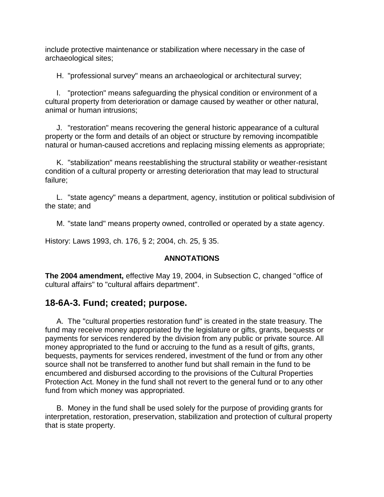include protective maintenance or stabilization where necessary in the case of archaeological sites;

H. "professional survey" means an archaeological or architectural survey;

I. "protection" means safeguarding the physical condition or environment of a cultural property from deterioration or damage caused by weather or other natural, animal or human intrusions;

J. "restoration" means recovering the general historic appearance of a cultural property or the form and details of an object or structure by removing incompatible natural or human-caused accretions and replacing missing elements as appropriate;

K. "stabilization" means reestablishing the structural stability or weather-resistant condition of a cultural property or arresting deterioration that may lead to structural failure;

L. "state agency" means a department, agency, institution or political subdivision of the state; and

M. "state land" means property owned, controlled or operated by a state agency.

History: Laws 1993, ch. 176, § 2; 2004, ch. 25, § 35.

#### **ANNOTATIONS**

**The 2004 amendment,** effective May 19, 2004, in Subsection C, changed "office of cultural affairs" to "cultural affairs department".

# **18-6A-3. Fund; created; purpose.**

A. The "cultural properties restoration fund" is created in the state treasury. The fund may receive money appropriated by the legislature or gifts, grants, bequests or payments for services rendered by the division from any public or private source. All money appropriated to the fund or accruing to the fund as a result of gifts, grants, bequests, payments for services rendered, investment of the fund or from any other source shall not be transferred to another fund but shall remain in the fund to be encumbered and disbursed according to the provisions of the Cultural Properties Protection Act. Money in the fund shall not revert to the general fund or to any other fund from which money was appropriated.

B. Money in the fund shall be used solely for the purpose of providing grants for interpretation, restoration, preservation, stabilization and protection of cultural property that is state property.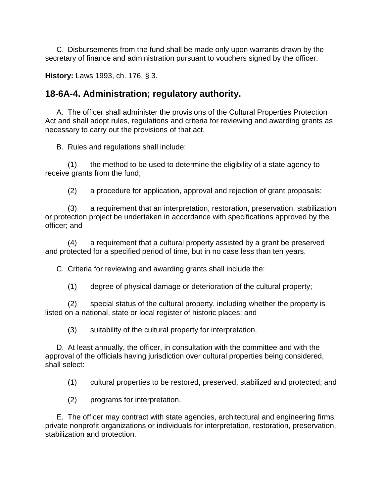C. Disbursements from the fund shall be made only upon warrants drawn by the secretary of finance and administration pursuant to vouchers signed by the officer.

**History:** Laws 1993, ch. 176, § 3.

# **18-6A-4. Administration; regulatory authority.**

A. The officer shall administer the provisions of the Cultural Properties Protection Act and shall adopt rules, regulations and criteria for reviewing and awarding grants as necessary to carry out the provisions of that act.

B. Rules and regulations shall include:

(1) the method to be used to determine the eligibility of a state agency to receive grants from the fund;

(2) a procedure for application, approval and rejection of grant proposals;

(3) a requirement that an interpretation, restoration, preservation, stabilization or protection project be undertaken in accordance with specifications approved by the officer; and

(4) a requirement that a cultural property assisted by a grant be preserved and protected for a specified period of time, but in no case less than ten years.

C. Criteria for reviewing and awarding grants shall include the:

(1) degree of physical damage or deterioration of the cultural property;

(2) special status of the cultural property, including whether the property is listed on a national, state or local register of historic places; and

(3) suitability of the cultural property for interpretation.

D. At least annually, the officer, in consultation with the committee and with the approval of the officials having jurisdiction over cultural properties being considered, shall select:

(1) cultural properties to be restored, preserved, stabilized and protected; and

(2) programs for interpretation.

E. The officer may contract with state agencies, architectural and engineering firms, private nonprofit organizations or individuals for interpretation, restoration, preservation, stabilization and protection.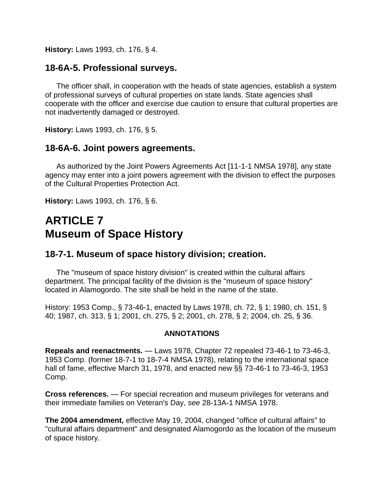**History:** Laws 1993, ch. 176, § 4.

## **18-6A-5. Professional surveys.**

The officer shall, in cooperation with the heads of state agencies, establish a system of professional surveys of cultural properties on state lands. State agencies shall cooperate with the officer and exercise due caution to ensure that cultural properties are not inadvertently damaged or destroyed.

**History:** Laws 1993, ch. 176, § 5.

### **18-6A-6. Joint powers agreements.**

As authorized by the Joint Powers Agreements Act [11-1-1 NMSA 1978], any state agency may enter into a joint powers agreement with the division to effect the purposes of the Cultural Properties Protection Act.

**History:** Laws 1993, ch. 176, § 6.

# **ARTICLE 7 Museum of Space History**

## **18-7-1. Museum of space history division; creation.**

The "museum of space history division" is created within the cultural affairs department. The principal facility of the division is the "museum of space history" located in Alamogordo. The site shall be held in the name of the state.

History: 1953 Comp., § 73-46-1, enacted by Laws 1978, ch. 72, § 1; 1980, ch. 151, § 40; 1987, ch. 313, § 1; 2001, ch. 275, § 2; 2001, ch. 278, § 2; 2004, ch. 25, § 36.

#### **ANNOTATIONS**

**Repeals and reenactments.** — Laws 1978, Chapter 72 repealed 73-46-1 to 73-46-3, 1953 Comp. (former 18-7-1 to 18-7-4 NMSA 1978), relating to the international space hall of fame, effective March 31, 1978, and enacted new §§ 73-46-1 to 73-46-3, 1953 Comp.

**Cross references.** — For special recreation and museum privileges for veterans and their immediate families on Veteran's Day, *see* 28-13A-1 NMSA 1978.

**The 2004 amendment,** effective May 19, 2004, changed "office of cultural affairs" to "cultural affairs department" and designated Alamogordo as the location of the museum of space history.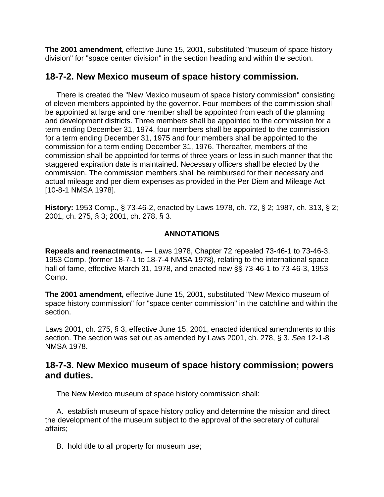**The 2001 amendment,** effective June 15, 2001, substituted "museum of space history division" for "space center division" in the section heading and within the section.

## **18-7-2. New Mexico museum of space history commission.**

There is created the "New Mexico museum of space history commission" consisting of eleven members appointed by the governor. Four members of the commission shall be appointed at large and one member shall be appointed from each of the planning and development districts. Three members shall be appointed to the commission for a term ending December 31, 1974, four members shall be appointed to the commission for a term ending December 31, 1975 and four members shall be appointed to the commission for a term ending December 31, 1976. Thereafter, members of the commission shall be appointed for terms of three years or less in such manner that the staggered expiration date is maintained. Necessary officers shall be elected by the commission. The commission members shall be reimbursed for their necessary and actual mileage and per diem expenses as provided in the Per Diem and Mileage Act [10-8-1 NMSA 1978].

**History:** 1953 Comp., § 73-46-2, enacted by Laws 1978, ch. 72, § 2; 1987, ch. 313, § 2; 2001, ch. 275, § 3; 2001, ch. 278, § 3.

#### **ANNOTATIONS**

**Repeals and reenactments.** — Laws 1978, Chapter 72 repealed 73-46-1 to 73-46-3, 1953 Comp. (former 18-7-1 to 18-7-4 NMSA 1978), relating to the international space hall of fame, effective March 31, 1978, and enacted new §§ 73-46-1 to 73-46-3, 1953 Comp.

**The 2001 amendment,** effective June 15, 2001, substituted "New Mexico museum of space history commission" for "space center commission" in the catchline and within the section.

Laws 2001, ch. 275, § 3, effective June 15, 2001, enacted identical amendments to this section. The section was set out as amended by Laws 2001, ch. 278, § 3. *See* 12-1-8 NMSA 1978.

## **18-7-3. New Mexico museum of space history commission; powers and duties.**

The New Mexico museum of space history commission shall:

A. establish museum of space history policy and determine the mission and direct the development of the museum subject to the approval of the secretary of cultural affairs;

B. hold title to all property for museum use;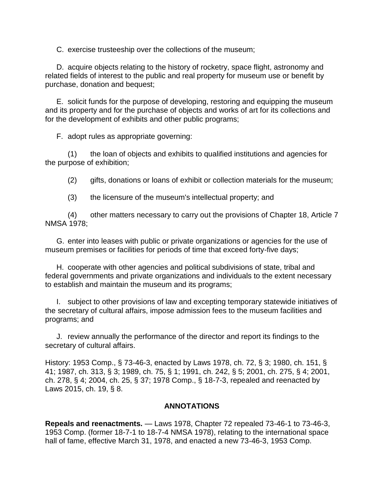C. exercise trusteeship over the collections of the museum;

D. acquire objects relating to the history of rocketry, space flight, astronomy and related fields of interest to the public and real property for museum use or benefit by purchase, donation and bequest;

E. solicit funds for the purpose of developing, restoring and equipping the museum and its property and for the purchase of objects and works of art for its collections and for the development of exhibits and other public programs;

F. adopt rules as appropriate governing:

(1) the loan of objects and exhibits to qualified institutions and agencies for the purpose of exhibition;

(2) gifts, donations or loans of exhibit or collection materials for the museum;

(3) the licensure of the museum's intellectual property; and

(4) other matters necessary to carry out the provisions of Chapter 18, Article 7 NMSA 1978;

G. enter into leases with public or private organizations or agencies for the use of museum premises or facilities for periods of time that exceed forty-five days;

H. cooperate with other agencies and political subdivisions of state, tribal and federal governments and private organizations and individuals to the extent necessary to establish and maintain the museum and its programs;

I. subject to other provisions of law and excepting temporary statewide initiatives of the secretary of cultural affairs, impose admission fees to the museum facilities and programs; and

J. review annually the performance of the director and report its findings to the secretary of cultural affairs.

History: 1953 Comp., § 73-46-3, enacted by Laws 1978, ch. 72, § 3; 1980, ch. 151, § 41; 1987, ch. 313, § 3; 1989, ch. 75, § 1; 1991, ch. 242, § 5; 2001, ch. 275, § 4; 2001, ch. 278, § 4; 2004, ch. 25, § 37; 1978 Comp., § 18-7-3, repealed and reenacted by Laws 2015, ch. 19, § 8.

#### **ANNOTATIONS**

**Repeals and reenactments.** — Laws 1978, Chapter 72 repealed 73-46-1 to 73-46-3, 1953 Comp. (former 18-7-1 to 18-7-4 NMSA 1978), relating to the international space hall of fame, effective March 31, 1978, and enacted a new 73-46-3, 1953 Comp.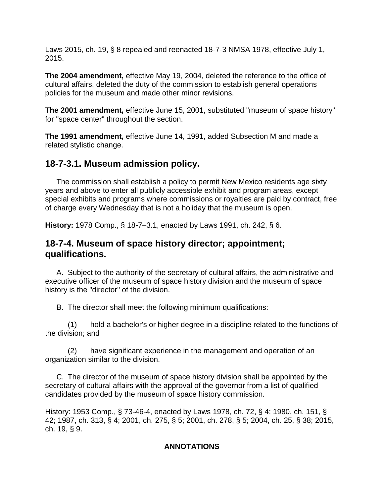Laws 2015, ch. 19, § 8 repealed and reenacted 18-7-3 NMSA 1978, effective July 1, 2015.

**The 2004 amendment,** effective May 19, 2004, deleted the reference to the office of cultural affairs, deleted the duty of the commission to establish general operations policies for the museum and made other minor revisions.

**The 2001 amendment,** effective June 15, 2001, substituted "museum of space history" for "space center" throughout the section.

**The 1991 amendment,** effective June 14, 1991, added Subsection M and made a related stylistic change.

# **18-7-3.1. Museum admission policy.**

The commission shall establish a policy to permit New Mexico residents age sixty years and above to enter all publicly accessible exhibit and program areas, except special exhibits and programs where commissions or royalties are paid by contract, free of charge every Wednesday that is not a holiday that the museum is open.

**History:** 1978 Comp., § 18-7–3.1, enacted by Laws 1991, ch. 242, § 6.

# **18-7-4. Museum of space history director; appointment; qualifications.**

A. Subject to the authority of the secretary of cultural affairs, the administrative and executive officer of the museum of space history division and the museum of space history is the "director" of the division.

B. The director shall meet the following minimum qualifications:

(1) hold a bachelor's or higher degree in a discipline related to the functions of the division; and

(2) have significant experience in the management and operation of an organization similar to the division.

C. The director of the museum of space history division shall be appointed by the secretary of cultural affairs with the approval of the governor from a list of qualified candidates provided by the museum of space history commission.

History: 1953 Comp., § 73-46-4, enacted by Laws 1978, ch. 72, § 4; 1980, ch. 151, § 42; 1987, ch. 313, § 4; 2001, ch. 275, § 5; 2001, ch. 278, § 5; 2004, ch. 25, § 38; 2015, ch. 19, § 9.

#### **ANNOTATIONS**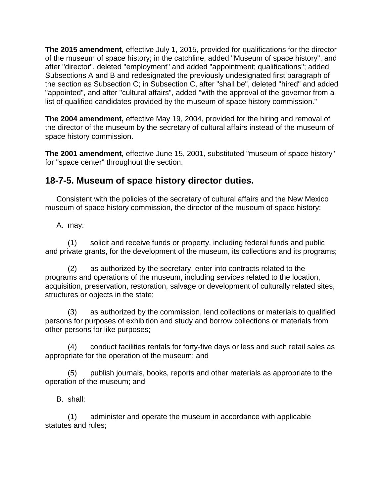**The 2015 amendment,** effective July 1, 2015, provided for qualifications for the director of the museum of space history; in the catchline, added "Museum of space history", and after "director", deleted "employment" and added "appointment; qualifications"; added Subsections A and B and redesignated the previously undesignated first paragraph of the section as Subsection C; in Subsection C, after "shall be", deleted "hired" and added "appointed", and after "cultural affairs", added "with the approval of the governor from a list of qualified candidates provided by the museum of space history commission."

**The 2004 amendment,** effective May 19, 2004, provided for the hiring and removal of the director of the museum by the secretary of cultural affairs instead of the museum of space history commission.

**The 2001 amendment,** effective June 15, 2001, substituted "museum of space history" for "space center" throughout the section.

# **18-7-5. Museum of space history director duties.**

Consistent with the policies of the secretary of cultural affairs and the New Mexico museum of space history commission, the director of the museum of space history:

A. may:

(1) solicit and receive funds or property, including federal funds and public and private grants, for the development of the museum, its collections and its programs;

(2) as authorized by the secretary, enter into contracts related to the programs and operations of the museum, including services related to the location, acquisition, preservation, restoration, salvage or development of culturally related sites, structures or objects in the state;

(3) as authorized by the commission, lend collections or materials to qualified persons for purposes of exhibition and study and borrow collections or materials from other persons for like purposes;

(4) conduct facilities rentals for forty-five days or less and such retail sales as appropriate for the operation of the museum; and

(5) publish journals, books, reports and other materials as appropriate to the operation of the museum; and

B. shall:

(1) administer and operate the museum in accordance with applicable statutes and rules;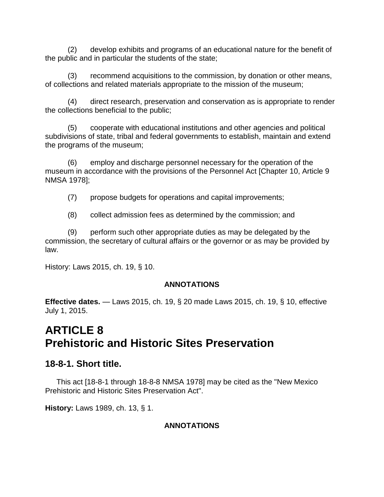(2) develop exhibits and programs of an educational nature for the benefit of the public and in particular the students of the state;

(3) recommend acquisitions to the commission, by donation or other means, of collections and related materials appropriate to the mission of the museum;

(4) direct research, preservation and conservation as is appropriate to render the collections beneficial to the public;

(5) cooperate with educational institutions and other agencies and political subdivisions of state, tribal and federal governments to establish, maintain and extend the programs of the museum;

(6) employ and discharge personnel necessary for the operation of the museum in accordance with the provisions of the Personnel Act [Chapter 10, Article 9 NMSA 1978];

(7) propose budgets for operations and capital improvements;

(8) collect admission fees as determined by the commission; and

(9) perform such other appropriate duties as may be delegated by the commission, the secretary of cultural affairs or the governor or as may be provided by law.

History: Laws 2015, ch. 19, § 10.

#### **ANNOTATIONS**

**Effective dates.** — Laws 2015, ch. 19, § 20 made Laws 2015, ch. 19, § 10, effective July 1, 2015.

# **ARTICLE 8 Prehistoric and Historic Sites Preservation**

# **18-8-1. Short title.**

This act [18-8-1 through 18-8-8 NMSA 1978] may be cited as the "New Mexico Prehistoric and Historic Sites Preservation Act".

**History:** Laws 1989, ch. 13, § 1.

#### **ANNOTATIONS**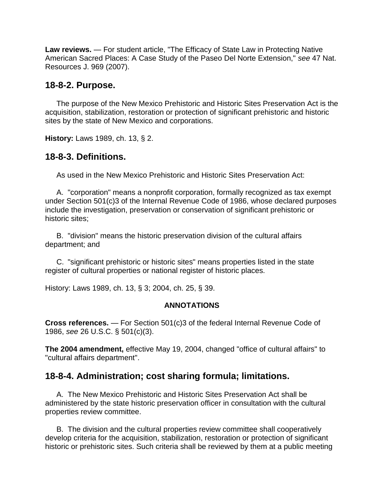**Law reviews.** — For student article, "The Efficacy of State Law in Protecting Native American Sacred Places: A Case Study of the Paseo Del Norte Extension," *see* 47 Nat. Resources J. 969 (2007).

## **18-8-2. Purpose.**

The purpose of the New Mexico Prehistoric and Historic Sites Preservation Act is the acquisition, stabilization, restoration or protection of significant prehistoric and historic sites by the state of New Mexico and corporations.

**History:** Laws 1989, ch. 13, § 2.

# **18-8-3. Definitions.**

As used in the New Mexico Prehistoric and Historic Sites Preservation Act:

A. "corporation" means a nonprofit corporation, formally recognized as tax exempt under Section 501(c)3 of the Internal Revenue Code of 1986, whose declared purposes include the investigation, preservation or conservation of significant prehistoric or historic sites;

B. "division" means the historic preservation division of the cultural affairs department; and

C. "significant prehistoric or historic sites" means properties listed in the state register of cultural properties or national register of historic places.

History: Laws 1989, ch. 13, § 3; 2004, ch. 25, § 39.

#### **ANNOTATIONS**

**Cross references.** — For Section 501(c)3 of the federal Internal Revenue Code of 1986, *see* 26 U.S.C. § 501(c)(3).

**The 2004 amendment,** effective May 19, 2004, changed "office of cultural affairs" to "cultural affairs department".

# **18-8-4. Administration; cost sharing formula; limitations.**

A. The New Mexico Prehistoric and Historic Sites Preservation Act shall be administered by the state historic preservation officer in consultation with the cultural properties review committee.

B. The division and the cultural properties review committee shall cooperatively develop criteria for the acquisition, stabilization, restoration or protection of significant historic or prehistoric sites. Such criteria shall be reviewed by them at a public meeting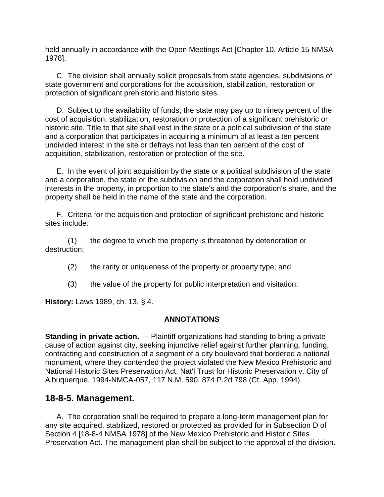held annually in accordance with the Open Meetings Act [Chapter 10, Article 15 NMSA 1978].

C. The division shall annually solicit proposals from state agencies, subdivisions of state government and corporations for the acquisition, stabilization, restoration or protection of significant prehistoric and historic sites.

D. Subject to the availability of funds, the state may pay up to ninety percent of the cost of acquisition, stabilization, restoration or protection of a significant prehistoric or historic site. Title to that site shall vest in the state or a political subdivision of the state and a corporation that participates in acquiring a minimum of at least a ten percent undivided interest in the site or defrays not less than ten percent of the cost of acquisition, stabilization, restoration or protection of the site.

E. In the event of joint acquisition by the state or a political subdivision of the state and a corporation, the state or the subdivision and the corporation shall hold undivided interests in the property, in proportion to the state's and the corporation's share, and the property shall be held in the name of the state and the corporation.

F. Criteria for the acquisition and protection of significant prehistoric and historic sites include:

(1) the degree to which the property is threatened by deterioration or destruction;

- (2) the rarity or uniqueness of the property or property type; and
- (3) the value of the property for public interpretation and visitation.

**History:** Laws 1989, ch. 13, § 4.

#### **ANNOTATIONS**

**Standing in private action.** — Plaintiff organizations had standing to bring a private cause of action against city, seeking injunctive relief against further planning, funding, contracting and construction of a segment of a city boulevard that bordered a national monument, where they contended the project violated the New Mexico Prehistoric and National Historic Sites Preservation Act. Nat'l Trust for Historic Preservation v. City of Albuquerque, 1994-NMCA-057, 117 N.M. 590, 874 P.2d 798 (Ct. App. 1994).

## **18-8-5. Management.**

A. The corporation shall be required to prepare a long-term management plan for any site acquired, stabilized, restored or protected as provided for in Subsection D of Section 4 [18-8-4 NMSA 1978] of the New Mexico Prehistoric and Historic Sites Preservation Act. The management plan shall be subject to the approval of the division.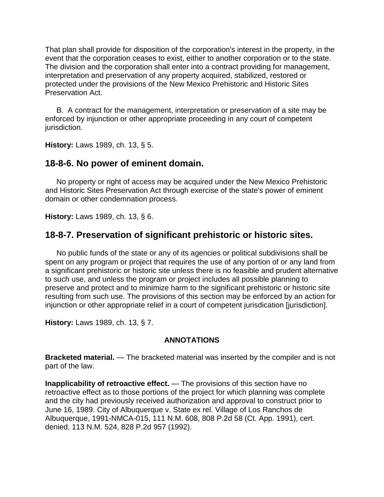That plan shall provide for disposition of the corporation's interest in the property, in the event that the corporation ceases to exist, either to another corporation or to the state. The division and the corporation shall enter into a contract providing for management, interpretation and preservation of any property acquired, stabilized, restored or protected under the provisions of the New Mexico Prehistoric and Historic Sites Preservation Act.

B. A contract for the management, interpretation or preservation of a site may be enforced by injunction or other appropriate proceeding in any court of competent jurisdiction.

**History:** Laws 1989, ch. 13, § 5.

# **18-8-6. No power of eminent domain.**

No property or right of access may be acquired under the New Mexico Prehistoric and Historic Sites Preservation Act through exercise of the state's power of eminent domain or other condemnation process.

**History:** Laws 1989, ch. 13, § 6.

# **18-8-7. Preservation of significant prehistoric or historic sites.**

No public funds of the state or any of its agencies or political subdivisions shall be spent on any program or project that requires the use of any portion of or any land from a significant prehistoric or historic site unless there is no feasible and prudent alternative to such use, and unless the program or project includes all possible planning to preserve and protect and to minimize harm to the significant prehistoric or historic site resulting from such use. The provisions of this section may be enforced by an action for injunction or other appropriate relief in a court of competent jurisdication [jurisdiction].

**History:** Laws 1989, ch. 13, § 7.

#### **ANNOTATIONS**

**Bracketed material.** — The bracketed material was inserted by the compiler and is not part of the law.

**Inapplicability of retroactive effect.** — The provisions of this section have no retroactive effect as to those portions of the project for which planning was complete and the city had previously received authorization and approval to construct prior to June 16, 1989. City of Albuquerque v. State ex rel. Village of Los Ranchos de Albuquerque, 1991-NMCA-015, 111 N.M. 608, 808 P.2d 58 (Ct. App. 1991), cert. denied, 113 N.M. 524, 828 P.2d 957 (1992).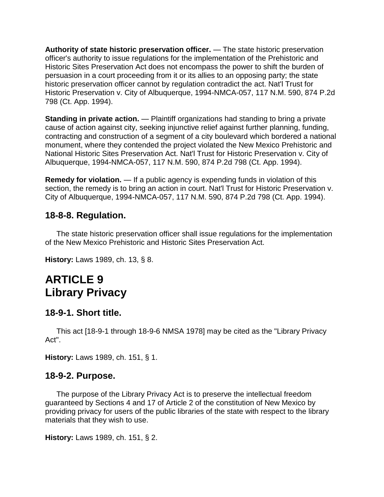**Authority of state historic preservation officer.** — The state historic preservation officer's authority to issue regulations for the implementation of the Prehistoric and Historic Sites Preservation Act does not encompass the power to shift the burden of persuasion in a court proceeding from it or its allies to an opposing party; the state historic preservation officer cannot by regulation contradict the act. Nat'l Trust for Historic Preservation v. City of Albuquerque, 1994-NMCA-057, 117 N.M. 590, 874 P.2d 798 (Ct. App. 1994).

**Standing in private action.** — Plaintiff organizations had standing to bring a private cause of action against city, seeking injunctive relief against further planning, funding, contracting and construction of a segment of a city boulevard which bordered a national monument, where they contended the project violated the New Mexico Prehistoric and National Historic Sites Preservation Act. Nat'l Trust for Historic Preservation v. City of Albuquerque, 1994-NMCA-057, 117 N.M. 590, 874 P.2d 798 (Ct. App. 1994).

**Remedy for violation.** — If a public agency is expending funds in violation of this section, the remedy is to bring an action in court. Nat'l Trust for Historic Preservation v. City of Albuquerque, 1994-NMCA-057, 117 N.M. 590, 874 P.2d 798 (Ct. App. 1994).

# **18-8-8. Regulation.**

The state historic preservation officer shall issue regulations for the implementation of the New Mexico Prehistoric and Historic Sites Preservation Act.

**History:** Laws 1989, ch. 13, § 8.

# **ARTICLE 9 Library Privacy**

# **18-9-1. Short title.**

This act [18-9-1 through 18-9-6 NMSA 1978] may be cited as the "Library Privacy Act".

**History:** Laws 1989, ch. 151, § 1.

## **18-9-2. Purpose.**

The purpose of the Library Privacy Act is to preserve the intellectual freedom guaranteed by Sections 4 and 17 of Article 2 of the constitution of New Mexico by providing privacy for users of the public libraries of the state with respect to the library materials that they wish to use.

**History:** Laws 1989, ch. 151, § 2.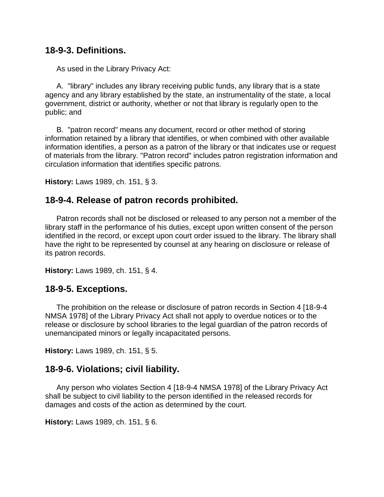# **18-9-3. Definitions.**

As used in the Library Privacy Act:

A. "library" includes any library receiving public funds, any library that is a state agency and any library established by the state, an instrumentality of the state, a local government, district or authority, whether or not that library is regularly open to the public; and

B. "patron record" means any document, record or other method of storing information retained by a library that identifies, or when combined with other available information identifies, a person as a patron of the library or that indicates use or request of materials from the library. "Patron record" includes patron registration information and circulation information that identifies specific patrons.

**History:** Laws 1989, ch. 151, § 3.

### **18-9-4. Release of patron records prohibited.**

Patron records shall not be disclosed or released to any person not a member of the library staff in the performance of his duties, except upon written consent of the person identified in the record, or except upon court order issued to the library. The library shall have the right to be represented by counsel at any hearing on disclosure or release of its patron records.

**History:** Laws 1989, ch. 151, § 4.

## **18-9-5. Exceptions.**

The prohibition on the release or disclosure of patron records in Section 4 [18-9-4 NMSA 1978] of the Library Privacy Act shall not apply to overdue notices or to the release or disclosure by school libraries to the legal guardian of the patron records of unemancipated minors or legally incapacitated persons.

**History:** Laws 1989, ch. 151, § 5.

## **18-9-6. Violations; civil liability.**

Any person who violates Section 4 [18-9-4 NMSA 1978] of the Library Privacy Act shall be subject to civil liability to the person identified in the released records for damages and costs of the action as determined by the court.

**History:** Laws 1989, ch. 151, § 6.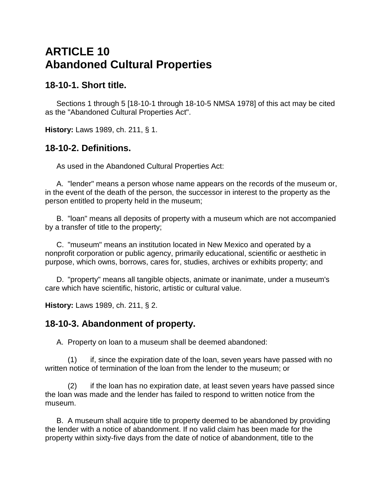# **ARTICLE 10 Abandoned Cultural Properties**

# **18-10-1. Short title.**

Sections 1 through 5 [18-10-1 through 18-10-5 NMSA 1978] of this act may be cited as the "Abandoned Cultural Properties Act".

**History:** Laws 1989, ch. 211, § 1.

# **18-10-2. Definitions.**

As used in the Abandoned Cultural Properties Act:

A. "lender" means a person whose name appears on the records of the museum or, in the event of the death of the person, the successor in interest to the property as the person entitled to property held in the museum;

B. "loan" means all deposits of property with a museum which are not accompanied by a transfer of title to the property;

C. "museum" means an institution located in New Mexico and operated by a nonprofit corporation or public agency, primarily educational, scientific or aesthetic in purpose, which owns, borrows, cares for, studies, archives or exhibits property; and

D. "property" means all tangible objects, animate or inanimate, under a museum's care which have scientific, historic, artistic or cultural value.

**History:** Laws 1989, ch. 211, § 2.

# **18-10-3. Abandonment of property.**

A. Property on loan to a museum shall be deemed abandoned:

(1) if, since the expiration date of the loan, seven years have passed with no written notice of termination of the loan from the lender to the museum; or

(2) if the loan has no expiration date, at least seven years have passed since the loan was made and the lender has failed to respond to written notice from the museum.

B. A museum shall acquire title to property deemed to be abandoned by providing the lender with a notice of abandonment. If no valid claim has been made for the property within sixty-five days from the date of notice of abandonment, title to the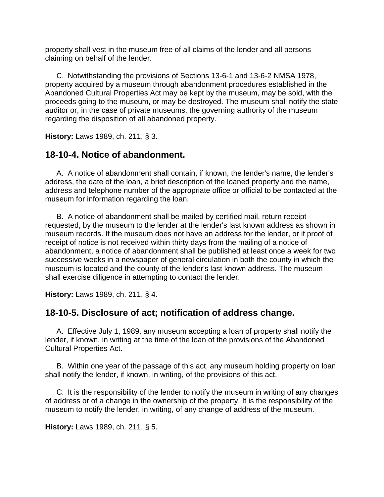property shall vest in the museum free of all claims of the lender and all persons claiming on behalf of the lender.

C. Notwithstanding the provisions of Sections 13-6-1 and 13-6-2 NMSA 1978, property acquired by a museum through abandonment procedures established in the Abandoned Cultural Properties Act may be kept by the museum, may be sold, with the proceeds going to the museum, or may be destroyed. The museum shall notify the state auditor or, in the case of private museums, the governing authority of the museum regarding the disposition of all abandoned property.

**History:** Laws 1989, ch. 211, § 3.

## **18-10-4. Notice of abandonment.**

A. A notice of abandonment shall contain, if known, the lender's name, the lender's address, the date of the loan, a brief description of the loaned property and the name, address and telephone number of the appropriate office or official to be contacted at the museum for information regarding the loan.

B. A notice of abandonment shall be mailed by certified mail, return receipt requested, by the museum to the lender at the lender's last known address as shown in museum records. If the museum does not have an address for the lender, or if proof of receipt of notice is not received within thirty days from the mailing of a notice of abandonment, a notice of abandonment shall be published at least once a week for two successive weeks in a newspaper of general circulation in both the county in which the museum is located and the county of the lender's last known address. The museum shall exercise diligence in attempting to contact the lender.

**History:** Laws 1989, ch. 211, § 4.

## **18-10-5. Disclosure of act; notification of address change.**

A. Effective July 1, 1989, any museum accepting a loan of property shall notify the lender, if known, in writing at the time of the loan of the provisions of the Abandoned Cultural Properties Act.

B. Within one year of the passage of this act, any museum holding property on loan shall notify the lender, if known, in writing, of the provisions of this act.

C. It is the responsibility of the lender to notify the museum in writing of any changes of address or of a change in the ownership of the property. It is the responsibility of the museum to notify the lender, in writing, of any change of address of the museum.

**History:** Laws 1989, ch. 211, § 5.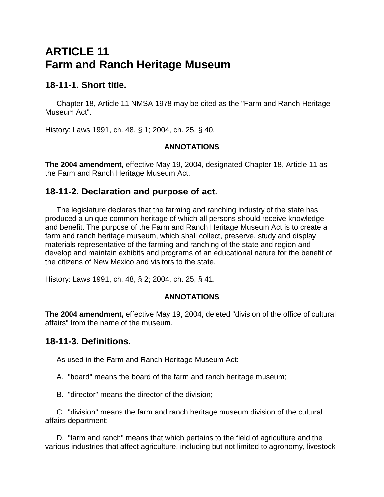# **ARTICLE 11 Farm and Ranch Heritage Museum**

## **18-11-1. Short title.**

Chapter 18, Article 11 NMSA 1978 may be cited as the "Farm and Ranch Heritage Museum Act".

History: Laws 1991, ch. 48, § 1; 2004, ch. 25, § 40.

#### **ANNOTATIONS**

**The 2004 amendment,** effective May 19, 2004, designated Chapter 18, Article 11 as the Farm and Ranch Heritage Museum Act.

# **18-11-2. Declaration and purpose of act.**

The legislature declares that the farming and ranching industry of the state has produced a unique common heritage of which all persons should receive knowledge and benefit. The purpose of the Farm and Ranch Heritage Museum Act is to create a farm and ranch heritage museum, which shall collect, preserve, study and display materials representative of the farming and ranching of the state and region and develop and maintain exhibits and programs of an educational nature for the benefit of the citizens of New Mexico and visitors to the state.

History: Laws 1991, ch. 48, § 2; 2004, ch. 25, § 41.

#### **ANNOTATIONS**

**The 2004 amendment,** effective May 19, 2004, deleted "division of the office of cultural affairs" from the name of the museum.

## **18-11-3. Definitions.**

As used in the Farm and Ranch Heritage Museum Act:

A. "board" means the board of the farm and ranch heritage museum;

B. "director" means the director of the division;

C. "division" means the farm and ranch heritage museum division of the cultural affairs department;

D. "farm and ranch" means that which pertains to the field of agriculture and the various industries that affect agriculture, including but not limited to agronomy, livestock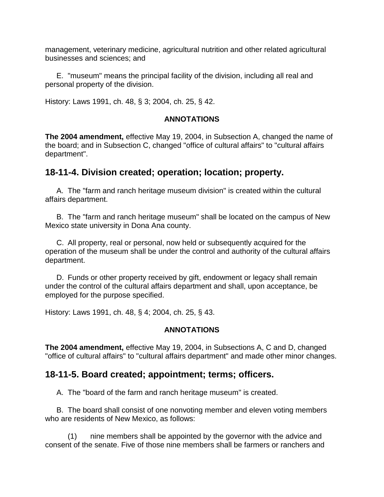management, veterinary medicine, agricultural nutrition and other related agricultural businesses and sciences; and

E. "museum" means the principal facility of the division, including all real and personal property of the division.

History: Laws 1991, ch. 48, § 3; 2004, ch. 25, § 42.

#### **ANNOTATIONS**

**The 2004 amendment,** effective May 19, 2004, in Subsection A, changed the name of the board; and in Subsection C, changed "office of cultural affairs" to "cultural affairs department".

# **18-11-4. Division created; operation; location; property.**

A. The "farm and ranch heritage museum division" is created within the cultural affairs department.

B. The "farm and ranch heritage museum" shall be located on the campus of New Mexico state university in Dona Ana county.

C. All property, real or personal, now held or subsequently acquired for the operation of the museum shall be under the control and authority of the cultural affairs department.

D. Funds or other property received by gift, endowment or legacy shall remain under the control of the cultural affairs department and shall, upon acceptance, be employed for the purpose specified.

History: Laws 1991, ch. 48, § 4; 2004, ch. 25, § 43.

#### **ANNOTATIONS**

**The 2004 amendment,** effective May 19, 2004, in Subsections A, C and D, changed "office of cultural affairs" to "cultural affairs department" and made other minor changes.

## **18-11-5. Board created; appointment; terms; officers.**

A. The "board of the farm and ranch heritage museum" is created.

B. The board shall consist of one nonvoting member and eleven voting members who are residents of New Mexico, as follows:

(1) nine members shall be appointed by the governor with the advice and consent of the senate. Five of those nine members shall be farmers or ranchers and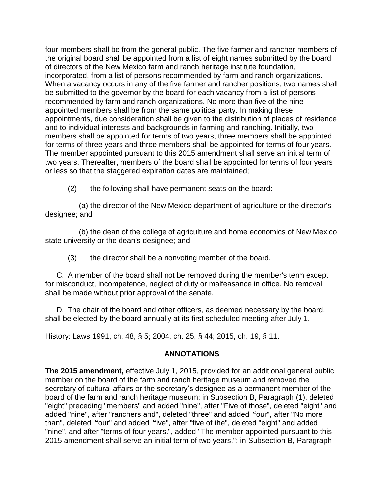four members shall be from the general public. The five farmer and rancher members of the original board shall be appointed from a list of eight names submitted by the board of directors of the New Mexico farm and ranch heritage institute foundation, incorporated, from a list of persons recommended by farm and ranch organizations. When a vacancy occurs in any of the five farmer and rancher positions, two names shall be submitted to the governor by the board for each vacancy from a list of persons recommended by farm and ranch organizations. No more than five of the nine appointed members shall be from the same political party. In making these appointments, due consideration shall be given to the distribution of places of residence and to individual interests and backgrounds in farming and ranching. Initially, two members shall be appointed for terms of two years, three members shall be appointed for terms of three years and three members shall be appointed for terms of four years. The member appointed pursuant to this 2015 amendment shall serve an initial term of two years. Thereafter, members of the board shall be appointed for terms of four years or less so that the staggered expiration dates are maintained;

(2) the following shall have permanent seats on the board:

(a) the director of the New Mexico department of agriculture or the director's designee; and

(b) the dean of the college of agriculture and home economics of New Mexico state university or the dean's designee; and

(3) the director shall be a nonvoting member of the board.

C. A member of the board shall not be removed during the member's term except for misconduct, incompetence, neglect of duty or malfeasance in office. No removal shall be made without prior approval of the senate.

D. The chair of the board and other officers, as deemed necessary by the board, shall be elected by the board annually at its first scheduled meeting after July 1.

History: Laws 1991, ch. 48, § 5; 2004, ch. 25, § 44; 2015, ch. 19, § 11.

#### **ANNOTATIONS**

**The 2015 amendment,** effective July 1, 2015, provided for an additional general public member on the board of the farm and ranch heritage museum and removed the secretary of cultural affairs or the secretary's designee as a permanent member of the board of the farm and ranch heritage museum; in Subsection B, Paragraph (1), deleted "eight" preceding "members" and added "nine", after "Five of those", deleted "eight" and added "nine", after "ranchers and", deleted "three" and added "four", after "No more than", deleted "four" and added "five", after "five of the", deleted "eight" and added "nine", and after "terms of four years.", added "The member appointed pursuant to this 2015 amendment shall serve an initial term of two years."; in Subsection B, Paragraph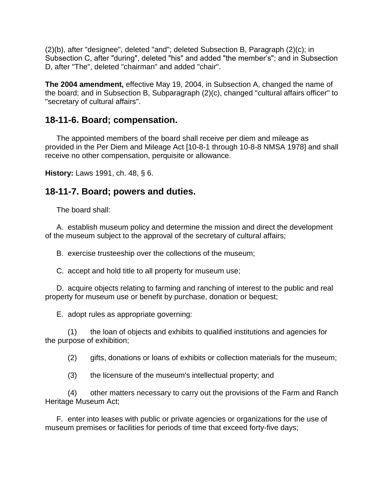(2)(b), after "designee", deleted "and"; deleted Subsection B, Paragraph (2)(c); in Subsection C, after "during", deleted "his" and added "the member's"; and in Subsection D, after "The", deleted "chairman" and added "chair".

**The 2004 amendment,** effective May 19, 2004, in Subsection A, changed the name of the board; and in Subsection B, Subparagraph (2)(c), changed "cultural affairs officer" to "secretary of cultural affairs".

# **18-11-6. Board; compensation.**

The appointed members of the board shall receive per diem and mileage as provided in the Per Diem and Mileage Act [10-8-1 through 10-8-8 NMSA 1978] and shall receive no other compensation, perquisite or allowance.

**History:** Laws 1991, ch. 48, § 6.

# **18-11-7. Board; powers and duties.**

The board shall:

A. establish museum policy and determine the mission and direct the development of the museum subject to the approval of the secretary of cultural affairs;

B. exercise trusteeship over the collections of the museum;

C. accept and hold title to all property for museum use;

D. acquire objects relating to farming and ranching of interest to the public and real property for museum use or benefit by purchase, donation or bequest;

E. adopt rules as appropriate governing:

(1) the loan of objects and exhibits to qualified institutions and agencies for the purpose of exhibition;

(2) gifts, donations or loans of exhibits or collection materials for the museum;

(3) the licensure of the museum's intellectual property; and

(4) other matters necessary to carry out the provisions of the Farm and Ranch Heritage Museum Act;

F. enter into leases with public or private agencies or organizations for the use of museum premises or facilities for periods of time that exceed forty-five days;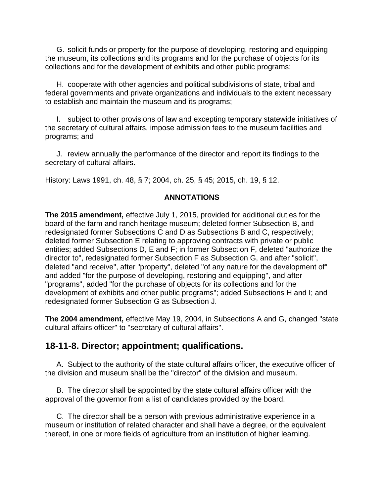G. solicit funds or property for the purpose of developing, restoring and equipping the museum, its collections and its programs and for the purchase of objects for its collections and for the development of exhibits and other public programs;

H. cooperate with other agencies and political subdivisions of state, tribal and federal governments and private organizations and individuals to the extent necessary to establish and maintain the museum and its programs;

I. subject to other provisions of law and excepting temporary statewide initiatives of the secretary of cultural affairs, impose admission fees to the museum facilities and programs; and

J. review annually the performance of the director and report its findings to the secretary of cultural affairs.

History: Laws 1991, ch. 48, § 7; 2004, ch. 25, § 45; 2015, ch. 19, § 12.

#### **ANNOTATIONS**

**The 2015 amendment,** effective July 1, 2015, provided for additional duties for the board of the farm and ranch heritage museum; deleted former Subsection B, and redesignated former Subsections C and D as Subsections B and C, respectively; deleted former Subsection E relating to approving contracts with private or public entities; added Subsections D, E and F; in former Subsection F, deleted "authorize the director to", redesignated former Subsection F as Subsection G, and after "solicit", deleted "and receive", after "property", deleted "of any nature for the development of" and added "for the purpose of developing, restoring and equipping", and after "programs", added "for the purchase of objects for its collections and for the development of exhibits and other public programs"; added Subsections H and I; and redesignated former Subsection G as Subsection J.

**The 2004 amendment,** effective May 19, 2004, in Subsections A and G, changed "state cultural affairs officer" to "secretary of cultural affairs".

## **18-11-8. Director; appointment; qualifications.**

A. Subject to the authority of the state cultural affairs officer, the executive officer of the division and museum shall be the "director" of the division and museum.

B. The director shall be appointed by the state cultural affairs officer with the approval of the governor from a list of candidates provided by the board.

C. The director shall be a person with previous administrative experience in a museum or institution of related character and shall have a degree, or the equivalent thereof, in one or more fields of agriculture from an institution of higher learning.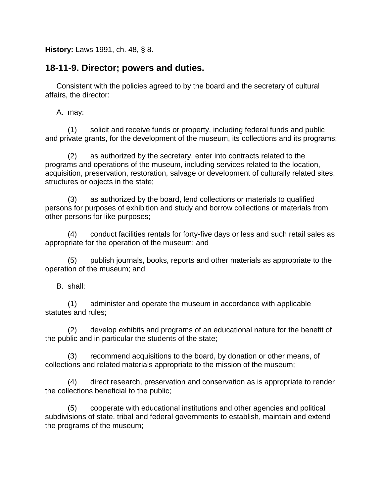**History:** Laws 1991, ch. 48, § 8.

# **18-11-9. Director; powers and duties.**

Consistent with the policies agreed to by the board and the secretary of cultural affairs, the director:

A. may:

(1) solicit and receive funds or property, including federal funds and public and private grants, for the development of the museum, its collections and its programs;

(2) as authorized by the secretary, enter into contracts related to the programs and operations of the museum, including services related to the location, acquisition, preservation, restoration, salvage or development of culturally related sites, structures or objects in the state;

(3) as authorized by the board, lend collections or materials to qualified persons for purposes of exhibition and study and borrow collections or materials from other persons for like purposes;

(4) conduct facilities rentals for forty-five days or less and such retail sales as appropriate for the operation of the museum; and

(5) publish journals, books, reports and other materials as appropriate to the operation of the museum; and

B. shall:

(1) administer and operate the museum in accordance with applicable statutes and rules;

(2) develop exhibits and programs of an educational nature for the benefit of the public and in particular the students of the state;

(3) recommend acquisitions to the board, by donation or other means, of collections and related materials appropriate to the mission of the museum;

(4) direct research, preservation and conservation as is appropriate to render the collections beneficial to the public;

(5) cooperate with educational institutions and other agencies and political subdivisions of state, tribal and federal governments to establish, maintain and extend the programs of the museum;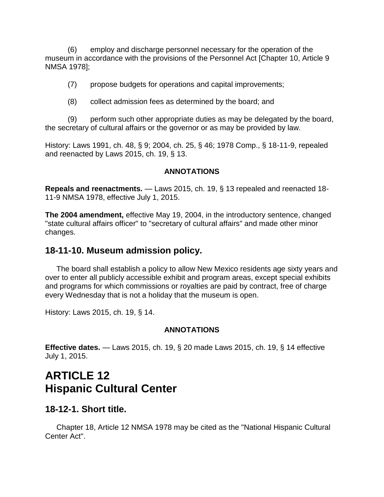(6) employ and discharge personnel necessary for the operation of the museum in accordance with the provisions of the Personnel Act [Chapter 10, Article 9 NMSA 1978];

(7) propose budgets for operations and capital improvements;

(8) collect admission fees as determined by the board; and

(9) perform such other appropriate duties as may be delegated by the board, the secretary of cultural affairs or the governor or as may be provided by law.

History: Laws 1991, ch. 48, § 9; 2004, ch. 25, § 46; 1978 Comp., § 18-11-9, repealed and reenacted by Laws 2015, ch. 19, § 13.

#### **ANNOTATIONS**

**Repeals and reenactments.** — Laws 2015, ch. 19, § 13 repealed and reenacted 18- 11-9 NMSA 1978, effective July 1, 2015.

**The 2004 amendment,** effective May 19, 2004, in the introductory sentence, changed "state cultural affairs officer" to "secretary of cultural affairs" and made other minor changes.

#### **18-11-10. Museum admission policy.**

The board shall establish a policy to allow New Mexico residents age sixty years and over to enter all publicly accessible exhibit and program areas, except special exhibits and programs for which commissions or royalties are paid by contract, free of charge every Wednesday that is not a holiday that the museum is open.

History: Laws 2015, ch. 19, § 14.

#### **ANNOTATIONS**

**Effective dates.** — Laws 2015, ch. 19, § 20 made Laws 2015, ch. 19, § 14 effective July 1, 2015.

# **ARTICLE 12 Hispanic Cultural Center**

#### **18-12-1. Short title.**

Chapter 18, Article 12 NMSA 1978 may be cited as the "National Hispanic Cultural Center Act".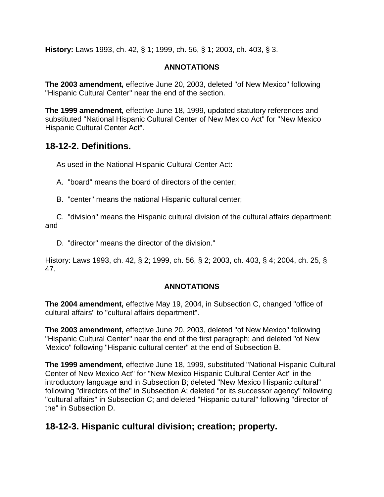**History:** Laws 1993, ch. 42, § 1; 1999, ch. 56, § 1; 2003, ch. 403, § 3.

#### **ANNOTATIONS**

**The 2003 amendment,** effective June 20, 2003, deleted "of New Mexico" following "Hispanic Cultural Center" near the end of the section.

**The 1999 amendment,** effective June 18, 1999, updated statutory references and substituted "National Hispanic Cultural Center of New Mexico Act" for "New Mexico Hispanic Cultural Center Act".

## **18-12-2. Definitions.**

As used in the National Hispanic Cultural Center Act:

- A. "board" means the board of directors of the center;
- B. "center" means the national Hispanic cultural center;

C. "division" means the Hispanic cultural division of the cultural affairs department; and

D. "director" means the director of the division."

History: Laws 1993, ch. 42, § 2; 1999, ch. 56, § 2; 2003, ch. 403, § 4; 2004, ch. 25, § 47.

#### **ANNOTATIONS**

**The 2004 amendment,** effective May 19, 2004, in Subsection C, changed "office of cultural affairs" to "cultural affairs department".

**The 2003 amendment,** effective June 20, 2003, deleted "of New Mexico" following "Hispanic Cultural Center" near the end of the first paragraph; and deleted "of New Mexico" following "Hispanic cultural center" at the end of Subsection B.

**The 1999 amendment,** effective June 18, 1999, substituted "National Hispanic Cultural Center of New Mexico Act" for "New Mexico Hispanic Cultural Center Act" in the introductory language and in Subsection B; deleted "New Mexico Hispanic cultural" following "directors of the" in Subsection A; deleted "or its successor agency" following "cultural affairs" in Subsection C; and deleted "Hispanic cultural" following "director of the" in Subsection D.

# **18-12-3. Hispanic cultural division; creation; property.**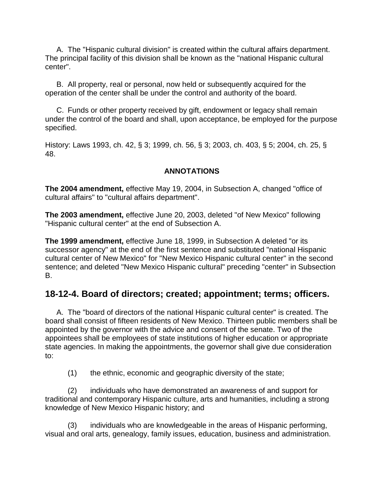A. The "Hispanic cultural division" is created within the cultural affairs department. The principal facility of this division shall be known as the "national Hispanic cultural center".

B. All property, real or personal, now held or subsequently acquired for the operation of the center shall be under the control and authority of the board.

C. Funds or other property received by gift, endowment or legacy shall remain under the control of the board and shall, upon acceptance, be employed for the purpose specified.

History: Laws 1993, ch. 42, § 3; 1999, ch. 56, § 3; 2003, ch. 403, § 5; 2004, ch. 25, § 48.

#### **ANNOTATIONS**

**The 2004 amendment,** effective May 19, 2004, in Subsection A, changed "office of cultural affairs" to "cultural affairs department".

**The 2003 amendment,** effective June 20, 2003, deleted "of New Mexico" following "Hispanic cultural center" at the end of Subsection A.

**The 1999 amendment,** effective June 18, 1999, in Subsection A deleted "or its successor agency" at the end of the first sentence and substituted "national Hispanic cultural center of New Mexico" for "New Mexico Hispanic cultural center" in the second sentence; and deleted "New Mexico Hispanic cultural" preceding "center" in Subsection B.

# **18-12-4. Board of directors; created; appointment; terms; officers.**

A. The "board of directors of the national Hispanic cultural center" is created. The board shall consist of fifteen residents of New Mexico. Thirteen public members shall be appointed by the governor with the advice and consent of the senate. Two of the appointees shall be employees of state institutions of higher education or appropriate state agencies. In making the appointments, the governor shall give due consideration to:

(1) the ethnic, economic and geographic diversity of the state;

(2) individuals who have demonstrated an awareness of and support for traditional and contemporary Hispanic culture, arts and humanities, including a strong knowledge of New Mexico Hispanic history; and

(3) individuals who are knowledgeable in the areas of Hispanic performing, visual and oral arts, genealogy, family issues, education, business and administration.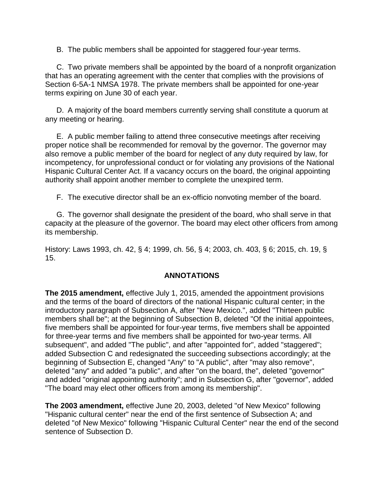B. The public members shall be appointed for staggered four-year terms.

C. Two private members shall be appointed by the board of a nonprofit organization that has an operating agreement with the center that complies with the provisions of Section 6-5A-1 NMSA 1978. The private members shall be appointed for one-year terms expiring on June 30 of each year.

D. A majority of the board members currently serving shall constitute a quorum at any meeting or hearing.

E. A public member failing to attend three consecutive meetings after receiving proper notice shall be recommended for removal by the governor. The governor may also remove a public member of the board for neglect of any duty required by law, for incompetency, for unprofessional conduct or for violating any provisions of the National Hispanic Cultural Center Act. If a vacancy occurs on the board, the original appointing authority shall appoint another member to complete the unexpired term.

F. The executive director shall be an ex-officio nonvoting member of the board.

G. The governor shall designate the president of the board, who shall serve in that capacity at the pleasure of the governor. The board may elect other officers from among its membership.

History: Laws 1993, ch. 42, § 4; 1999, ch. 56, § 4; 2003, ch. 403, § 6; 2015, ch. 19, § 15.

#### **ANNOTATIONS**

**The 2015 amendment,** effective July 1, 2015, amended the appointment provisions and the terms of the board of directors of the national Hispanic cultural center; in the introductory paragraph of Subsection A, after "New Mexico.", added "Thirteen public members shall be"; at the beginning of Subsection B, deleted "Of the initial appointees, five members shall be appointed for four-year terms, five members shall be appointed for three-year terms and five members shall be appointed for two-year terms. All subsequent", and added "The public", and after "appointed for", added "staggered"; added Subsection C and redesignated the succeeding subsections accordingly; at the beginning of Subsection E, changed "Any" to "A public", after "may also remove", deleted "any" and added "a public", and after "on the board, the", deleted "governor" and added "original appointing authority"; and in Subsection G, after "governor", added "The board may elect other officers from among its membership".

**The 2003 amendment,** effective June 20, 2003, deleted "of New Mexico" following "Hispanic cultural center" near the end of the first sentence of Subsection A; and deleted "of New Mexico" following "Hispanic Cultural Center" near the end of the second sentence of Subsection D.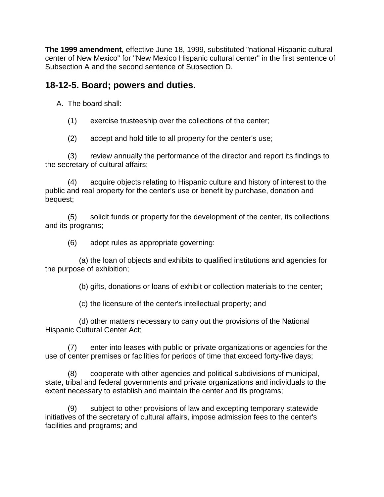**The 1999 amendment,** effective June 18, 1999, substituted "national Hispanic cultural center of New Mexico" for "New Mexico Hispanic cultural center" in the first sentence of Subsection A and the second sentence of Subsection D.

# **18-12-5. Board; powers and duties.**

A. The board shall:

(1) exercise trusteeship over the collections of the center;

(2) accept and hold title to all property for the center's use;

(3) review annually the performance of the director and report its findings to the secretary of cultural affairs;

(4) acquire objects relating to Hispanic culture and history of interest to the public and real property for the center's use or benefit by purchase, donation and bequest;

(5) solicit funds or property for the development of the center, its collections and its programs;

(6) adopt rules as appropriate governing:

(a) the loan of objects and exhibits to qualified institutions and agencies for the purpose of exhibition;

(b) gifts, donations or loans of exhibit or collection materials to the center;

(c) the licensure of the center's intellectual property; and

(d) other matters necessary to carry out the provisions of the National Hispanic Cultural Center Act;

(7) enter into leases with public or private organizations or agencies for the use of center premises or facilities for periods of time that exceed forty-five days;

(8) cooperate with other agencies and political subdivisions of municipal, state, tribal and federal governments and private organizations and individuals to the extent necessary to establish and maintain the center and its programs;

(9) subject to other provisions of law and excepting temporary statewide initiatives of the secretary of cultural affairs, impose admission fees to the center's facilities and programs; and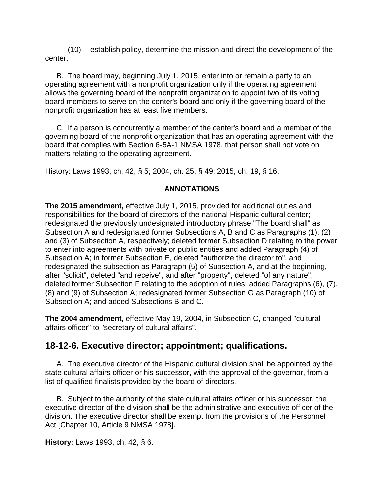(10) establish policy, determine the mission and direct the development of the center.

B. The board may, beginning July 1, 2015, enter into or remain a party to an operating agreement with a nonprofit organization only if the operating agreement allows the governing board of the nonprofit organization to appoint two of its voting board members to serve on the center's board and only if the governing board of the nonprofit organization has at least five members.

C. If a person is concurrently a member of the center's board and a member of the governing board of the nonprofit organization that has an operating agreement with the board that complies with Section 6-5A-1 NMSA 1978, that person shall not vote on matters relating to the operating agreement.

History: Laws 1993, ch. 42, § 5; 2004, ch. 25, § 49; 2015, ch. 19, § 16.

#### **ANNOTATIONS**

**The 2015 amendment,** effective July 1, 2015, provided for additional duties and responsibilities for the board of directors of the national Hispanic cultural center; redesignated the previously undesignated introductory phrase "The board shall" as Subsection A and redesignated former Subsections A, B and C as Paragraphs (1), (2) and (3) of Subsection A, respectively; deleted former Subsection D relating to the power to enter into agreements with private or public entities and added Paragraph (4) of Subsection A; in former Subsection E, deleted "authorize the director to", and redesignated the subsection as Paragraph (5) of Subsection A, and at the beginning, after "solicit", deleted "and receive", and after "property", deleted "of any nature"; deleted former Subsection F relating to the adoption of rules; added Paragraphs (6), (7), (8) and (9) of Subsection A; redesignated former Subsection G as Paragraph (10) of Subsection A; and added Subsections B and C.

**The 2004 amendment,** effective May 19, 2004, in Subsection C, changed "cultural affairs officer" to "secretary of cultural affairs".

# **18-12-6. Executive director; appointment; qualifications.**

A. The executive director of the Hispanic cultural division shall be appointed by the state cultural affairs officer or his successor, with the approval of the governor, from a list of qualified finalists provided by the board of directors.

B. Subject to the authority of the state cultural affairs officer or his successor, the executive director of the division shall be the administrative and executive officer of the division. The executive director shall be exempt from the provisions of the Personnel Act [Chapter 10, Article 9 NMSA 1978].

**History:** Laws 1993, ch. 42, § 6.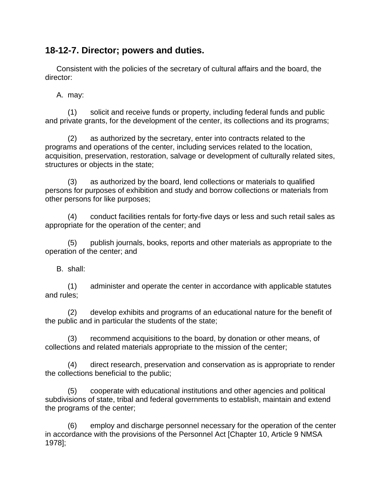# **18-12-7. Director; powers and duties.**

Consistent with the policies of the secretary of cultural affairs and the board, the director:

A. may:

(1) solicit and receive funds or property, including federal funds and public and private grants, for the development of the center, its collections and its programs;

(2) as authorized by the secretary, enter into contracts related to the programs and operations of the center, including services related to the location, acquisition, preservation, restoration, salvage or development of culturally related sites, structures or objects in the state;

(3) as authorized by the board, lend collections or materials to qualified persons for purposes of exhibition and study and borrow collections or materials from other persons for like purposes;

(4) conduct facilities rentals for forty-five days or less and such retail sales as appropriate for the operation of the center; and

(5) publish journals, books, reports and other materials as appropriate to the operation of the center; and

B. shall:

(1) administer and operate the center in accordance with applicable statutes and rules;

(2) develop exhibits and programs of an educational nature for the benefit of the public and in particular the students of the state;

(3) recommend acquisitions to the board, by donation or other means, of collections and related materials appropriate to the mission of the center;

(4) direct research, preservation and conservation as is appropriate to render the collections beneficial to the public;

(5) cooperate with educational institutions and other agencies and political subdivisions of state, tribal and federal governments to establish, maintain and extend the programs of the center;

(6) employ and discharge personnel necessary for the operation of the center in accordance with the provisions of the Personnel Act [Chapter 10, Article 9 NMSA 1978];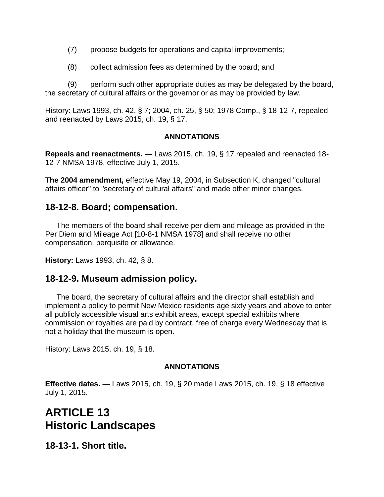- (7) propose budgets for operations and capital improvements;
- (8) collect admission fees as determined by the board; and

(9) perform such other appropriate duties as may be delegated by the board, the secretary of cultural affairs or the governor or as may be provided by law.

History: Laws 1993, ch. 42, § 7; 2004, ch. 25, § 50; 1978 Comp., § 18-12-7, repealed and reenacted by Laws 2015, ch. 19, § 17.

#### **ANNOTATIONS**

**Repeals and reenactments.** — Laws 2015, ch. 19, § 17 repealed and reenacted 18- 12-7 NMSA 1978, effective July 1, 2015.

**The 2004 amendment,** effective May 19, 2004, in Subsection K, changed "cultural affairs officer" to "secretary of cultural affairs" and made other minor changes.

## **18-12-8. Board; compensation.**

The members of the board shall receive per diem and mileage as provided in the Per Diem and Mileage Act [10-8-1 NMSA 1978] and shall receive no other compensation, perquisite or allowance.

**History:** Laws 1993, ch. 42, § 8.

# **18-12-9. Museum admission policy.**

The board, the secretary of cultural affairs and the director shall establish and implement a policy to permit New Mexico residents age sixty years and above to enter all publicly accessible visual arts exhibit areas, except special exhibits where commission or royalties are paid by contract, free of charge every Wednesday that is not a holiday that the museum is open.

History: Laws 2015, ch. 19, § 18.

#### **ANNOTATIONS**

**Effective dates.** — Laws 2015, ch. 19, § 20 made Laws 2015, ch. 19, § 18 effective July 1, 2015.

# **ARTICLE 13 Historic Landscapes**

**18-13-1. Short title.**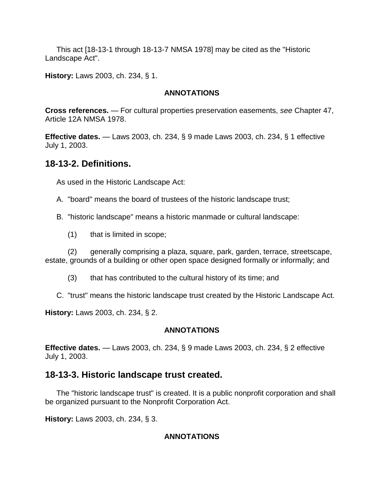This act [18-13-1 through 18-13-7 NMSA 1978] may be cited as the "Historic Landscape Act".

**History:** Laws 2003, ch. 234, § 1.

#### **ANNOTATIONS**

**Cross references.** — For cultural properties preservation easements, *see* Chapter 47, Article 12A NMSA 1978.

**Effective dates.** — Laws 2003, ch. 234, § 9 made Laws 2003, ch. 234, § 1 effective July 1, 2003.

# **18-13-2. Definitions.**

As used in the Historic Landscape Act:

A. "board" means the board of trustees of the historic landscape trust;

B. "historic landscape" means a historic manmade or cultural landscape:

(1) that is limited in scope;

(2) generally comprising a plaza, square, park, garden, terrace, streetscape, estate, grounds of a building or other open space designed formally or informally; and

(3) that has contributed to the cultural history of its time; and

C. "trust" means the historic landscape trust created by the Historic Landscape Act.

**History:** Laws 2003, ch. 234, § 2.

#### **ANNOTATIONS**

**Effective dates.** — Laws 2003, ch. 234, § 9 made Laws 2003, ch. 234, § 2 effective July 1, 2003.

## **18-13-3. Historic landscape trust created.**

The "historic landscape trust" is created. It is a public nonprofit corporation and shall be organized pursuant to the Nonprofit Corporation Act.

**History:** Laws 2003, ch. 234, § 3.

#### **ANNOTATIONS**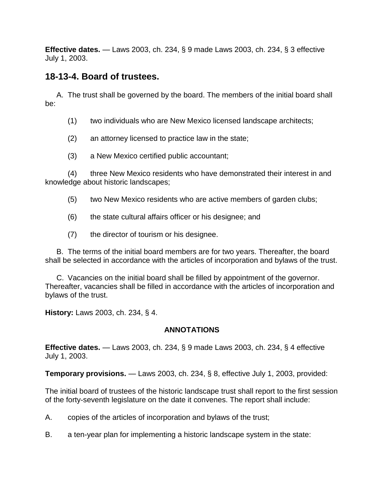**Effective dates.** — Laws 2003, ch. 234, § 9 made Laws 2003, ch. 234, § 3 effective July 1, 2003.

# **18-13-4. Board of trustees.**

A. The trust shall be governed by the board. The members of the initial board shall be:

(1) two individuals who are New Mexico licensed landscape architects;

(2) an attorney licensed to practice law in the state;

(3) a New Mexico certified public accountant;

(4) three New Mexico residents who have demonstrated their interest in and knowledge about historic landscapes;

(5) two New Mexico residents who are active members of garden clubs;

(6) the state cultural affairs officer or his designee; and

(7) the director of tourism or his designee.

B. The terms of the initial board members are for two years. Thereafter, the board shall be selected in accordance with the articles of incorporation and bylaws of the trust.

C. Vacancies on the initial board shall be filled by appointment of the governor. Thereafter, vacancies shall be filled in accordance with the articles of incorporation and bylaws of the trust.

**History:** Laws 2003, ch. 234, § 4.

#### **ANNOTATIONS**

**Effective dates.** — Laws 2003, ch. 234, § 9 made Laws 2003, ch. 234, § 4 effective July 1, 2003.

**Temporary provisions.** — Laws 2003, ch. 234, § 8, effective July 1, 2003, provided:

The initial board of trustees of the historic landscape trust shall report to the first session of the forty-seventh legislature on the date it convenes. The report shall include:

A. copies of the articles of incorporation and bylaws of the trust;

B. a ten-year plan for implementing a historic landscape system in the state: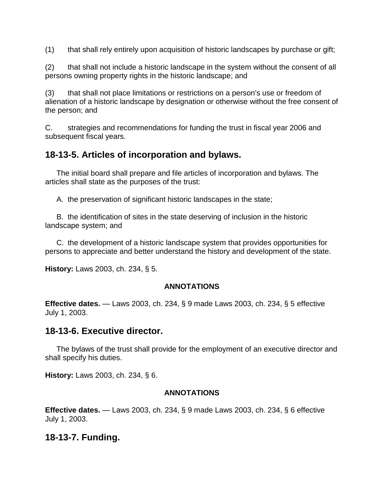(1) that shall rely entirely upon acquisition of historic landscapes by purchase or gift;

(2) that shall not include a historic landscape in the system without the consent of all persons owning property rights in the historic landscape; and

(3) that shall not place limitations or restrictions on a person's use or freedom of alienation of a historic landscape by designation or otherwise without the free consent of the person; and

C. strategies and recommendations for funding the trust in fiscal year 2006 and subsequent fiscal years.

# **18-13-5. Articles of incorporation and bylaws.**

The initial board shall prepare and file articles of incorporation and bylaws. The articles shall state as the purposes of the trust:

A. the preservation of significant historic landscapes in the state;

B. the identification of sites in the state deserving of inclusion in the historic landscape system; and

C. the development of a historic landscape system that provides opportunities for persons to appreciate and better understand the history and development of the state.

**History:** Laws 2003, ch. 234, § 5.

#### **ANNOTATIONS**

**Effective dates.** — Laws 2003, ch. 234, § 9 made Laws 2003, ch. 234, § 5 effective July 1, 2003.

## **18-13-6. Executive director.**

The bylaws of the trust shall provide for the employment of an executive director and shall specify his duties.

**History:** Laws 2003, ch. 234, § 6.

#### **ANNOTATIONS**

**Effective dates.** — Laws 2003, ch. 234, § 9 made Laws 2003, ch. 234, § 6 effective July 1, 2003.

# **18-13-7. Funding.**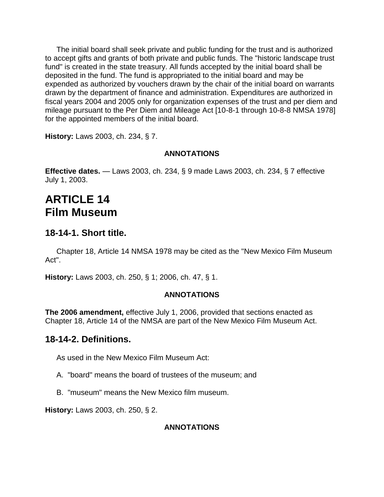The initial board shall seek private and public funding for the trust and is authorized to accept gifts and grants of both private and public funds. The "historic landscape trust fund" is created in the state treasury. All funds accepted by the initial board shall be deposited in the fund. The fund is appropriated to the initial board and may be expended as authorized by vouchers drawn by the chair of the initial board on warrants drawn by the department of finance and administration. Expenditures are authorized in fiscal years 2004 and 2005 only for organization expenses of the trust and per diem and mileage pursuant to the Per Diem and Mileage Act [10-8-1 through 10-8-8 NMSA 1978] for the appointed members of the initial board.

**History:** Laws 2003, ch. 234, § 7.

### **ANNOTATIONS**

**Effective dates.** — Laws 2003, ch. 234, § 9 made Laws 2003, ch. 234, § 7 effective July 1, 2003.

# **ARTICLE 14 Film Museum**

# **18-14-1. Short title.**

Chapter 18, Article 14 NMSA 1978 may be cited as the "New Mexico Film Museum Act".

**History:** Laws 2003, ch. 250, § 1; 2006, ch. 47, § 1.

#### **ANNOTATIONS**

**The 2006 amendment,** effective July 1, 2006, provided that sections enacted as Chapter 18, Article 14 of the NMSA are part of the New Mexico Film Museum Act.

# **18-14-2. Definitions.**

As used in the New Mexico Film Museum Act:

- A. "board" means the board of trustees of the museum; and
- B. "museum" means the New Mexico film museum.

**History:** Laws 2003, ch. 250, § 2.

## **ANNOTATIONS**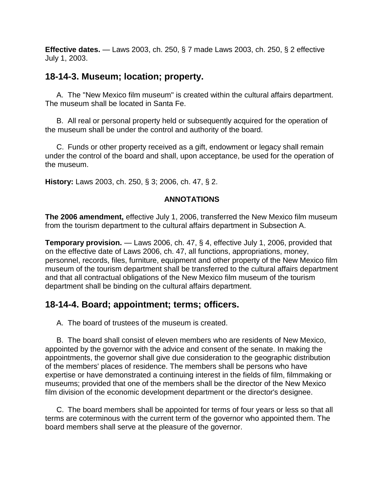**Effective dates.** — Laws 2003, ch. 250, § 7 made Laws 2003, ch. 250, § 2 effective July 1, 2003.

# **18-14-3. Museum; location; property.**

A. The "New Mexico film museum" is created within the cultural affairs department. The museum shall be located in Santa Fe.

B. All real or personal property held or subsequently acquired for the operation of the museum shall be under the control and authority of the board.

C. Funds or other property received as a gift, endowment or legacy shall remain under the control of the board and shall, upon acceptance, be used for the operation of the museum.

**History:** Laws 2003, ch. 250, § 3; 2006, ch. 47, § 2.

#### **ANNOTATIONS**

**The 2006 amendment,** effective July 1, 2006, transferred the New Mexico film museum from the tourism department to the cultural affairs department in Subsection A.

**Temporary provision.** — Laws 2006, ch. 47, § 4, effective July 1, 2006, provided that on the effective date of Laws 2006, ch. 47, all functions, appropriations, money, personnel, records, files, furniture, equipment and other property of the New Mexico film museum of the tourism department shall be transferred to the cultural affairs department and that all contractual obligations of the New Mexico film museum of the tourism department shall be binding on the cultural affairs department.

# **18-14-4. Board; appointment; terms; officers.**

A. The board of trustees of the museum is created.

B. The board shall consist of eleven members who are residents of New Mexico, appointed by the governor with the advice and consent of the senate. In making the appointments, the governor shall give due consideration to the geographic distribution of the members' places of residence. The members shall be persons who have expertise or have demonstrated a continuing interest in the fields of film, filmmaking or museums; provided that one of the members shall be the director of the New Mexico film division of the economic development department or the director's designee.

C. The board members shall be appointed for terms of four years or less so that all terms are coterminous with the current term of the governor who appointed them. The board members shall serve at the pleasure of the governor.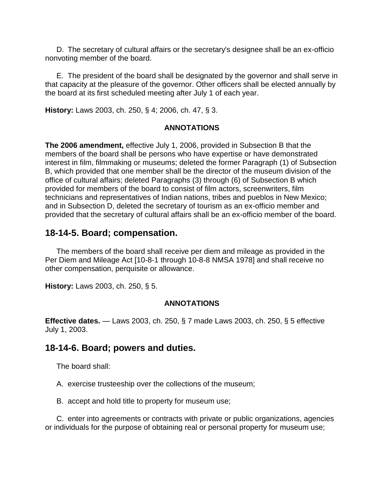D. The secretary of cultural affairs or the secretary's designee shall be an ex-officio nonvoting member of the board.

E. The president of the board shall be designated by the governor and shall serve in that capacity at the pleasure of the governor. Other officers shall be elected annually by the board at its first scheduled meeting after July 1 of each year.

**History:** Laws 2003, ch. 250, § 4; 2006, ch. 47, § 3.

#### **ANNOTATIONS**

**The 2006 amendment,** effective July 1, 2006, provided in Subsection B that the members of the board shall be persons who have expertise or have demonstrated interest in film, filmmaking or museums; deleted the former Paragraph (1) of Subsection B, which provided that one member shall be the director of the museum division of the office of cultural affairs; deleted Paragraphs (3) through (6) of Subsection B which provided for members of the board to consist of film actors, screenwriters, film technicians and representatives of Indian nations, tribes and pueblos in New Mexico; and in Subsection D, deleted the secretary of tourism as an ex-officio member and provided that the secretary of cultural affairs shall be an ex-officio member of the board.

### **18-14-5. Board; compensation.**

The members of the board shall receive per diem and mileage as provided in the Per Diem and Mileage Act [10-8-1 through 10-8-8 NMSA 1978] and shall receive no other compensation, perquisite or allowance.

**History:** Laws 2003, ch. 250, § 5.

#### **ANNOTATIONS**

**Effective dates.** — Laws 2003, ch. 250, § 7 made Laws 2003, ch. 250, § 5 effective July 1, 2003.

## **18-14-6. Board; powers and duties.**

The board shall:

- A. exercise trusteeship over the collections of the museum;
- B. accept and hold title to property for museum use;

C. enter into agreements or contracts with private or public organizations, agencies or individuals for the purpose of obtaining real or personal property for museum use;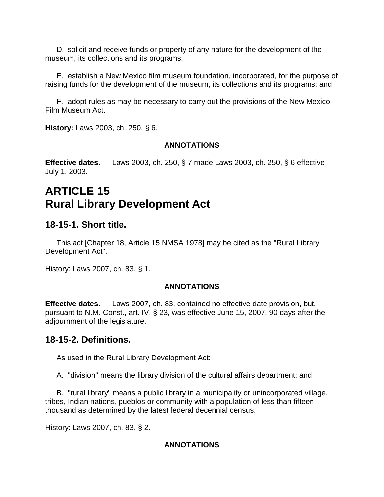D. solicit and receive funds or property of any nature for the development of the museum, its collections and its programs;

E. establish a New Mexico film museum foundation, incorporated, for the purpose of raising funds for the development of the museum, its collections and its programs; and

F. adopt rules as may be necessary to carry out the provisions of the New Mexico Film Museum Act.

**History:** Laws 2003, ch. 250, § 6.

#### **ANNOTATIONS**

**Effective dates.** — Laws 2003, ch. 250, § 7 made Laws 2003, ch. 250, § 6 effective July 1, 2003.

# **ARTICLE 15 Rural Library Development Act**

## **18-15-1. Short title.**

This act [Chapter 18, Article 15 NMSA 1978] may be cited as the "Rural Library Development Act".

History: Laws 2007, ch. 83, § 1.

#### **ANNOTATIONS**

**Effective dates.** — Laws 2007, ch. 83, contained no effective date provision, but, pursuant to N.M. Const., art. IV, § 23, was effective June 15, 2007, 90 days after the adjournment of the legislature.

## **18-15-2. Definitions.**

As used in the Rural Library Development Act:

A. "division" means the library division of the cultural affairs department; and

B. "rural library" means a public library in a municipality or unincorporated village, tribes, Indian nations, pueblos or community with a population of less than fifteen thousand as determined by the latest federal decennial census.

History: Laws 2007, ch. 83, § 2.

#### **ANNOTATIONS**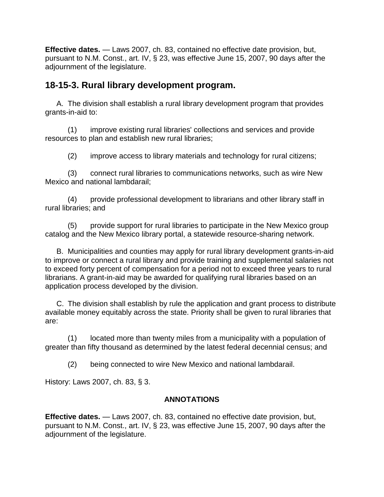**Effective dates.** — Laws 2007, ch. 83, contained no effective date provision, but, pursuant to N.M. Const., art. IV, § 23, was effective June 15, 2007, 90 days after the adjournment of the legislature.

# **18-15-3. Rural library development program.**

A. The division shall establish a rural library development program that provides grants-in-aid to:

(1) improve existing rural libraries' collections and services and provide resources to plan and establish new rural libraries;

(2) improve access to library materials and technology for rural citizens;

(3) connect rural libraries to communications networks, such as wire New Mexico and national lambdarail;

(4) provide professional development to librarians and other library staff in rural libraries; and

(5) provide support for rural libraries to participate in the New Mexico group catalog and the New Mexico library portal, a statewide resource-sharing network.

B. Municipalities and counties may apply for rural library development grants-in-aid to improve or connect a rural library and provide training and supplemental salaries not to exceed forty percent of compensation for a period not to exceed three years to rural librarians. A grant-in-aid may be awarded for qualifying rural libraries based on an application process developed by the division.

C. The division shall establish by rule the application and grant process to distribute available money equitably across the state. Priority shall be given to rural libraries that are:

(1) located more than twenty miles from a municipality with a population of greater than fifty thousand as determined by the latest federal decennial census; and

(2) being connected to wire New Mexico and national lambdarail.

History: Laws 2007, ch. 83, § 3.

## **ANNOTATIONS**

**Effective dates.** — Laws 2007, ch. 83, contained no effective date provision, but, pursuant to N.M. Const., art. IV, § 23, was effective June 15, 2007, 90 days after the adjournment of the legislature.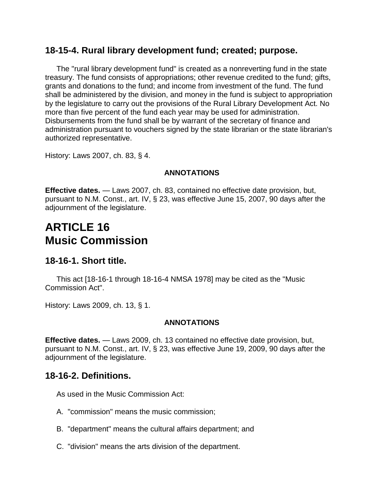# **18-15-4. Rural library development fund; created; purpose.**

The "rural library development fund" is created as a nonreverting fund in the state treasury. The fund consists of appropriations; other revenue credited to the fund; gifts, grants and donations to the fund; and income from investment of the fund. The fund shall be administered by the division, and money in the fund is subject to appropriation by the legislature to carry out the provisions of the Rural Library Development Act. No more than five percent of the fund each year may be used for administration. Disbursements from the fund shall be by warrant of the secretary of finance and administration pursuant to vouchers signed by the state librarian or the state librarian's authorized representative.

History: Laws 2007, ch. 83, § 4.

#### **ANNOTATIONS**

**Effective dates.** — Laws 2007, ch. 83, contained no effective date provision, but, pursuant to N.M. Const., art. IV, § 23, was effective June 15, 2007, 90 days after the adiournment of the legislature.

# **ARTICLE 16 Music Commission**

## **18-16-1. Short title.**

This act [18-16-1 through 18-16-4 NMSA 1978] may be cited as the "Music Commission Act".

History: Laws 2009, ch. 13, § 1.

#### **ANNOTATIONS**

**Effective dates.** — Laws 2009, ch. 13 contained no effective date provision, but, pursuant to N.M. Const., art. IV, § 23, was effective June 19, 2009, 90 days after the adjournment of the legislature.

#### **18-16-2. Definitions.**

As used in the Music Commission Act:

- A. "commission" means the music commission;
- B. "department" means the cultural affairs department; and
- C. "division" means the arts division of the department.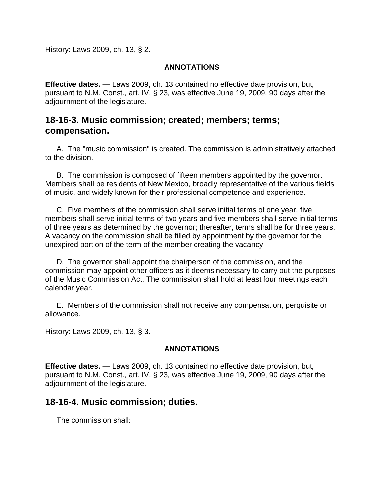History: Laws 2009, ch. 13, § 2.

#### **ANNOTATIONS**

**Effective dates.** — Laws 2009, ch. 13 contained no effective date provision, but, pursuant to N.M. Const., art. IV, § 23, was effective June 19, 2009, 90 days after the adjournment of the legislature.

# **18-16-3. Music commission; created; members; terms; compensation.**

A. The "music commission" is created. The commission is administratively attached to the division.

B. The commission is composed of fifteen members appointed by the governor. Members shall be residents of New Mexico, broadly representative of the various fields of music, and widely known for their professional competence and experience.

C. Five members of the commission shall serve initial terms of one year, five members shall serve initial terms of two years and five members shall serve initial terms of three years as determined by the governor; thereafter, terms shall be for three years. A vacancy on the commission shall be filled by appointment by the governor for the unexpired portion of the term of the member creating the vacancy.

D. The governor shall appoint the chairperson of the commission, and the commission may appoint other officers as it deems necessary to carry out the purposes of the Music Commission Act. The commission shall hold at least four meetings each calendar year.

E. Members of the commission shall not receive any compensation, perquisite or allowance.

History: Laws 2009, ch. 13, § 3.

#### **ANNOTATIONS**

**Effective dates.** — Laws 2009, ch. 13 contained no effective date provision, but, pursuant to N.M. Const., art. IV, § 23, was effective June 19, 2009, 90 days after the adjournment of the legislature.

### **18-16-4. Music commission; duties.**

The commission shall: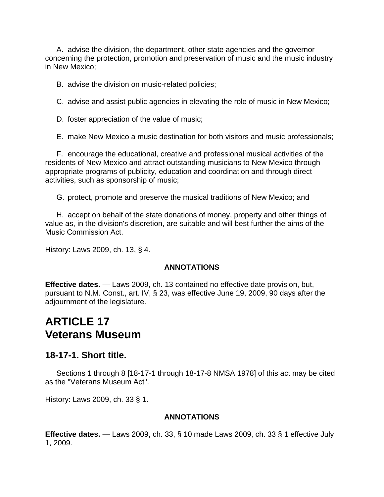A. advise the division, the department, other state agencies and the governor concerning the protection, promotion and preservation of music and the music industry in New Mexico;

B. advise the division on music-related policies;

C. advise and assist public agencies in elevating the role of music in New Mexico;

D. foster appreciation of the value of music;

E. make New Mexico a music destination for both visitors and music professionals;

F. encourage the educational, creative and professional musical activities of the residents of New Mexico and attract outstanding musicians to New Mexico through appropriate programs of publicity, education and coordination and through direct activities, such as sponsorship of music;

G. protect, promote and preserve the musical traditions of New Mexico; and

H. accept on behalf of the state donations of money, property and other things of value as, in the division's discretion, are suitable and will best further the aims of the Music Commission Act.

History: Laws 2009, ch. 13, § 4.

### **ANNOTATIONS**

**Effective dates.** — Laws 2009, ch. 13 contained no effective date provision, but, pursuant to N.M. Const., art. IV, § 23, was effective June 19, 2009, 90 days after the adjournment of the legislature.

# **ARTICLE 17 Veterans Museum**

# **18-17-1. Short title.**

Sections 1 through 8 [18-17-1 through 18-17-8 NMSA 1978] of this act may be cited as the "Veterans Museum Act".

History: Laws 2009, ch. 33 § 1.

### **ANNOTATIONS**

**Effective dates.** — Laws 2009, ch. 33, § 10 made Laws 2009, ch. 33 § 1 effective July 1, 2009.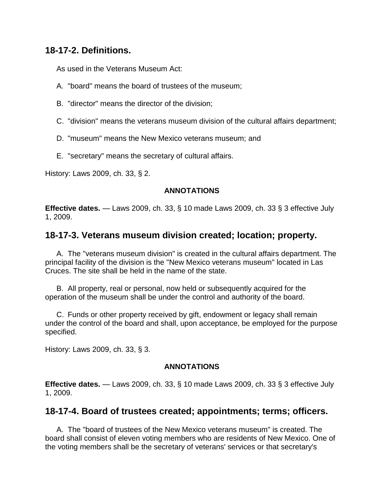# **18-17-2. Definitions.**

As used in the Veterans Museum Act:

- A. "board" means the board of trustees of the museum;
- B. "director" means the director of the division;
- C. "division" means the veterans museum division of the cultural affairs department;
- D. "museum" means the New Mexico veterans museum; and
- E. "secretary" means the secretary of cultural affairs.

History: Laws 2009, ch. 33, § 2.

### **ANNOTATIONS**

**Effective dates.** — Laws 2009, ch. 33, § 10 made Laws 2009, ch. 33 § 3 effective July 1, 2009.

# **18-17-3. Veterans museum division created; location; property.**

A. The "veterans museum division" is created in the cultural affairs department. The principal facility of the division is the "New Mexico veterans museum" located in Las Cruces. The site shall be held in the name of the state.

B. All property, real or personal, now held or subsequently acquired for the operation of the museum shall be under the control and authority of the board.

C. Funds or other property received by gift, endowment or legacy shall remain under the control of the board and shall, upon acceptance, be employed for the purpose specified.

History: Laws 2009, ch. 33, § 3.

#### **ANNOTATIONS**

**Effective dates.** — Laws 2009, ch. 33, § 10 made Laws 2009, ch. 33 § 3 effective July 1, 2009.

# **18-17-4. Board of trustees created; appointments; terms; officers.**

A. The "board of trustees of the New Mexico veterans museum" is created. The board shall consist of eleven voting members who are residents of New Mexico. One of the voting members shall be the secretary of veterans' services or that secretary's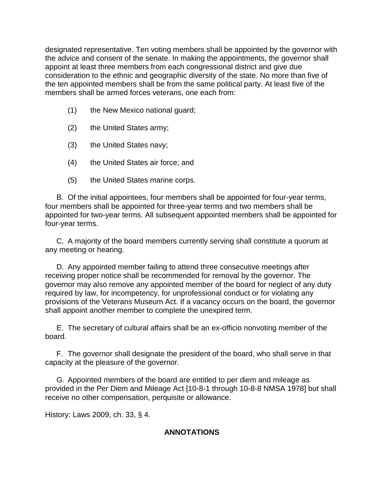designated representative. Ten voting members shall be appointed by the governor with the advice and consent of the senate. In making the appointments, the governor shall appoint at least three members from each congressional district and give due consideration to the ethnic and geographic diversity of the state. No more than five of the ten appointed members shall be from the same political party. At least five of the members shall be armed forces veterans, one each from:

- (1) the New Mexico national guard;
- (2) the United States army;
- (3) the United States navy;
- (4) the United States air force; and
- (5) the United States marine corps.

B. Of the initial appointees, four members shall be appointed for four-year terms, four members shall be appointed for three-year terms and two members shall be appointed for two-year terms. All subsequent appointed members shall be appointed for four-year terms.

C. A majority of the board members currently serving shall constitute a quorum at any meeting or hearing.

D. Any appointed member failing to attend three consecutive meetings after receiving proper notice shall be recommended for removal by the governor. The governor may also remove any appointed member of the board for neglect of any duty required by law, for incompetency, for unprofessional conduct or for violating any provisions of the Veterans Museum Act. If a vacancy occurs on the board, the governor shall appoint another member to complete the unexpired term.

E. The secretary of cultural affairs shall be an ex-officio nonvoting member of the board.

F. The governor shall designate the president of the board, who shall serve in that capacity at the pleasure of the governor.

G. Appointed members of the board are entitled to per diem and mileage as provided in the Per Diem and Mileage Act [10-8-1 through 10-8-8 NMSA 1978] but shall receive no other compensation, perquisite or allowance.

History: Laws 2009, ch. 33, § 4.

### **ANNOTATIONS**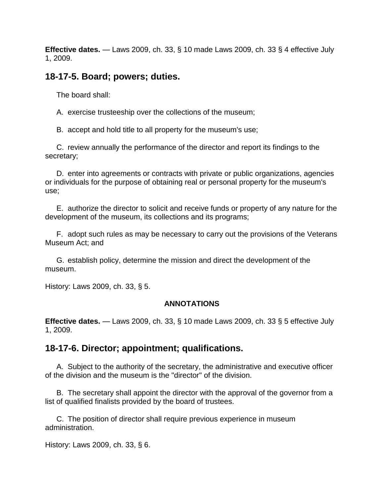**Effective dates.** — Laws 2009, ch. 33, § 10 made Laws 2009, ch. 33 § 4 effective July 1, 2009.

# **18-17-5. Board; powers; duties.**

The board shall:

A. exercise trusteeship over the collections of the museum;

B. accept and hold title to all property for the museum's use;

C. review annually the performance of the director and report its findings to the secretary;

D. enter into agreements or contracts with private or public organizations, agencies or individuals for the purpose of obtaining real or personal property for the museum's use;

E. authorize the director to solicit and receive funds or property of any nature for the development of the museum, its collections and its programs;

F. adopt such rules as may be necessary to carry out the provisions of the Veterans Museum Act; and

G. establish policy, determine the mission and direct the development of the museum.

History: Laws 2009, ch. 33, § 5.

### **ANNOTATIONS**

**Effective dates.** — Laws 2009, ch. 33, § 10 made Laws 2009, ch. 33 § 5 effective July 1, 2009.

# **18-17-6. Director; appointment; qualifications.**

A. Subject to the authority of the secretary, the administrative and executive officer of the division and the museum is the "director" of the division.

B. The secretary shall appoint the director with the approval of the governor from a list of qualified finalists provided by the board of trustees.

C. The position of director shall require previous experience in museum administration.

History: Laws 2009, ch. 33, § 6.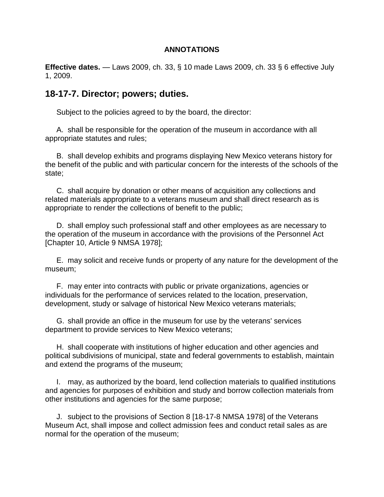#### **ANNOTATIONS**

**Effective dates.** — Laws 2009, ch. 33, § 10 made Laws 2009, ch. 33 § 6 effective July 1, 2009.

### **18-17-7. Director; powers; duties.**

Subject to the policies agreed to by the board, the director:

A. shall be responsible for the operation of the museum in accordance with all appropriate statutes and rules;

B. shall develop exhibits and programs displaying New Mexico veterans history for the benefit of the public and with particular concern for the interests of the schools of the state;

C. shall acquire by donation or other means of acquisition any collections and related materials appropriate to a veterans museum and shall direct research as is appropriate to render the collections of benefit to the public;

D. shall employ such professional staff and other employees as are necessary to the operation of the museum in accordance with the provisions of the Personnel Act [Chapter 10, Article 9 NMSA 1978];

E. may solicit and receive funds or property of any nature for the development of the museum;

F. may enter into contracts with public or private organizations, agencies or individuals for the performance of services related to the location, preservation, development, study or salvage of historical New Mexico veterans materials;

G. shall provide an office in the museum for use by the veterans' services department to provide services to New Mexico veterans;

H. shall cooperate with institutions of higher education and other agencies and political subdivisions of municipal, state and federal governments to establish, maintain and extend the programs of the museum;

I. may, as authorized by the board, lend collection materials to qualified institutions and agencies for purposes of exhibition and study and borrow collection materials from other institutions and agencies for the same purpose;

J. subject to the provisions of Section 8 [18-17-8 NMSA 1978] of the Veterans Museum Act, shall impose and collect admission fees and conduct retail sales as are normal for the operation of the museum;